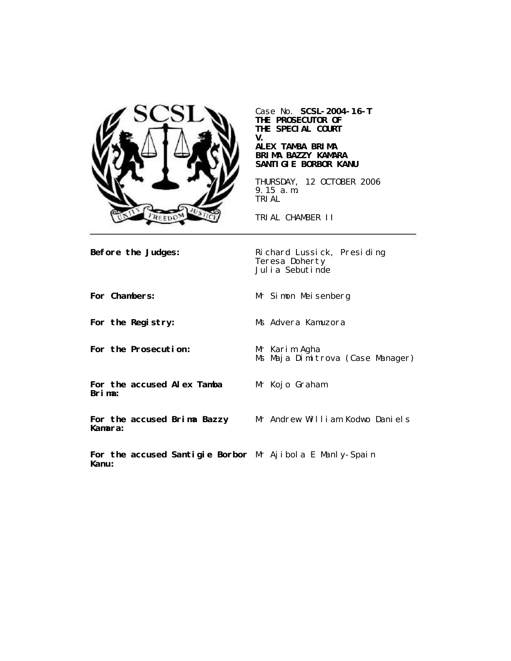

Case No. **SCSL-2004-16-T THE PROSECUTOR OF THE SPECIAL COURT V.**

#### **ALEX TAMBA BRIMA BRIMA BAZZY KAMARA SANTIGIE BORBOR KANU**

THURSDAY, 12 OCTOBER 2006 9.15 a.m. TRIAL

TRIAL CHAMBER II

**Before the Judges:** Richard Lussick, Presiding Teresa Doherty Julia Sebutinde

**For Chambers:** Mr Simon Meisenberg **For the Registry:** Ms Advera Kamuzora

**For the Prosecution:** Mr Karim Agha

Ms Maja Dimitrova (Case Manager)

**For the accused Alex Tamba Brima:**

Mr Kojo Graham

**For the accused Brima Bazzy Kamara:** Mr Andrew William Kodwo Daniels

**For the accused Santigie Borbor** Mr Ajibola E Manly-Spain**Kanu:**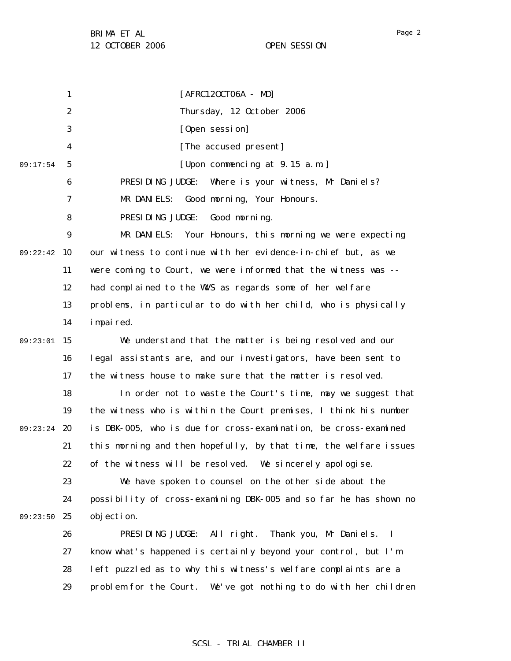1 2 3 4 5 6 7 8 9 09:22:42 10 11 12 13 14 09:23:01 15 16 17 18 19 09:23:24 20 21 22 23 24 09:23:50 25 26 27 28 29 09:17:54 [AFRC12OCT06A - MD] Thursday, 12 October 2006 [Open session] [The accused present] [Upon commencing at 9.15 a.m.] PRESIDING JUDGE: Where is your witness, Mr Daniels? MR DANIELS: Good morning, Your Honours. PRESIDING JUDGE: Good morning. MR DANIELS: Your Honours, this morning we were expecting our witness to continue with her evidence-in-chief but, as we were coming to Court, we were informed that the witness was - had complained to the WWS as regards some of her welfare problems, in particular to do with her child, who is physically impaired. We understand that the matter is being resolved and our legal assistants are, and our investigators, have been sent to the witness house to make sure that the matter is resolved. In order not to waste the Court's time, may we suggest that the witness who is within the Court premises, I think his number is DBK-005, who is due for cross-examination, be cross-examined this morning and then hopefully, by that time, the welfare issues of the witness will be resolved. We sincerely apologise. We have spoken to counsel on the other side about the possibility of cross-examining DBK-005 and so far he has shown no objection. PRESIDING JUDGE: All right. Thank you, Mr Daniels. I know what's happened is certainly beyond your control, but I'm left puzzled as to why this witness's welfare complaints are a problem for the Court. We've got nothing to do with her children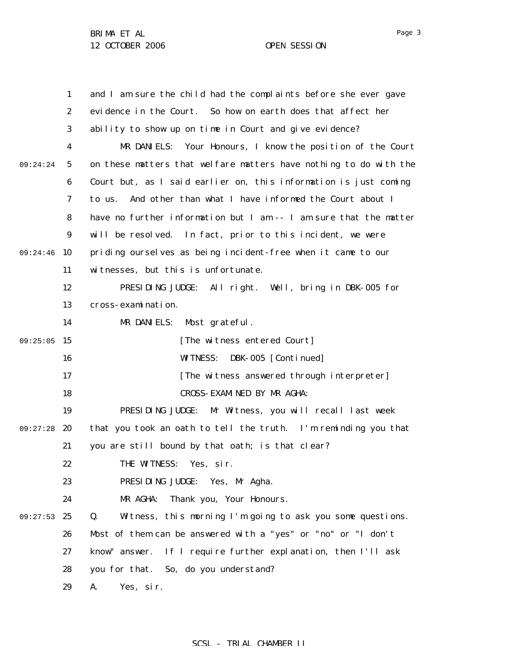|          | $\mathbf{1}$     | and I am sure the child had the complaints before she ever gave   |
|----------|------------------|-------------------------------------------------------------------|
|          | $\boldsymbol{2}$ | evidence in the Court. So how on earth does that affect her       |
|          | 3                | ability to show up on time in Court and give evidence?            |
|          | 4                | MR DANIELS: Your Honours, I know the position of the Court        |
| 09:24:24 | $5\phantom{.0}$  | on these matters that welfare matters have nothing to do with the |
|          | 6                | Court but, as I said earlier on, this information is just coming  |
|          | 7                | And other than what I have informed the Court about I<br>to us.   |
|          | 8                | have no further information but I am -- I am sure that the matter |
|          | 9                | will be resolved. In fact, prior to this incident, we were        |
| 09:24:46 | 10               | priding ourselves as being incident-free when it came to our      |
|          | 11               | witnesses, but this is unfortunate.                               |
|          | 12               | PRESIDING JUDGE: All right. Well, bring in DBK-005 for            |
|          | 13               | cross-examination.                                                |
|          | 14               | MR DANIELS:<br>Most grateful.                                     |
| 09:25:05 | 15               | [The witness entered Court]                                       |
|          | 16               | <b>WITNESS:</b><br>DBK-005 [Continued]                            |
|          | 17               | [The witness answered through interpreter]                        |
|          | 18               | CROSS-EXAMINED BY MR AGHA:                                        |
|          | 19               | PRESIDING JUDGE: Mr Witness, you will recall last week            |
| 09:27:28 | 20               | that you took an oath to tell the truth. I'm reminding you that   |
|          | 21               | you are still bound by that oath; is that clear?                  |
|          | 22               | THE WITNESS: Yes, sir.                                            |
|          | 23               | PRESIDING JUDGE: Yes, Mr Agha.                                    |
|          | 24               | MR AGHA:<br>Thank you, Your Honours.                              |
| 09:27:53 | 25               | Q.<br>Witness, this morning I'm going to ask you some questions.  |
|          | 26               | Most of them can be answered with a "yes" or "no" or "I don't     |
|          | 27               | If I require further explanation, then I'll ask<br>know" answer.  |
|          | 28               | you for that. So, do you understand?                              |
|          | 29               | A.<br>Yes, sir.                                                   |

SCSL - TRIAL CHAMBER II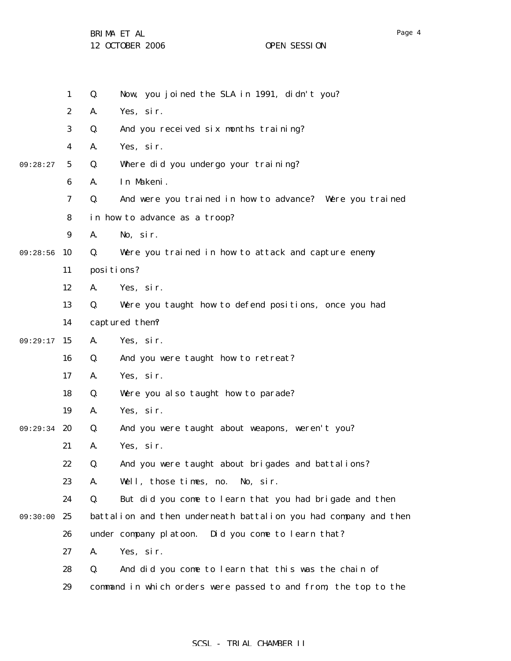BRIMA ET AL

12 OCTOBER 2006 OPEN SESSION

|          | $\mathbf{1}$     | Q.         | Now, you joined the SLA in 1991, didn't you?                     |
|----------|------------------|------------|------------------------------------------------------------------|
|          | $\boldsymbol{2}$ | A.         | Yes, sir.                                                        |
|          | 3                | Q.         | And you received six months training?                            |
|          | 4                | A.         | Yes, sir.                                                        |
| 09:28:27 | $5\phantom{.0}$  | Q.         | Where did you undergo your training?                             |
|          | 6                | A.         | In Makeni.                                                       |
|          | 7                | Q.         | And were you trained in how to advance? Were you trained         |
|          | 8                |            | in how to advance as a troop?                                    |
|          | $9\phantom{.}$   | A.         | No, sir.                                                         |
| 09:28:56 | 10               | Q.         | Were you trained in how to attack and capture enemy              |
|          | 11               | positions? |                                                                  |
|          | 12               | A.         | Yes, sir.                                                        |
|          | 13               | Q.         | Were you taught how to defend positions, once you had            |
|          | 14               |            | captured them?                                                   |
| 09:29:17 | 15               | A.         | Yes, sir.                                                        |
|          | 16               | Q.         | And you were taught how to retreat?                              |
|          | 17               | A.         | Yes, sir.                                                        |
|          | 18               | Q.         | Were you also taught how to parade?                              |
|          | 19               | A.         | Yes, sir.                                                        |
| 09:29:34 | 20               | Q.         | And you were taught about weapons, weren't you?                  |
|          | 21               | A.         | Yes, sir.                                                        |
|          | 22               | Q.         | And you were taught about brigades and battalions?               |
|          | 23               | A.         | Well, those times, no.<br>No, sir.                               |
|          | 24               | Q.         | But did you come to learn that you had brigade and then          |
| 09:30:00 | 25               |            | battalion and then underneath battalion you had company and then |
|          | 26               |            | Did you come to learn that?<br>under company platoon.            |
|          | 27               | A.         | Yes, sir.                                                        |
|          | 28               | Q.         | And did you come to learn that this was the chain of             |
|          | 29               |            | command in which orders were passed to and from, the top to the  |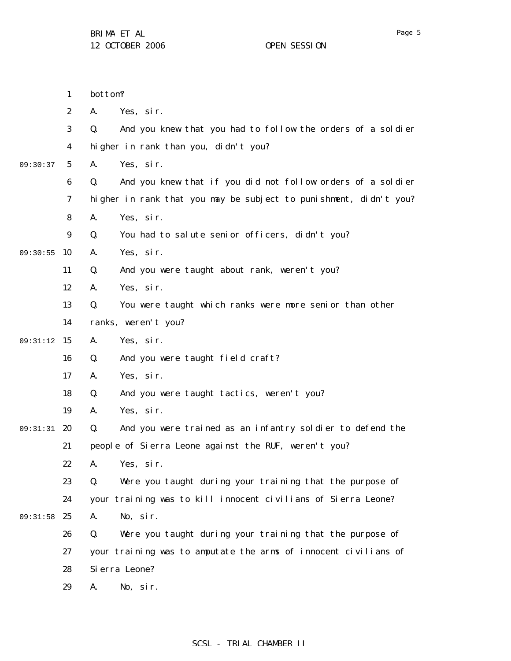|          | $\mathbf{1}$     | bottom?                                                           |
|----------|------------------|-------------------------------------------------------------------|
|          | $\boldsymbol{2}$ | A.<br>Yes, sir.                                                   |
|          | $\boldsymbol{3}$ | Q.<br>And you knew that you had to follow the orders of a soldier |
|          | $\boldsymbol{4}$ | higher in rank than you, didn't you?                              |
| 09:30:37 | $\mathbf{5}$     | Yes, sir.<br>A.                                                   |
|          | $\boldsymbol{6}$ | And you knew that if you did not follow orders of a soldier<br>Q. |
|          | 7                | higher in rank that you may be subject to punishment, didn't you? |
|          | 8                | Yes, sir.<br>A.                                                   |
|          | $\boldsymbol{9}$ | Q.<br>You had to salute senior officers, didn't you?              |
| 09:30:55 | 10               | Yes, sir.<br>A.                                                   |
|          | 11               | Q.<br>And you were taught about rank, weren't you?                |
|          | 12               | Yes, sir.<br>A.                                                   |
|          | 13               | You were taught which ranks were more senior than other<br>Q.     |
|          | 14               | ranks, weren't you?                                               |
| 09:31:12 | <b>15</b>        | Yes, sir.<br>A.                                                   |
|          | 16               | Q.<br>And you were taught field craft?                            |
|          | 17               | Yes, sir.<br>A.                                                   |
|          | 18               | And you were taught tactics, weren't you?<br>Q.                   |
|          | 19               | Yes, sir.<br>A.                                                   |
| 09:31:31 | - 20             | Q.<br>And you were trained as an infantry soldier to defend the   |
|          | 21               | people of Sierra Leone against the RUF, weren't you?              |
|          | 22               | A.<br>Yes,sir.                                                    |
|          | 23               | Were you taught during your training that the purpose of<br>Q.    |
|          | 24               | your training was to kill innocent civilians of Sierra Leone?     |
| 09:31:58 | 25               | A.<br>No, sir.                                                    |
|          | 26               | Q.<br>Were you taught during your training that the purpose of    |
|          | 27               | your training was to amputate the arms of innocent civilians of   |
|          | 28               | Si erra Leone?                                                    |
|          | 29               | No, sir.<br>A.                                                    |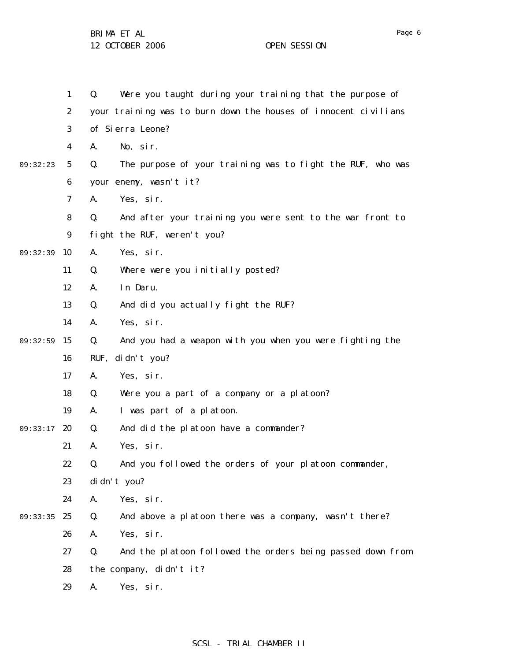|          | $\mathbf{1}$     | Were you taught during your training that the purpose of<br>Q.   |
|----------|------------------|------------------------------------------------------------------|
|          | $\boldsymbol{2}$ | your training was to burn down the houses of innocent civilians  |
|          | $\bf{3}$         | of Sierra Leone?                                                 |
|          | $\boldsymbol{4}$ | No, sir.<br>A.                                                   |
| 09:32:23 | $\mathbf{5}$     | The purpose of your training was to fight the RUF, who was<br>Q. |
|          | 6                | your enemy, wasn't it?                                           |
|          | 7                | A.<br>Yes, sir.                                                  |
|          | 8                | And after your training you were sent to the war front to<br>Q.  |
|          | $\boldsymbol{9}$ | fight the RUF, weren't you?                                      |
| 09:32:39 | 10               | Yes, sir.<br>A.                                                  |
|          | 11               | Where were you initially posted?<br>Q.                           |
|          | 12               | In Daru.<br>A.                                                   |
|          | 13               | And did you actually fight the RUF?<br>Q.                        |
|          | 14               | Yes, sir.<br>A.                                                  |
| 09:32:59 | 15               | Q.<br>And you had a weapon with you when you were fighting the   |
|          | 16               | RUF, didn't you?                                                 |
|          | 17               | Yes, sir.<br>A.                                                  |
|          | 18               | Were you a part of a company or a platoon?<br>Q.                 |
|          | 19               | I was part of a platoon.<br>A.                                   |
| 09:33:17 | 20               | And did the platoon have a commander?<br>Q.                      |
|          | 21               | Yes, sir.<br>A.                                                  |
|          | 22               | Q.<br>And you followed the orders of your platoon commander,     |
|          | 23               | di dn't you?                                                     |
|          | 24               | Yes, sir.<br>A.                                                  |
| 09:33:35 | 25               | And above a platoon there was a company, wasn't there?<br>Q.     |
|          | 26               | Yes, sir.<br>A.                                                  |
|          | 27               | And the platoon followed the orders being passed down from<br>Q. |
|          | 28               | the company, didn't it?                                          |
|          | 29               | Yes, sir.<br>A.                                                  |
|          |                  |                                                                  |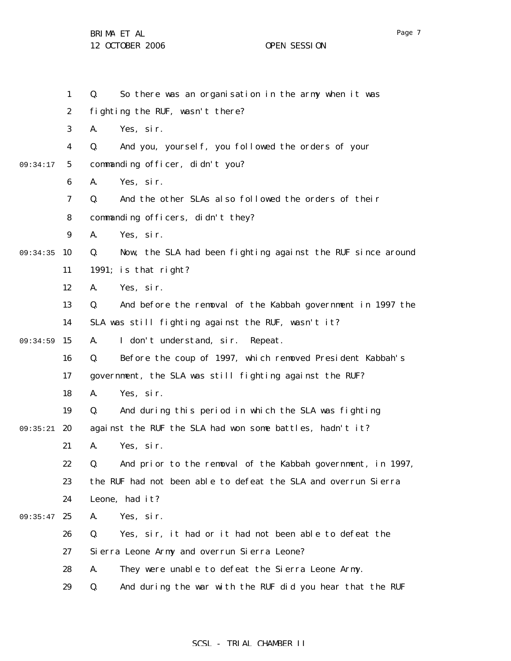1 2 3 4 5 6 7 8 9 09:34:35 10 11 12 13 14 09:34:59 15 16 17 18 19 09:35:21 20 21 22 23 24 09:35:47 25 26 27 28 29 09:34:17 Q. So there was an organisation in the army when it was fighting the RUF, wasn't there? A. Yes, sir. Q. And you, yourself, you followed the orders of your commanding officer, didn't you? A. Yes, sir. Q. And the other SLAs also followed the orders of their commanding officers, didn't they? A. Yes, sir. Q. Now, the SLA had been fighting against the RUF since around 1991; is that right? A. Yes, sir. Q. And before the removal of the Kabbah government in 1997 the SLA was still fighting against the RUF, wasn't it? A. I don't understand, sir. Repeat. Q. Before the coup of 1997, which removed President Kabbah's government, the SLA was still fighting against the RUF? A. Yes, sir. Q. And during this period in which the SLA was fighting against the RUF the SLA had won some battles, hadn't it? A. Yes, sir. Q. And prior to the removal of the Kabbah government, in 1997, the RUF had not been able to defeat the SLA and overrun Sierra Leone, had it? A. Yes, sir. Q. Yes, sir, it had or it had not been able to defeat the Sierra Leone Army and overrun Sierra Leone? A. They were unable to defeat the Sierra Leone Army. Q. And during the war with the RUF did you hear that the RUF

## SCSL - TRIAL CHAMBER II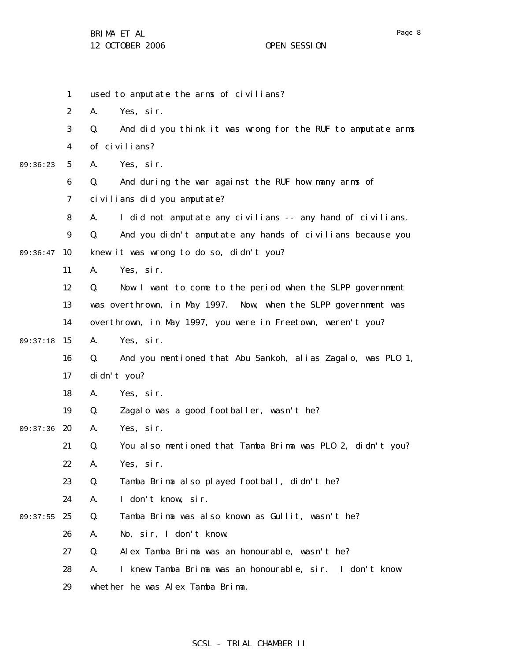|          | $\mathbf{1}$            | used to amputate the arms of civilians?                           |
|----------|-------------------------|-------------------------------------------------------------------|
|          | $\boldsymbol{2}$        | Yes, sir.<br>A.                                                   |
|          | 3                       | And did you think it was wrong for the RUF to amputate arms<br>Q. |
|          | $\overline{\mathbf{4}}$ | of civilians?                                                     |
| 09:36:23 | $\mathbf{5}$            | Yes, sir.<br>A.                                                   |
|          | 6                       | And during the war against the RUF how many arms of<br>Q.         |
|          | 7                       | civilians did you amputate?                                       |
|          | 8                       | I did not amputate any civilians -- any hand of civilians.<br>A.  |
|          | $\boldsymbol{9}$        | And you didn't amputate any hands of civilians because you<br>Q.  |
| 09:36:47 | 10                      | knew it was wrong to do so, didn't you?                           |
|          | 11                      | Yes, sir.<br>A.                                                   |
|          | 12                      | Now I want to come to the period when the SLPP government<br>Q.   |
|          | 13                      | was overthrown, in May 1997. Now, when the SLPP government was    |
|          | 14                      | overthrown, in May 1997, you were in Freetown, weren't you?       |
| 09:37:18 | 15                      | Yes, sir.<br>A.                                                   |
|          | 16                      | And you mentioned that Abu Sankoh, alias Zagalo, was PLO 1,<br>Q. |
|          | 17                      | di dn't you?                                                      |
|          | 18                      | A.<br>Yes, sir.                                                   |
|          | 19                      | Zagalo was a good footballer, wasn't he?<br>Q.                    |
| 09:37:36 | 20                      | Yes, sir.<br>A.                                                   |
|          | 21                      | You also mentioned that Tamba Brima was PLO 2, didn't you?<br>Q.  |
|          | 22                      | Yes, sir.<br>А.                                                   |
|          | 23                      | Q.<br>Tamba Brima also played football, didn't he?                |
|          | 24                      | I don't know, sir.<br>A.                                          |
| 09:37:55 | 25                      | Tamba Brima was also known as Gullit, wasn't he?<br>Q.            |
|          | 26                      | No, sir, I don't know.<br>A.                                      |
|          | 27                      | Alex Tamba Brima was an honourable, wasn't he?<br>Q.              |
|          | 28                      | I knew Tamba Brima was an honourable, sir. I don't know<br>A.     |
|          | 29                      | whether he was Alex Tamba Brima.                                  |
|          |                         |                                                                   |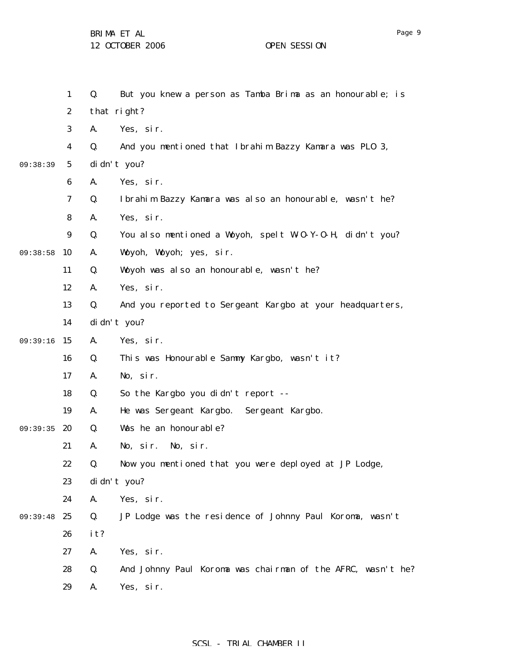BRIMA ET AL

12 OCTOBER 2006 OPEN SESSION

1 2 3 4 5 6 7 8 9 09:38:58 10 11 12 13 14 09:39:16 15 16 17 18 19 09:39:35 20 21 22 23 24 09:39:48 25 26 27 28 29 09:38:39 Q. But you knew a person as Tamba Brima as an honourable; is that right? A. Yes, sir. Q. And you mentioned that Ibrahim Bazzy Kamara was PLO 3, didn't you? A. Yes, sir. Q. Ibrahim Bazzy Kamara was also an honourable, wasn't he? A. Yes, sir. Q. You also mentioned a Woyoh, spelt W-O-Y-O-H, didn't you? A. Woyoh, Woyoh; yes, sir. Q. Woyoh was also an honourable, wasn't he? A. Yes, sir. Q. And you reported to Sergeant Kargbo at your headquarters, didn't you? A. Yes, sir. Q. This was Honourable Sammy Kargbo, wasn't it? A. No, sir. Q. So the Kargbo you didn't report -- A. He was Sergeant Kargbo. Sergeant Kargbo. Q. Was he an honourable? A. No, sir. No, sir. Q. Now you mentioned that you were deployed at JP Lodge, didn't you? A. Yes, sir. Q. JP Lodge was the residence of Johnny Paul Koroma, wasn't it? A. Yes, sir. Q. And Johnny Paul Koroma was chairman of the AFRC, wasn't he? A. Yes, sir.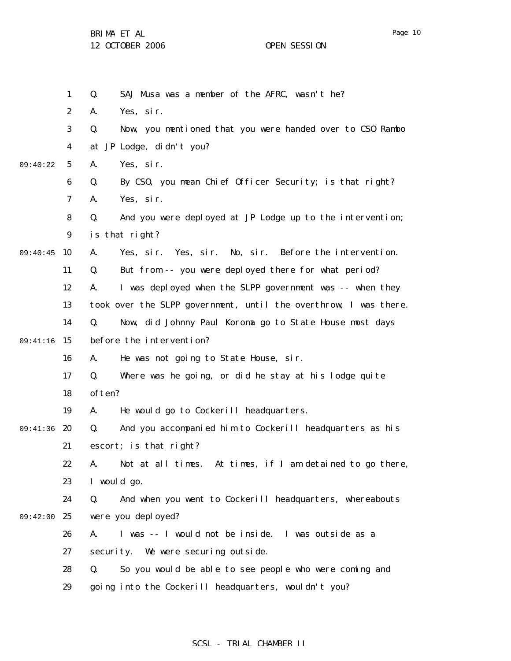BRIMA ET AL

|          | $\mathbf{1}$     | SAJ Musa was a member of the AFRC, wasn't he?<br>Q.              |
|----------|------------------|------------------------------------------------------------------|
|          | $\boldsymbol{2}$ | Yes, sir.<br>A.                                                  |
|          | 3                | Now, you mentioned that you were handed over to CSO Rambo<br>Q.  |
|          | $\boldsymbol{4}$ | at JP Lodge, didn't you?                                         |
| 09:40:22 | $\mathbf{5}$     | Yes, sir.<br>A.                                                  |
|          | $\boldsymbol{6}$ | By CSO, you mean Chief Officer Security; is that right?<br>Q.    |
|          | 7                | Yes, sir.<br>A.                                                  |
|          | 8                | Q.<br>And you were deployed at JP Lodge up to the intervention;  |
|          | $\boldsymbol{9}$ | is that right?                                                   |
| 09:40:45 | 10               | Yes, sir. Yes, sir. No, sir. Before the intervention.<br>A.      |
|          | 11               | But from -- you were deployed there for what period?<br>Q.       |
|          | 12               | I was deployed when the SLPP government was -- when they<br>A.   |
|          | 13               | took over the SLPP government, until the overthrow, I was there. |
|          | 14               | Now, did Johnny Paul Koroma go to State House most days<br>Q.    |
| 09:41:16 | 15               | before the intervention?                                         |
|          | 16               | He was not going to State House, sir.<br>A.                      |
|          | 17               | Q.<br>Where was he going, or did he stay at his lodge quite      |
|          | 18               | often?                                                           |
|          | 19               | He would go to Cockerill headquarters.<br>A.                     |
| 09:41:36 | 20               | And you accompanied him to Cockerill headquarters as his<br>Q.   |
|          | 21               | escort; is that right?                                           |
|          | 22               | Not at all times. At times, if I am detained to go there,<br>A.  |
|          | 23               | I would go.                                                      |
|          | 24               | And when you went to Cockerill headquarters, whereabouts<br>Q.   |
| 09:42:00 | 25               | were you deployed?                                               |
|          | 26               | I was -- I would not be inside. I was outside as a<br>A.         |
|          | 27               | security. We were securing outside.                              |
|          | 28               | So you would be able to see people who were coming and<br>Q.     |
|          | 29               | going into the Cockerill headquarters, wouldn't you?             |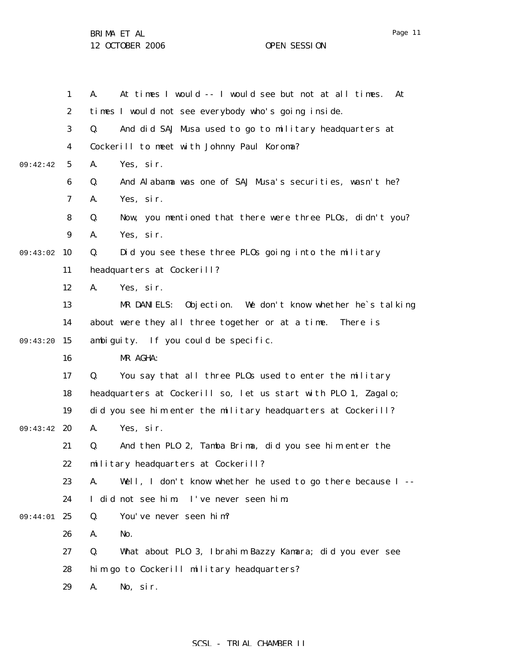1 2 3 4 5 6 7 8 9 09:43:02 10 11 12 13 14 09:43:20 15 16 17 18 19 09:43:42 20 21 22 23 24 09:44:01 25 26 27 28 29 09:42:42 A. At times I would -- I would see but not at all times. At times I would not see everybody who's going inside. Q. And did SAJ Musa used to go to military headquarters at Cockerill to meet with Johnny Paul Koroma? A. Yes, sir. Q. And Alabama was one of SAJ Musa's securities, wasn't he? A. Yes, sir. Q. Now, you mentioned that there were three PLOs, didn't you? A. Yes, sir. Q. Did you see these three PLOs going into the military headquarters at Cockerill? A. Yes, sir. MR DANIELS: Objection. We don't know whether he`s talking about were they all three together or at a time. There is ambiguity. If you could be specific. MR AGHA: Q. You say that all three PLOs used to enter the military headquarters at Cockerill so, let us start with PLO 1, Zagalo; did you see him enter the military headquarters at Cockerill? A. Yes, sir. Q. And then PLO 2, Tamba Brima, did you see him enter the military headquarters at Cockerill? A. Well, I don't know whether he used to go there because I -- I did not see him. I've never seen him. Q. You've never seen him? A. No. Q. What about PLO 3, Ibrahim Bazzy Kamara; did you ever see him go to Cockerill military headquarters? A. No, sir.

## SCSL - TRIAL CHAMBER II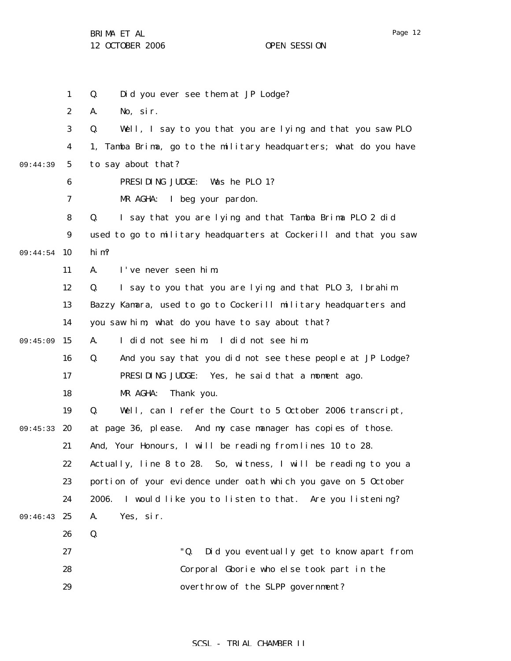BRIMA ET AL

12 OCTOBER 2006 OPEN SESSION

1 2 3 4 5 6 7 8 9 09:44:54 10 11 12 13 14 09:45:09 15 16 17 18 19 09:45:33 20 21 22 23 24 09:46:43 25 26 27 28 29 09:44:39 Q. Did you ever see them at JP Lodge? A. No, sir. Q. Well, I say to you that you are lying and that you saw PLO 1, Tamba Brima, go to the military headquarters; what do you have to say about that? PRESIDING JUDGE: Was he PLO 1? MR AGHA: I beg your pardon. Q. I say that you are lying and that Tamba Brima PLO 2 did used to go to military headquarters at Cockerill and that you saw him? A. I've never seen him. Q. I say to you that you are lying and that PLO 3, Ibrahim Bazzy Kamara, used to go to Cockerill military headquarters and you saw him; what do you have to say about that? A. I did not see him. I did not see him. Q. And you say that you did not see these people at JP Lodge? PRESIDING JUDGE: Yes, he said that a moment ago. MR AGHA: Thank you. Q. Well, can I refer the Court to 5 October 2006 transcript, at page 36, please. And my case manager has copies of those. And, Your Honours, I will be reading from lines 10 to 28. Actually, line 8 to 28. So, witness, I will be reading to you a portion of your evidence under oath which you gave on 5 October 2006. I would like you to listen to that. Are you listening? A. Yes, sir. Q. "Q. Did you eventually get to know apart from Corporal Gborie who else took part in the overthrow of the SLPP government?

## SCSL - TRIAL CHAMBER II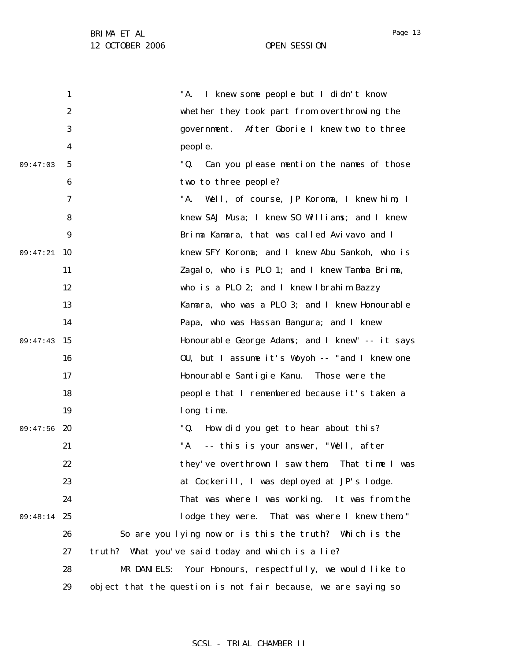|          | 1                | I knew some people but I didn't know<br>"A.                    |
|----------|------------------|----------------------------------------------------------------|
|          | $\boldsymbol{2}$ | whether they took part from overthrowing the                   |
|          | 3                | government. After Gborie I knew two to three                   |
|          | 4                | people.                                                        |
| 09:47:03 | $\mathbf{5}$     | "Q.<br>Can you please mention the names of those               |
|          | 6                | two to three people?                                           |
|          | 7                | "A.<br>Well, of course, JP Koroma, I knew him; I               |
|          | 8                | knew SAJ Musa; I knew S0 Williams; and I knew                  |
|          | $\boldsymbol{9}$ | Brima Kamara, that was called Avivavo and I                    |
| 09:47:21 | <b>10</b>        | knew SFY Koroma; and I knew Abu Sankoh, who is                 |
|          | 11               | Zagalo, who is PLO 1; and I knew Tamba Brima,                  |
|          | 12               | who is a PLO 2; and I knew Ibrahim Bazzy                       |
|          | 13               | Kamara, who was a PLO 3; and I knew Honourable                 |
|          | 14               | Papa, who was Hassan Bangura; and I knew                       |
| 09:47:43 | 15               | Honourable George Adams; and I knew" -- it says                |
|          | 16               | OU, but I assume it's Woyoh -- "and I knew one                 |
|          | 17               | Honourable Santigie Kanu. Those were the                       |
|          | 18               | people that I remembered because it's taken a                  |
|          | 19               | long time.                                                     |
| 09:47:56 | -20              | "Q.<br>How did you get to hear about this?                     |
|          | 21               | "A<br>-- this is your answer, "Well, after                     |
|          | 22               | they've overthrown I saw them. That time I was                 |
|          | 23               | at Cockerill, I was deployed at JP's lodge.                    |
|          | 24               | That was where I was working. It was from the                  |
| 09:48:14 | 25               | lodge they were. That was where I knew them."                  |
|          | 26               | So are you lying now or is this the truth? Which is the        |
|          | 27               | truth? What you've said today and which is a lie?              |
|          | 28               | Your Honours, respectfully, we would like to<br>MR DANIELS:    |
|          | 29               | object that the question is not fair because, we are saying so |

## SCSL - TRIAL CHAMBER II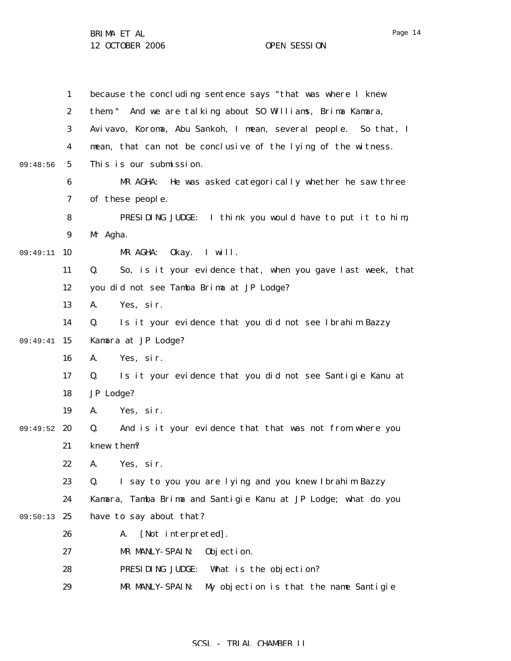1 2 3 4 5 6 7 8 9 09:49:11 10 11 12 13 14 09:49:41 15 16 17 18 19 09:49:52 20 21 22 23 24 09:50:13 25 26 27 28 29 09:48:56 because the concluding sentence says "that was where I knew them." And we are talking about SO Williams, Brima Kamara, Avivavo, Koroma, Abu Sankoh, I mean, several people. So that, I mean, that can not be conclusive of the lying of the witness. This is our submission. MR AGHA: He was asked categorically whether he saw three of these people. PRESIDING JUDGE: I think you would have to put it to him, Mr Agha. MR AGHA: Okay. I will. Q. So, is it your evidence that, when you gave last week, that you did not see Tamba Brima at JP Lodge? A. Yes, sir. Q. Is it your evidence that you did not see Ibrahim Bazzy Kamara at JP Lodge? A. Yes, sir. Q. Is it your evidence that you did not see Santigie Kanu at JP Lodge? A. Yes, sir. Q. And is it your evidence that that was not from where you knew them? A. Yes, sir. Q. I say to you you are lying and you knew Ibrahim Bazzy Kamara, Tamba Brima and Santigie Kanu at JP Lodge; what do you have to say about that? A. [Not interpreted]. MR MANLY-SPAIN: Objection. PRESIDING JUDGE: What is the objection? MR MANLY-SPAIN: My objection is that the name Santigie

## SCSL - TRIAL CHAMBER II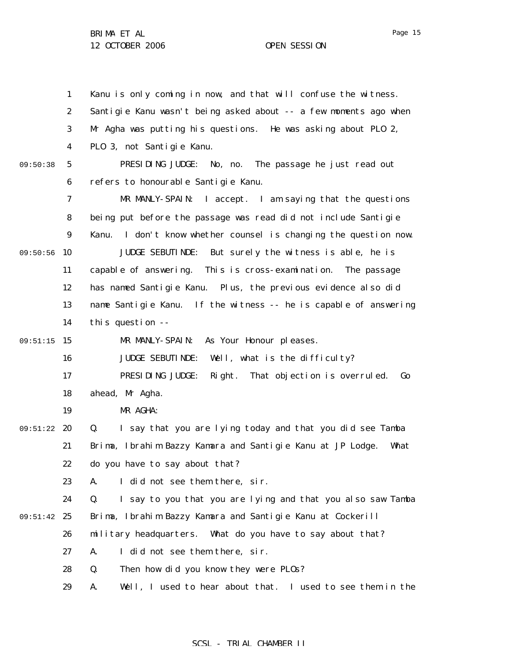1 2 3 4 5 6 7 8 9 09:50:56 10 11 12 13 14 09:51:15 15 16 17 18 19 09:51:22 20 21 22 23 24 09:51:42 25 26 27 28 29 09:50:38 Kanu is only coming in now, and that will confuse the witness. Santigie Kanu wasn't being asked about -- a few moments ago when Mr Agha was putting his questions. He was asking about PLO 2, PLO 3, not Santigie Kanu. PRESIDING JUDGE: No, no. The passage he just read out refers to honourable Santigie Kanu. MR MANLY-SPAIN: I accept. I am saying that the questions being put before the passage was read did not include Santigie Kanu. I don't know whether counsel is changing the question now. JUDGE SEBUTINDE: But surely the witness is able, he is capable of answering. This is cross-examination. The passage has named Santigie Kanu. Plus, the previous evidence also did name Santigie Kanu. If the witness -- he is capable of answering this question -- MR MANLY-SPAIN: As Your Honour pleases. JUDGE SEBUTINDE: Well, what is the difficulty? PRESIDING JUDGE: Right. That objection is overruled. Go ahead, Mr Agha. MR AGHA: Q. I say that you are lying today and that you did see Tamba Brima, Ibrahim Bazzy Kamara and Santigie Kanu at JP Lodge. What do you have to say about that? A. I did not see them there, sir. Q. I say to you that you are lying and that you also saw Tamba Brima, Ibrahim Bazzy Kamara and Santigie Kanu at Cockerill military headquarters. What do you have to say about that? A. I did not see them there, sir. Q. Then how did you know they were PLOs? A. Well, I used to hear about that. I used to see them in the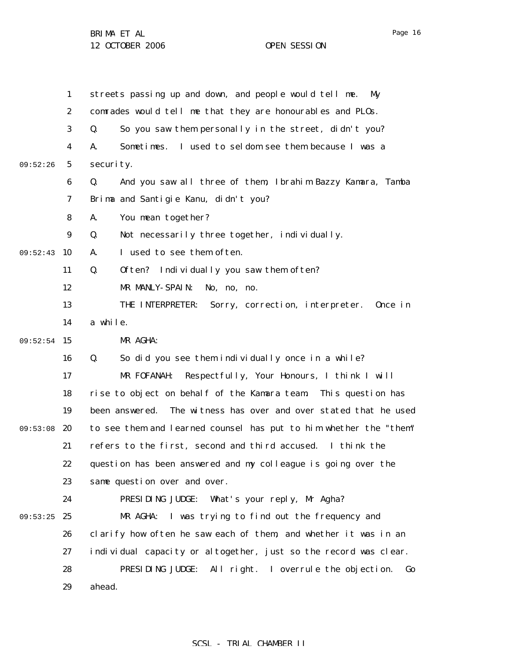Page 16

1 2 3 4 5 6 7 8 9 09:52:43 10 11 12 13 14 09:52:54 15 16 17 18 19 09:53:08 20 21 22 23 24 09:53:25 25 26 27 28 29 09:52:26 streets passing up and down, and people would tell me. My comrades would tell me that they are honourables and PLOs. Q. So you saw them personally in the street, didn't you? A. Sometimes. I used to seldom see them because I was a security. Q. And you saw all three of them, Ibrahim Bazzy Kamara, Tamba Brima and Santigie Kanu, didn't you? A. You mean together? Q. Not necessarily three together, individually. A. I used to see them often. Q. Often? Individually you saw them often? MR MANLY-SPAIN: No, no, no. THE INTERPRETER: Sorry, correction, interpreter. Once in a while. MR AGHA: Q. So did you see them individually once in a while? MR FOFANAH: Respectfully, Your Honours, I think I will rise to object on behalf of the Kamara team. This question has been answered. The witness has over and over stated that he used to see them and learned counsel has put to him whether the "them" refers to the first, second and third accused. I think the question has been answered and my colleague is going over the same question over and over. PRESIDING JUDGE: What's your reply, Mr Agha? MR AGHA: I was trying to find out the frequency and clarify how often he saw each of them, and whether it was in an individual capacity or altogether, just so the record was clear. PRESIDING JUDGE: All right. I overrule the objection. Go ahead.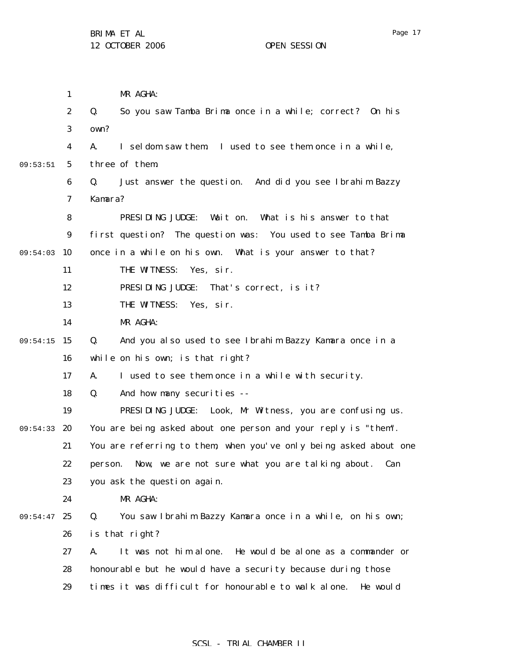1 2 3 4 5 6 7 8 9 09:54:03 10 11 12 13 14 09:54:15 15 16 17 18 19 09:54:33 20 21 22 23 24 09:54:47 25 26 27 28 29 09:53:51 MR AGHA: Q. So you saw Tamba Brima once in a while; correct? On his own? A. I seldom saw them. I used to see them once in a while, three of them. Q. Just answer the question. And did you see Ibrahim Bazzy Kamara? PRESIDING JUDGE: Wait on. What is his answer to that first question? The question was: You used to see Tamba Brima once in a while on his own. What is your answer to that? THE WITNESS: Yes, sir. PRESIDING JUDGE: That's correct, is it? THE WITNESS: Yes, sir. MR AGHA: Q. And you also used to see Ibrahim Bazzy Kamara once in a while on his own; is that right? A. I used to see them once in a while with security. Q. And how many securities -- PRESIDING JUDGE: Look, Mr Witness, you are confusing us. You are being asked about one person and your reply is "them". You are referring to them, when you've only being asked about one person. Now, we are not sure what you are talking about. Can you ask the question again. MR AGHA: Q. You saw Ibrahim Bazzy Kamara once in a while, on his own; is that right? A. It was not him alone. He would be alone as a commander or honourable but he would have a security because during those times it was difficult for honourable to walk alone. He would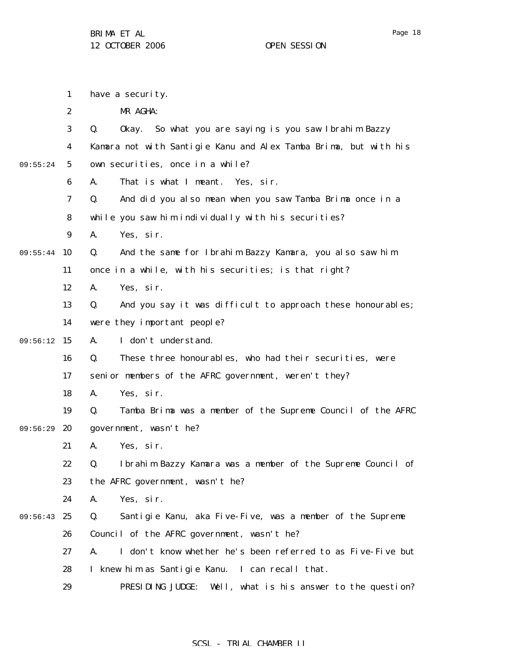|          | $\mathbf{1}$     | have a security.                                                  |
|----------|------------------|-------------------------------------------------------------------|
|          | $\boldsymbol{2}$ | MR AGHA:                                                          |
|          | 3                | Okay. So what you are saying is you saw Ibrahim Bazzy<br>Q.       |
|          | 4                | Kamara not with Santigie Kanu and Alex Tamba Brima, but with his  |
| 09:55:24 | $\sqrt{5}$       | own securities, once in a while?                                  |
|          | 6                | That is what I meant. Yes, sir.<br>A.                             |
|          | 7                | And did you also mean when you saw Tamba Brima once in a<br>Q.    |
|          | 8                | while you saw him individually with his securities?               |
|          | 9                | Yes, sir.<br>A.                                                   |
| 09:55:44 | 10               | And the same for Ibrahim Bazzy Kamara, you also saw him<br>Q.     |
|          | 11               | once in a while, with his securities; is that right?              |
|          | 12               | Yes, sir.<br>A.                                                   |
|          | 13               | And you say it was difficult to approach these honourables;<br>Q. |
|          | 14               | were they important people?                                       |
| 09:56:12 | 15               | I don't understand.<br>A.                                         |
|          | 16               | These three honourables, who had their securities, were<br>Q.     |
|          | 17               | senior members of the AFRC government, weren't they?              |
|          | 18               | Yes, sir.<br>A.                                                   |
|          | 19               | Q.<br>Tamba Brima was a member of the Supreme Council of the AFRC |
| 09:56:29 | 20               | government, wasn't he?                                            |
|          | 21               | Yes, sir.<br>A.                                                   |
|          | 22               | Ibrahim Bazzy Kamara was a member of the Supreme Council of<br>Q. |
|          | 23               | the AFRC government, wasn't he?                                   |
|          | 24               | Yes, sir.<br>A.                                                   |
| 09:56:43 | 25               | Q.<br>Santigie Kanu, aka Five-Five, was a member of the Supreme   |
|          | 26               | Council of the AFRC government, wasn't he?                        |
|          | 27               | I don't know whether he's been referred to as Five-Five but<br>A. |
|          | 28               | I knew him as Santigie Kanu. I can recall that.                   |
|          | 29               | PRESIDING JUDGE: Well, what is his answer to the question?        |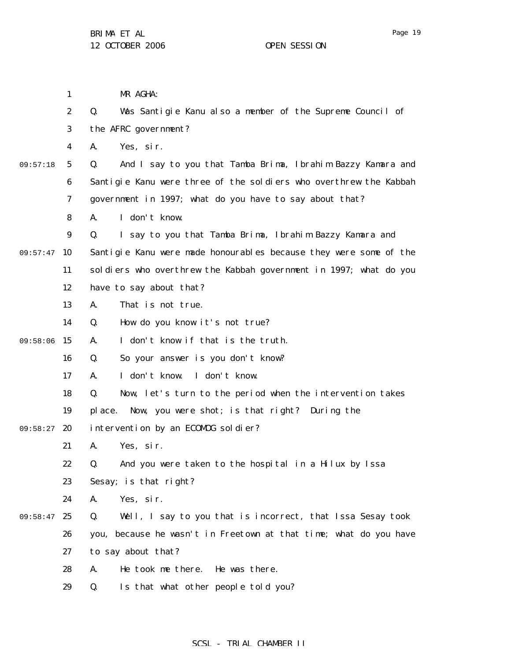1

2

3

4

5

6

7

8

9

11

12

13

14

16

17

18

19

21

22

23

09:57:47 10

09:57:18

09:58:06 15

09:58:27 20

MR AGHA: Q. Was Santigie Kanu also a member of the Supreme Council of the AFRC government? A. Yes, sir. Q. And I say to you that Tamba Brima, Ibrahim Bazzy Kamara and Santigie Kanu were three of the soldiers who overthrew the Kabbah government in 1997; what do you have to say about that? A. I don't know. Q. I say to you that Tamba Brima, Ibrahim Bazzy Kamara and Santigie Kanu were made honourables because they were some of the soldiers who overthrew the Kabbah government in 1997; what do you have to say about that? A. That is not true. Q. How do you know it's not true? A. I don't know if that is the truth. Q. So your answer is you don't know? A. I don't know. I don't know. Q. Now, let's turn to the period when the intervention takes place. Now, you were shot; is that right? During the intervention by an ECOMOG soldier? A. Yes, sir. Q. And you were taken to the hospital in a Hilux by Issa Sesay; is that right?

24 A. Yes, sir.

09:58:47 25 26 27 28 Q. Well, I say to you that is incorrect, that Issa Sesay took you, because he wasn't in Freetown at that time; what do you have to say about that? A. He took me there. He was there.

> 29 Q. Is that what other people told you?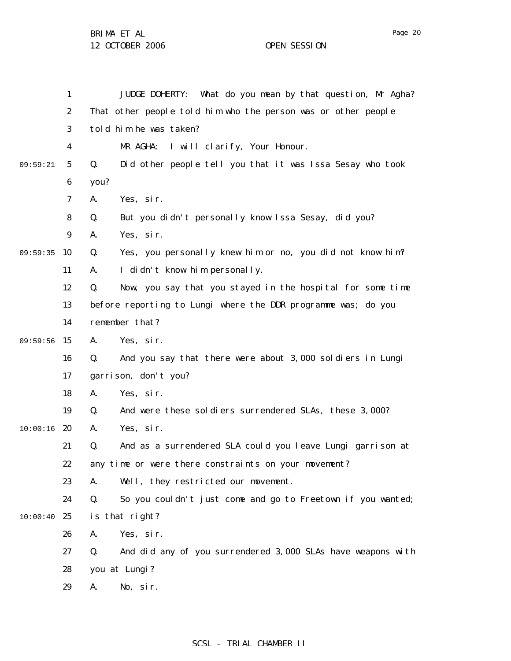|          | 1                | JUDGE DOHERTY: What do you mean by that question, Mr Agha?        |
|----------|------------------|-------------------------------------------------------------------|
|          | $\boldsymbol{2}$ | That other people told him who the person was or other people     |
|          | 3                | told him he was taken?                                            |
|          | 4                | I will clarify, Your Honour.<br>MR AGHA:                          |
| 09:59:21 | $\mathbf{5}$     | Q.<br>Did other people tell you that it was Issa Sesay who took   |
|          | $\boldsymbol{6}$ | you?                                                              |
|          | 7                | Yes, sir.<br>A.                                                   |
|          | 8                | But you didn't personally know Issa Sesay, did you?<br>Q.         |
|          | $\boldsymbol{9}$ | Yes, sir.<br>A.                                                   |
| 09:59:35 | 10               | Yes, you personally knew him or no, you did not know him?<br>Q.   |
|          | 11               | I didn't know him personally.<br>A.                               |
|          | 12               | Q.<br>Now, you say that you stayed in the hospital for some time  |
|          | 13               | before reporting to Lungi where the DDR programme was; do you     |
|          | 14               | remember that?                                                    |
| 09:59:56 | 15               | Yes, sir.<br>A.                                                   |
|          | 16               | And you say that there were about 3,000 soldiers in Lungi<br>Q.   |
|          | 17               | garrison, don't you?                                              |
|          | 18               | Yes, sir.<br>A.                                                   |
|          | 19               | And were these soldiers surrendered SLAs, these 3,000?<br>Q.      |
| 10:00:16 | 20               | Yes, sir.<br>A.                                                   |
|          | 21               | And as a surrendered SLA could you leave Lungi garrison at<br>Q.  |
|          | 22               | any time or were there constraints on your movement?              |
|          | 23               | Well, they restricted our movement.<br>А.                         |
|          | 24               | Q.<br>So you couldn't just come and go to Freetown if you wanted; |
| 10:00:40 | 25               | is that right?                                                    |
|          | 26               | Yes, sir.<br>A.                                                   |
|          | 27               | And did any of you surrendered 3,000 SLAs have weapons with<br>Q. |
|          | 28               | you at Lungi?                                                     |
|          | 29               | No, sir.<br>A.                                                    |
|          |                  |                                                                   |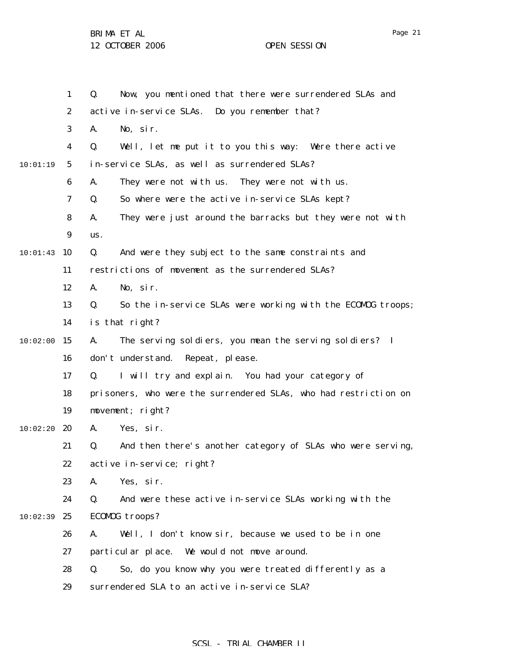BRIMA ET AL

12 OCTOBER 2006 OPEN SESSION

|          | $\mathbf{1}$     | Now, you mentioned that there were surrendered SLAs and<br>Q.     |
|----------|------------------|-------------------------------------------------------------------|
|          | $\boldsymbol{2}$ | active in-service SLAs. Do you remember that?                     |
|          | 3                | A.<br>No, sir.                                                    |
|          | $\boldsymbol{4}$ | Q.<br>Well, let me put it to you this way: Were there active      |
| 10:01:19 | $\mathbf{5}$     | in-service SLAs, as well as surrendered SLAs?                     |
|          | 6                | They were not with us. They were not with us.<br>A.               |
|          | 7                | So where were the active in-service SLAs kept?<br>Q.              |
|          | 8                | They were just around the barracks but they were not with<br>A.   |
|          | $\boldsymbol{9}$ | us.                                                               |
| 10:01:43 | 10               | And were they subject to the same constraints and<br>Q.           |
|          | 11               | restrictions of movement as the surrendered SLAs?                 |
|          | 12               | No, sir.<br>A.                                                    |
|          | 13               | So the in-service SLAs were working with the ECOMOG troops;<br>Q. |
|          | 14               | is that right?                                                    |
| 10:02:00 | 15               | The serving soldiers, you mean the serving soldiers? I<br>A.      |
|          | 16               | don't understand. Repeat, please.                                 |
|          | 17               | I will try and explain. You had your category of<br>Q.            |
|          | 18               | prisoners, who were the surrendered SLAs, who had restriction on  |
|          | 19               | movement; right?                                                  |
| 10:02:20 | 20               | Yes, sir.<br>A.                                                   |
|          | 21               | And then there's another category of SLAs who were serving,<br>Q. |
|          | 22               | active in-service; right?                                         |
|          | 23               | Yes, sir.<br>A.                                                   |
|          | 24               | Q.<br>And were these active in-service SLAs working with the      |
| 10:02:39 | 25               | ECOMOG troops?                                                    |
|          | 26               | Well, I don't know sir, because we used to be in one<br>A.        |
|          | 27               | particular place. We would not move around.                       |
|          | 28               | So, do you know why you were treated differently as a<br>Q.       |
|          | 29               | surrendered SLA to an active in-service SLA?                      |

# SCSL - TRIAL CHAMBER II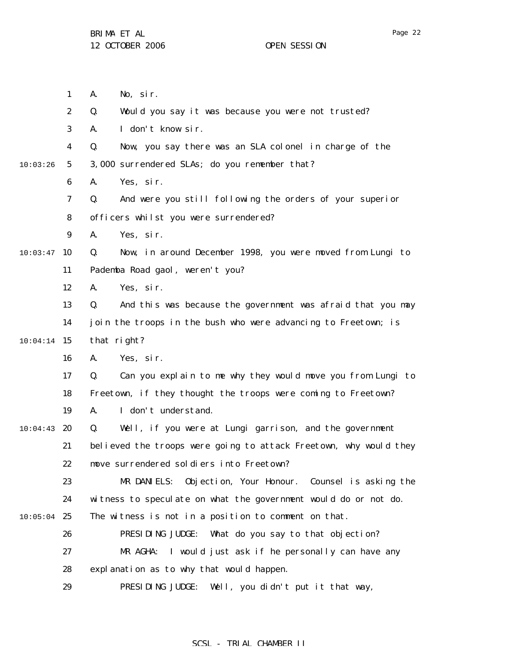|          | $\mathbf{1}$     | No, sir.<br>A.                                                    |
|----------|------------------|-------------------------------------------------------------------|
|          | $\boldsymbol{2}$ | Q.<br>Would you say it was because you were not trusted?          |
|          | 3                | I don't know sir.<br>A.                                           |
|          | 4                | Now, you say there was an SLA colonel in charge of the<br>Q.      |
| 10:03:26 | 5                | 3,000 surrendered SLAs; do you remember that?                     |
|          | $\boldsymbol{6}$ | Yes, sir.<br>A.                                                   |
|          | 7                | And were you still following the orders of your superior<br>Q.    |
|          | 8                | officers whilst you were surrendered?                             |
|          | 9                | Yes, sir.<br>A.                                                   |
| 10:03:47 | 10               | Now, in around December 1998, you were moved from Lungi to<br>Q.  |
|          | 11               | Pademba Road gaol, weren't you?                                   |
|          | 12               | Yes, sir.<br>A.                                                   |
|          | 13               | And this was because the government was afraid that you may<br>Q. |
|          | 14               | join the troops in the bush who were advancing to Freetown; is    |
| 10:04:14 | 15               | that right?                                                       |
|          | 16               | Yes, sir.<br>A.                                                   |
|          | 17               | Can you explain to me why they would move you from Lungi to<br>Q. |
|          | 18               | Freetown, if they thought the troops were coming to Freetown?     |
|          | 19               | I don't understand.<br>A.                                         |
| 10:04:43 | 20               | Well, if you were at Lungi garrison, and the government<br>Q.     |
|          | 21               | believed the troops were going to attack Freetown, why would they |
|          | 22               | move surrendered soldiers into Freetown?                          |
|          | 23               | MR DANIELS:<br>Objection, Your Honour.<br>Counsel is asking the   |
|          | 24               | witness to speculate on what the government would do or not do.   |
| 10:05:04 | 25               | The witness is not in a position to comment on that.              |
|          | 26               | PRESIDING JUDGE: What do you say to that objection?               |
|          | 27               | MR AGHA:<br>I would just ask if he personally can have any        |
|          | 28               | explanation as to why that would happen.                          |
|          | 29               | PRESIDING JUDGE:<br>Well, you didn't put it that way,             |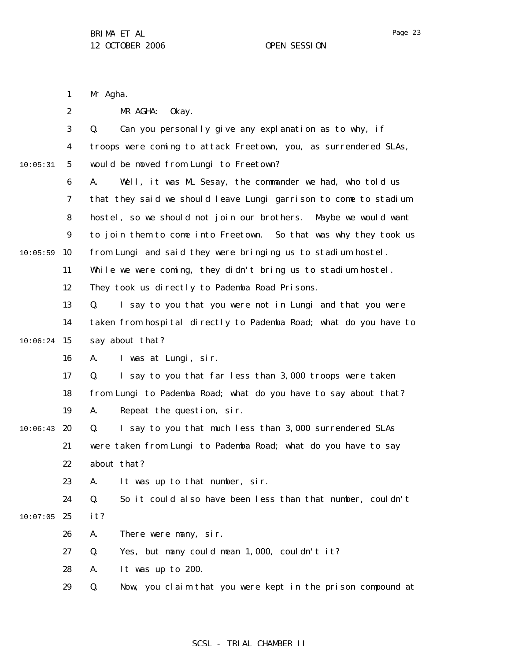|          | $\mathbf{1}$     | Mr Agha.                                                          |
|----------|------------------|-------------------------------------------------------------------|
|          | $\boldsymbol{2}$ | MR AGHA:<br>0kay.                                                 |
|          | 3                | Can you personally give any explanation as to why, if<br>Q.       |
|          | 4                | troops were coming to attack Freetown, you, as surrendered SLAs,  |
| 10:05:31 | $\mathbf{5}$     | would be moved from Lungi to Freetown?                            |
|          | 6                | Well, it was ML Sesay, the commander we had, who told us<br>A.    |
|          | 7                | that they said we should leave Lungi garrison to come to stadium  |
|          | 8                | hostel, so we should not join our brothers. Maybe we would want   |
|          | $\boldsymbol{9}$ | to join them to come into Freetown. So that was why they took us  |
| 10:05:59 | 10               | from Lungi and said they were bringing us to stadium hostel.      |
|          | 11               | While we were coming, they didn't bring us to stadium hostel.     |
|          | 12               | They took us directly to Pademba Road Prisons.                    |
|          | 13               | I say to you that you were not in Lungi and that you were<br>Q.   |
|          | 14               | taken from hospital directly to Pademba Road; what do you have to |
| 10:06:24 | 15               | say about that?                                                   |
|          | 16               | I was at Lungi, sir.<br>A.                                        |
|          | 17               | I say to you that far less than 3,000 troops were taken<br>Q.     |
|          | 18               | from Lungi to Pademba Road; what do you have to say about that?   |
|          | 19               | Repeat the question, sir.<br>A.                                   |
| 10:06:43 | 20               | I say to you that much less than 3,000 surrendered SLAs<br>Q.     |
|          | 21               | were taken from Lungi to Pademba Road; what do you have to say    |
|          | 22               | about that?                                                       |
|          | 23               | It was up to that number, sir.<br>A.                              |
|          | 24               | Q.<br>So it could also have been less than that number, couldn't  |
| 10:07:05 | 25               | it?                                                               |
|          | 26               | There were many, sir.<br>A.                                       |
|          | 27               | Yes, but many could mean 1,000, couldn't it?<br>Q.                |
|          | 28               | It was up to 200.<br>A.                                           |
|          | 29               | Q.<br>Now, you claim that you were kept in the prison compound at |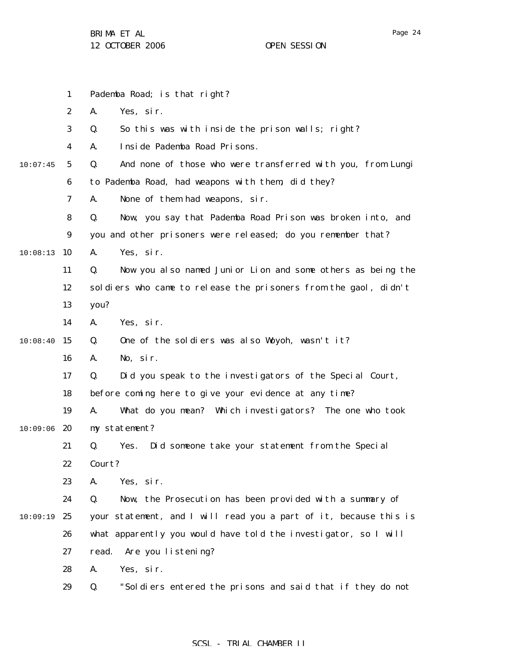1 2 3 4 5 6 7 8 9 10:08:13 10 11 12 13 14  $10:08:40$  15 16 17 18 19  $10:09:06$  20 21 22 23 24 10:09:19 25 26 27 28 29 10:07:45 Pademba Road; is that right? A. Yes, sir. Q. So this was with inside the prison walls; right? A. Inside Pademba Road Prisons. Q. And none of those who were transferred with you, from Lungi to Pademba Road, had weapons with them, did they? A. None of them had weapons, sir. Q. Now, you say that Pademba Road Prison was broken into, and you and other prisoners were released; do you remember that? A. Yes, sir. Q. Now you also named Junior Lion and some others as being the soldiers who came to release the prisoners from the gaol, didn't you? A. Yes, sir. Q. One of the soldiers was also Woyoh, wasn't it? A. No, sir. Q. Did you speak to the investigators of the Special Court, before coming here to give your evidence at any time? A. What do you mean? Which investigators? The one who took my statement? Q. Yes. Did someone take your statement from the Special Court? A. Yes, sir. Q. Now, the Prosecution has been provided with a summary of your statement, and I will read you a part of it, because this is what apparently you would have told the investigator, so I will read. Are you listening? A. Yes, sir. Q. "Soldiers entered the prisons and said that if they do not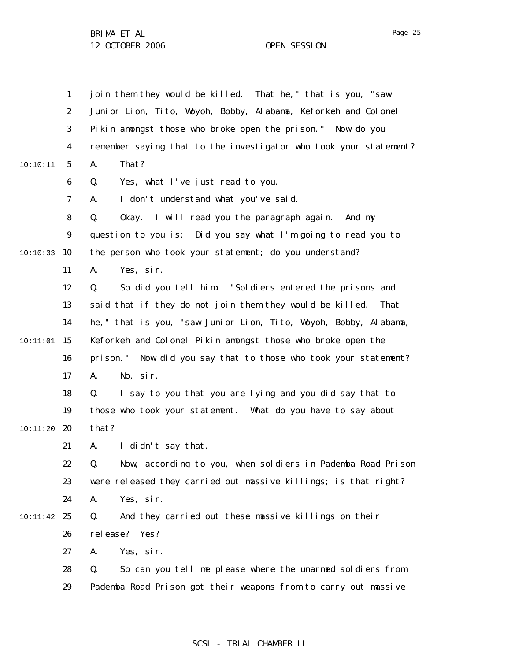|          | $\mathbf{1}$     | join them they would be killed. That he," that is you, "saw       |
|----------|------------------|-------------------------------------------------------------------|
|          | $\boldsymbol{2}$ | Junior Lion, Tito, Woyoh, Bobby, Alabama, Keforkeh and Colonel    |
|          | 3                | Pikin amongst those who broke open the prison." Now do you        |
|          | 4                | remember saying that to the investigator who took your statement? |
| 10:10:11 | $\mathbf{5}$     | That?<br>A.                                                       |
|          | $\boldsymbol{6}$ | Q.<br>Yes, what I've just read to you.                            |
|          | 7                | I don't understand what you've said.<br>A.                        |
|          | 8                | Okay. I will read you the paragraph again.<br>Q.<br>And my        |
|          | $\boldsymbol{9}$ | question to you is: Did you say what I'm going to read you to     |
| 10:10:33 | 10               | the person who took your statement; do you understand?            |
|          | 11               | Yes, sir.<br>A.                                                   |
|          | 12               | So did you tell him: "Soldiers entered the prisons and<br>Q.      |
|          | 13               | said that if they do not join them they would be killed.<br>That  |
|          | 14               | he, " that is you, "saw Junior Lion, Tito, Woyoh, Bobby, Alabama, |
| 10:11:01 | 15               | Keforkeh and Colonel Pikin amongst those who broke open the       |
|          | 16               | prison." Now did you say that to those who took your statement?   |
|          | 17               | No, sir.<br>A.                                                    |
|          | 18               | I say to you that you are lying and you did say that to<br>Q.     |
|          | 19               | those who took your statement. What do you have to say about      |
| 10:11:20 | 20               | that?                                                             |
|          | 21               | I didn't say that.<br>A.                                          |
|          | 22               | Now, according to you, when soldiers in Pademba Road Prison<br>Q. |
|          | 23               | were released they carried out massive killings; is that right?   |
|          | 24               | Yes, sir.<br>A.                                                   |
| 10:11:42 | 25               | Q.<br>And they carried out these massive killings on their        |
|          | 26               | release? Yes?                                                     |
|          | 27               | Yes, sir.<br>A.                                                   |
|          | 28               | So can you tell me please where the unarmed soldiers from<br>Q.   |
|          | 29               | Pademba Road Prison got their weapons from to carry out massive   |
|          |                  |                                                                   |

# SCSL - TRIAL CHAMBER II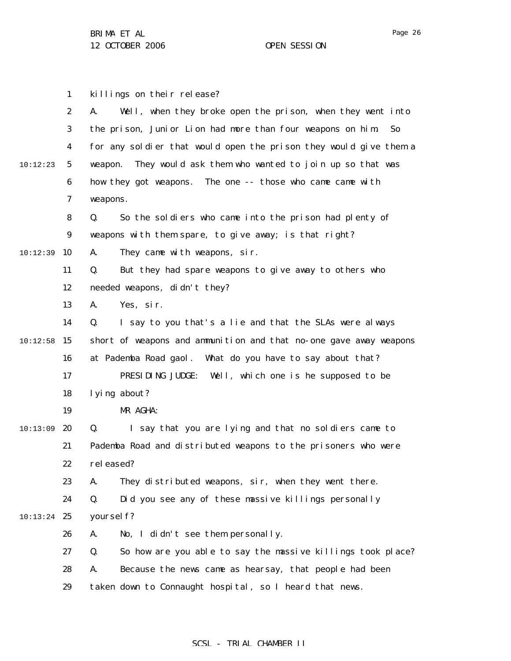1 2 3 4 5 6 7 8 9 10:12:39 10 11 12 13 14  $10:12:58$  15 16 17 18 19 20 21 22 23 24  $10:13:24$  25 26 27 28 29 10:12:23 10:13:09 killings on their release? A. Well, when they broke open the prison, when they went into the prison, Junior Lion had more than four weapons on him. So for any soldier that would open the prison they would give them a weapon. They would ask them who wanted to join up so that was how they got weapons. The one -- those who came came with weapons. Q. So the soldiers who came into the prison had plenty of weapons with them spare, to give away; is that right? A. They came with weapons, sir. Q. But they had spare weapons to give away to others who needed weapons, didn't they? A. Yes, sir. Q. I say to you that's a lie and that the SLAs were always short of weapons and ammunition and that no-one gave away weapons at Pademba Road gaol. What do you have to say about that? PRESIDING JUDGE: Well, which one is he supposed to be lying about? MR AGHA: Q. I say that you are lying and that no soldiers came to Pademba Road and distributed weapons to the prisoners who were rel eased? A. They distributed weapons, sir, when they went there. Q. Did you see any of these massive killings personally yourself? A. No, I didn't see them personally. Q. So how are you able to say the massive killings took place? A. Because the news came as hearsay, that people had been taken down to Connaught hospital, so I heard that news.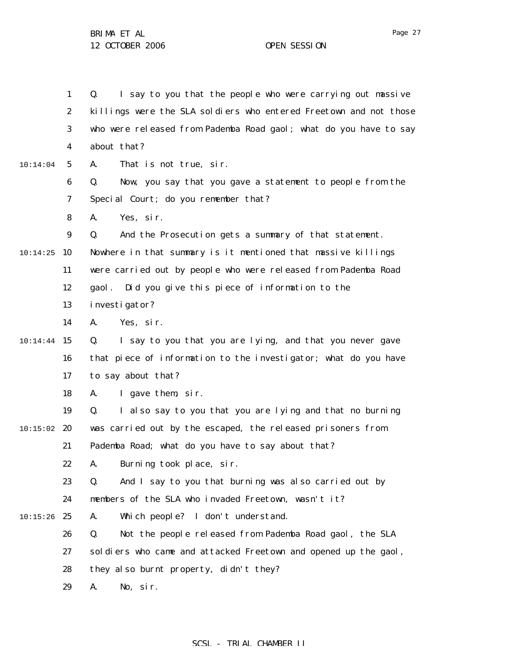1 2 3 4 5 6 7 8 9  $10:14:25$  10 11 12 13 14  $10:14:44$  15 16 17 18 19  $10:15:02$  20 21 22 23 24  $10:15:26$  25 26 27 28 29 10:14:04 Q. I say to you that the people who were carrying out massive killings were the SLA soldiers who entered Freetown and not those who were released from Pademba Road gaol; what do you have to say about that? A. That is not true, sir. Q. Now, you say that you gave a statement to people from the Special Court; do you remember that? A. Yes, sir. Q. And the Prosecution gets a summary of that statement. Nowhere in that summary is it mentioned that massive killings were carried out by people who were released from Pademba Road gaol. Did you give this piece of information to the investigator? A. Yes, sir. Q. I say to you that you are lying, and that you never gave that piece of information to the investigator; what do you have to say about that? A. I gave them, sir. Q. I also say to you that you are lying and that no burning was carried out by the escaped, the released prisoners from Pademba Road; what do you have to say about that? A. Burning took place, sir. Q. And I say to you that burning was also carried out by members of the SLA who invaded Freetown, wasn't it? A. Which people? I don't understand. Q. Not the people released from Pademba Road gaol, the SLA soldiers who came and attacked Freetown and opened up the gaol, they also burnt property, didn't they? A. No, sir.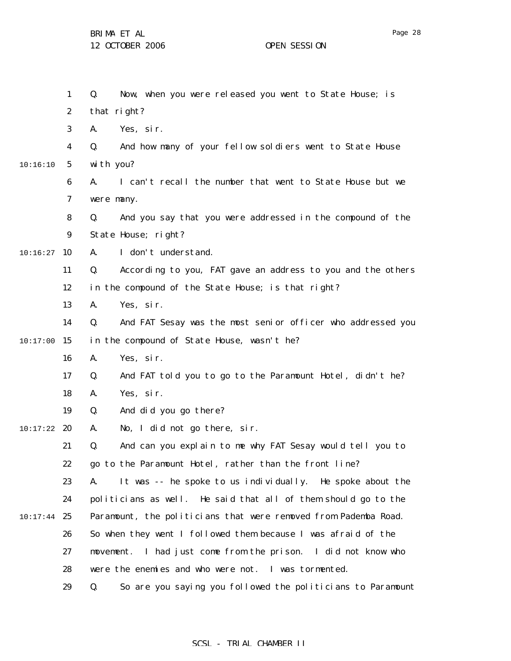1 2 3 4 5 6 7 8 9  $10:16:27$  10 11 12 13 14  $10:17:00$  15 16 17 18 19  $10:17:22$  20 21 22 23 24  $10:17:44$  25 26 27 28 29 10:16:10 Q. Now, when you were released you went to State House; is that right? A. Yes, sir. Q. And how many of your fellow soldiers went to State House with you? A. I can't recall the number that went to State House but we were many. Q. And you say that you were addressed in the compound of the State House; right? A. I don't understand. Q. According to you, FAT gave an address to you and the others in the compound of the State House; is that right? A. Yes, sir. Q. And FAT Sesay was the most senior officer who addressed you in the compound of State House, wasn't he? A. Yes, sir. Q. And FAT told you to go to the Paramount Hotel, didn't he? A. Yes, sir. Q. And did you go there? A. No, I did not go there, sir. Q. And can you explain to me why FAT Sesay would tell you to go to the Paramount Hotel, rather than the front line? A. It was -- he spoke to us individually. He spoke about the politicians as well. He said that all of them should go to the Paramount, the politicians that were removed from Pademba Road. So when they went I followed them because I was afraid of the movement. I had just come from the prison. I did not know who were the enemies and who were not. I was tormented. Q. So are you saying you followed the politicians to Paramount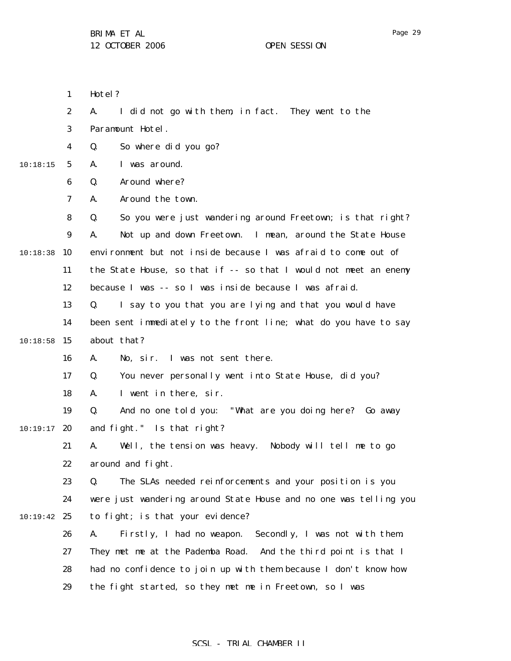1 Hotel?

|          | $\boldsymbol{2}$ | I did not go with them, in fact. They went to the<br>A.           |
|----------|------------------|-------------------------------------------------------------------|
|          | 3                | Paramount Hotel.                                                  |
|          | $\boldsymbol{4}$ | So where did you go?<br>Q.                                        |
| 10:18:15 | 5                | I was around.<br>A.                                               |
|          | 6                | Around where?<br>Q.                                               |
|          | 7                | Around the town.<br>A.                                            |
|          | 8                | So you were just wandering around Freetown; is that right?<br>Q.  |
|          | 9                | Not up and down Freetown. I mean, around the State House<br>A.    |
| 10:18:38 | 10               | environment but not inside because I was afraid to come out of    |
|          | 11               | the State House, so that if -- so that I would not meet an enemy  |
|          | 12               | because I was -- so I was inside because I was afraid.            |
|          | 13               | I say to you that you are lying and that you would have<br>Q.     |
|          | 14               | been sent immediately to the front line; what do you have to say  |
| 10:18:58 | 15               | about that?                                                       |
|          | 16               | I was not sent there.<br>A.<br>No, sir.                           |
|          | 17               | You never personally went into State House, did you?<br>Q.        |
|          | 18               | I went in there, sir.<br>A.                                       |
|          | 19               | And no one told you: "What are you doing here? Go away<br>Q.      |
| 10:19:17 | 20               | and fight." Is that right?                                        |
|          | 21               | Well, the tension was heavy. Nobody will tell me to go<br>A.      |
|          | 22               | around and fight.                                                 |
|          | 23               | The SLAs needed reinforcements and your position is you<br>Q.     |
|          | 24               | were just wandering around State House and no one was telling you |
| 10:19:42 | 25               | to fight; is that your evidence?                                  |
|          | 26               | Firstly, I had no weapon.<br>Secondly, I was not with them.<br>A. |
|          | 27               | They met me at the Pademba Road.<br>And the third point is that I |
|          | 28               | had no confidence to join up with them because I don't know how   |
|          | 29               | the fight started, so they met me in Freetown, so I was           |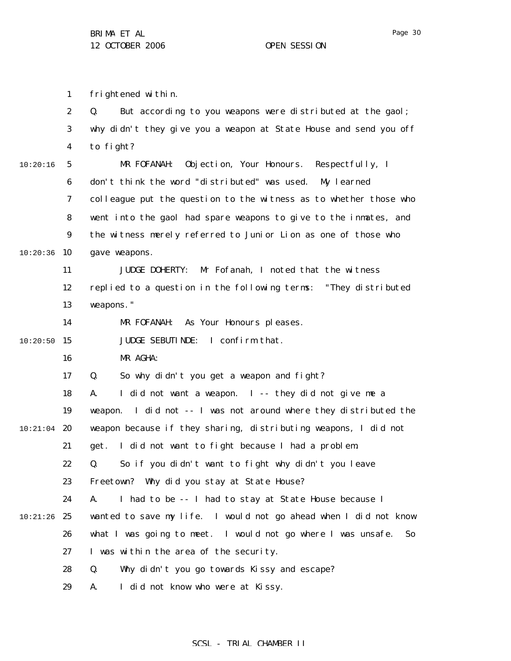1 frightened within.

|          | $\boldsymbol{2}$ | But according to you weapons were distributed at the gaol;<br>Q.    |
|----------|------------------|---------------------------------------------------------------------|
|          | $\bf{3}$         | why didn't they give you a weapon at State House and send you off   |
|          | $\boldsymbol{4}$ | to fight?                                                           |
| 10:20:16 | $\mathbf{5}$     | Objection, Your Honours. Respectfully, I<br>MR FOFANAH:             |
|          | 6                | don't think the word "distributed" was used. My learned             |
|          | $\boldsymbol{7}$ | colleague put the question to the witness as to whether those who   |
|          | 8                | went into the gaol had spare weapons to give to the inmates, and    |
|          | $\boldsymbol{9}$ | the witness merely referred to Junior Lion as one of those who      |
| 10:20:36 | 10               | gave weapons.                                                       |
|          | 11               | Mr Fofanah, I noted that the witness<br><b>JUDGE DOHERTY:</b>       |
|          | 12               | replied to a question in the following terms: "They distributed     |
|          | 13               | weapons."                                                           |
|          | 14               | As Your Honours pleases.<br>MR FOFANAH:                             |
| 10:20:50 | 15               | JUDGE SEBUTINDE: I confirm that.                                    |
|          | 16               | MR AGHA:                                                            |
|          | 17               | So why didn't you get a weapon and fight?<br>Q.                     |
|          | 18               | I did not want a weapon. I -- they did not give me a<br>A.          |
|          | 19               | I did not -- I was not around where they distributed the<br>weapon. |
| 10:21:04 | 20               | weapon because if they sharing, distributing weapons, I did not     |
|          | 21               | I did not want to fight because I had a problem.<br>get.            |
|          | 22               | So if you didn't want to fight why didn't you leave<br>Q.           |
|          | 23               | Freetown? Why did you stay at State House?                          |
|          | 24               | I had to be -- I had to stay at State House because I<br>A.         |
| 10:21:26 | 25               | wanted to save my life. I would not go ahead when I did not know    |
|          | 26               | what I was going to meet. I would not go where I was unsafe.<br>So  |
|          | 27               | I was within the area of the security.                              |
|          | 28               | Why didn't you go towards Kissy and escape?<br>Q.                   |
|          | 29               | I did not know who were at Kissy.<br>A.                             |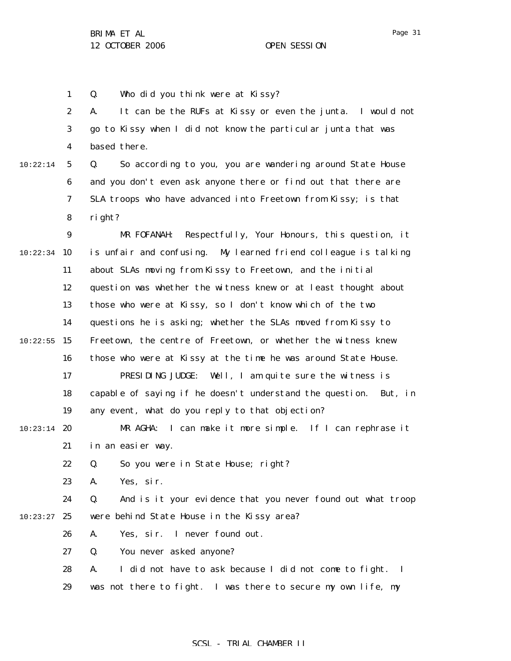1 Q. Who did you think were at Kissy?

2 3 4 A. It can be the RUFs at Kissy or even the junta. I would not go to Kissy when I did not know the particular junta that was based there.

10:22:14

5 6 7 8 Q. So according to you, you are wandering around State House and you don't even ask anyone there or find out that there are SLA troops who have advanced into Freetown from Kissy; is that right?

9 10:22:34 10 11 12 13 14  $10:22:55$  15 16 17 18 19  $10:23:14$  20 21 22 23 24  $10:23:27$  25 26 27 MR FOFANAH: Respectfully, Your Honours, this question, it is unfair and confusing. My learned friend colleague is talking about SLAs moving from Kissy to Freetown, and the initial question was whether the witness knew or at least thought about those who were at Kissy, so I don't know which of the two questions he is asking; whether the SLAs moved from Kissy to Freetown, the centre of Freetown, or whether the witness knew those who were at Kissy at the time he was around State House. PRESIDING JUDGE: Well, I am quite sure the witness is capable of saying if he doesn't understand the question. But, in any event, what do you reply to that objection? MR AGHA: I can make it more simple. If I can rephrase it in an easier way. Q. So you were in State House; right? A. Yes, sir. Q. And is it your evidence that you never found out what troop were behind State House in the Kissy area? A. Yes, sir. I never found out. Q. You never asked anyone?

> 28 29 A. I did not have to ask because I did not come to fight. I was not there to fight. I was there to secure my own life, my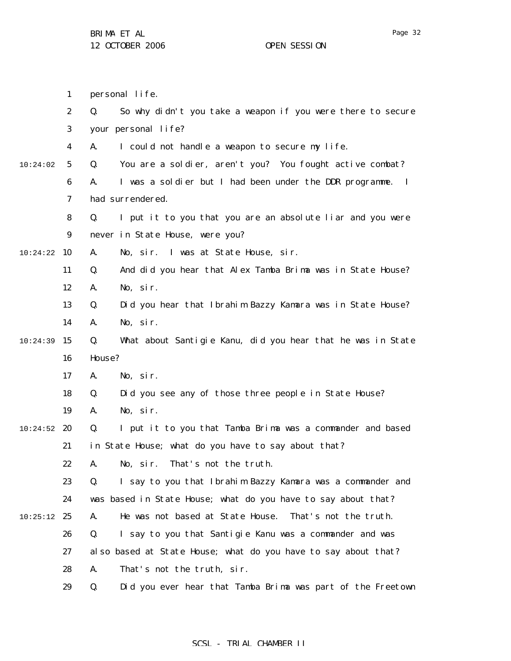1 2 3 4 5 6 7 8 9 10 10:24:22 11 12 13 14  $10:24:39$  15 16 17 18 19  $10:24:52$  20 21 22 23 24  $10:25:12$  25 26 27 28 29 10:24:02 personal life. Q. So why didn't you take a weapon if you were there to secure your personal life? A. I could not handle a weapon to secure my life. Q. You are a soldier, aren't you? You fought active combat? A. I was a soldier but I had been under the DDR programme. I had surrendered. Q. I put it to you that you are an absolute liar and you were never in State House, were you? A. No, sir. I was at State House, sir. Q. And did you hear that Alex Tamba Brima was in State House? A. No, sir. Q. Did you hear that Ibrahim Bazzy Kamara was in State House? A. No, sir. Q. What about Santigie Kanu, did you hear that he was in State House? A. No, sir. Q. Did you see any of those three people in State House? A. No, sir. Q. I put it to you that Tamba Brima was a commander and based in State House; what do you have to say about that? A. No, sir. That's not the truth. Q. I say to you that Ibrahim Bazzy Kamara was a commander and was based in State House; what do you have to say about that? A. He was not based at State House. That's not the truth. Q. I say to you that Santigie Kanu was a commander and was also based at State House; what do you have to say about that? A. That's not the truth, sir. Q. Did you ever hear that Tamba Brima was part of the Freetown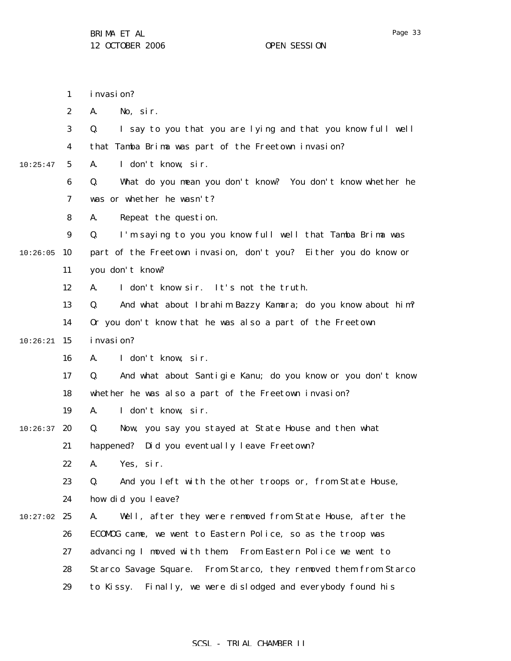1 2 3 4 5 6 7 8 9  $10:26:05$  10 11 12 13 14  $10:26:21$  15 16 17 18 19  $10:26:37$  20 21 22 23 24  $10:27:02$  25 26 27 28 10:25:47 invasion? A. No, sir. Q. I say to you that you are lying and that you know full well that Tamba Brima was part of the Freetown invasion? A. I don't know, sir. Q. What do you mean you don't know? You don't know whether he was or whether he wasn't? A. Repeat the question. Q. I'm saying to you you know full well that Tamba Brima was part of the Freetown invasion, don't you? Either you do know or you don't know? A. I don't know sir. It's not the truth. Q. And what about Ibrahim Bazzy Kamara; do you know about him? Or you don't know that he was also a part of the Freetown invasion? A. I don't know, sir. Q. And what about Santigie Kanu; do you know or you don't know whether he was also a part of the Freetown invasion? A. I don't know, sir. Q. Now, you say you stayed at State House and then what happened? Did you eventually leave Freetown? A. Yes, sir. Q. And you left with the other troops or, from State House, how did you leave? A. Well, after they were removed from State House, after the ECOMOG came, we went to Eastern Police, so as the troop was advancing I moved with them. From Eastern Police we went to Starco Savage Square. From Starco, they removed them from Starco

> 29 to Kissy. Finally, we were dislodged and everybody found his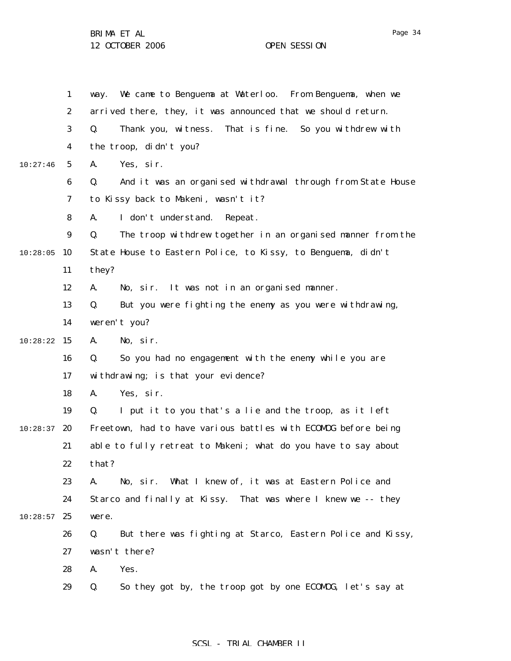1 2 3 4 5 6 7 8 9 10:28:05 10 11 12 13 14  $10:28:22$  15 16 17 18 19  $10:28:37$  20 21 22 23 24  $10:28:57$  25 26 27 28 29 10:27:46 way. We came to Benguema at Waterloo. From Benguema, when we arrived there, they, it was announced that we should return. Q. Thank you, witness. That is fine. So you withdrew with the troop, didn't you? A. Yes, sir. Q. And it was an organised withdrawal through from State House to Kissy back to Makeni, wasn't it? A. I don't understand. Repeat. Q. The troop withdrew together in an organised manner from the State House to Eastern Police, to Kissy, to Benguema, didn't they? A. No, sir. It was not in an organised manner. Q. But you were fighting the enemy as you were withdrawing, weren't you? A. No, sir. Q. So you had no engagement with the enemy while you are withdrawing; is that your evidence? A. Yes, sir. Q. I put it to you that's a lie and the troop, as it left Freetown, had to have various battles with ECOMOG before being able to fully retreat to Makeni; what do you have to say about that? A. No, sir. What I knew of, it was at Eastern Police and Starco and finally at Kissy. That was where I knew we -- they were. Q. But there was fighting at Starco, Eastern Police and Kissy, wasn't there? A. Yes. Q. So they got by, the troop got by one ECOMOG, let's say at

## SCSL - TRIAL CHAMBER II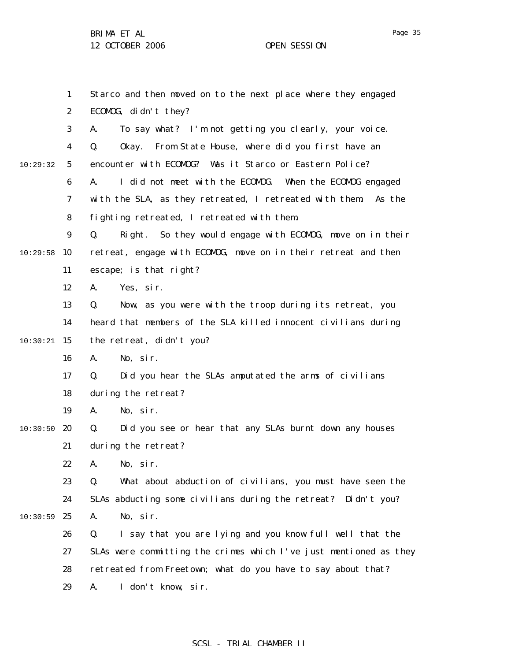1 2 3 4 5 6 7 8 9  $10:29:58$  10 11 12 13 14  $10:30:21$  15 16 17 18 19  $10:30:50$  20 21 22 23 24  $10:30:59$  25 26 27 28 29 10:29:32 Starco and then moved on to the next place where they engaged ECOMOG, didn't they? A. To say what? I'm not getting you clearly, your voice. Q. Okay. From State House, where did you first have an encounter with ECOMOG? Was it Starco or Eastern Police? A. I did not meet with the ECOMOG. When the ECOMOG engaged with the SLA, as they retreated, I retreated with them. As the fighting retreated, I retreated with them. Q. Right. So they would engage with ECOMOG, move on in their retreat, engage with ECOMOG, move on in their retreat and then escape; is that right? A. Yes, sir. Q. Now, as you were with the troop during its retreat, you heard that members of the SLA killed innocent civilians during the retreat, didn't you? A. No, sir. Q. Did you hear the SLAs amputated the arms of civilians during the retreat? A. No, sir. Q. Did you see or hear that any SLAs burnt down any houses during the retreat? A. No, sir. Q. What about abduction of civilians, you must have seen the SLAs abducting some civilians during the retreat? Didn't you? A. No, sir. Q. I say that you are lying and you know full well that the SLAs were committing the crimes which I've just mentioned as they retreated from Freetown; what do you have to say about that? A. I don't know, sir.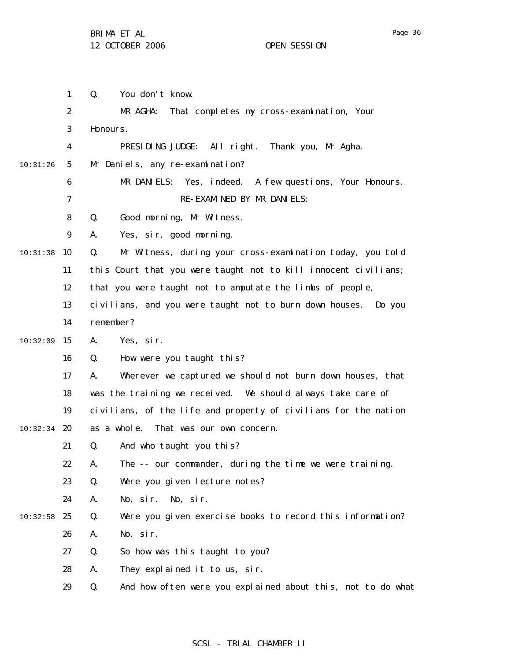|          | $\mathbf{1}$     | Q.<br>You don't know.                                             |
|----------|------------------|-------------------------------------------------------------------|
|          | $\boldsymbol{2}$ | MR AGHA:<br>That completes my cross-examination, Your             |
|          | 3                | Honours.                                                          |
|          | 4                | PRESIDING JUDGE: All right.<br>Thank you, Mr Agha.                |
| 10:31:26 | $5\phantom{.0}$  | Mr Daniels, any re-examination?                                   |
|          | 6                | MR DANIELS: Yes, indeed. A few questions, Your Honours.           |
|          | 7                | RE-EXAMINED BY MR DANIELS:                                        |
|          | 8                | Good morning, Mr Witness.<br>Q.                                   |
|          | 9                | Yes, sir, good morning.<br>A.                                     |
| 10:31:38 | 10               | Q.<br>Mr Witness, during your cross-examination today, you told   |
|          | 11               | this Court that you were taught not to kill innocent civilians;   |
|          | 12               | that you were taught not to amputate the limbs of people,         |
|          | 13               | civilians, and you were taught not to burn down houses. Do you    |
|          | 14               | remember?                                                         |
| 10:32:09 | 15               | A.<br>Yes, sir.                                                   |
|          | 16               | How were you taught this?<br>Q.                                   |
|          | 17               | Wherever we captured we should not burn down houses, that<br>A.   |
|          | 18               | was the training we received. We should always take care of       |
|          | 19               | civilians, of the life and property of civilians for the nation   |
| 10:32:34 | 20               | as a whole.<br>That was our own concern.                          |
|          | 21               | And who taught you this?<br>Q.                                    |
|          | 22               | The -- our commander, during the time we were training.<br>A.     |
|          | 23               | Q.<br>Were you given lecture notes?                               |
|          | 24               | A.<br>No, sir.<br>No, sir.                                        |
| 10:32:58 | 25               | Q.<br>Were you given exercise books to record this information?   |
|          | 26               | No, sir.<br>A.                                                    |
|          | 27               | So how was this taught to you?<br>Q.                              |
|          | 28               | A.<br>They explained it to us, sir.                               |
|          | 29               | And how often were you explained about this, not to do what<br>Q. |
|          |                  |                                                                   |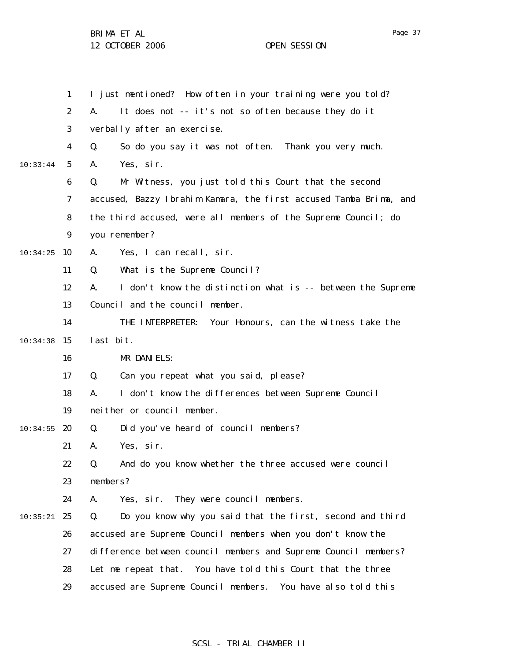1 2 3 4 5 6 7 8 9  $10:34:25$  10 11 12 13 14  $10:34:38$  15 16 17 18 19  $10:34:55$  20 21 22 23 24  $10:35:21$  25 26 27 28 29 10:33:44 I just mentioned? How often in your training were you told? A. It does not -- it's not so often because they do it verbally after an exercise. Q. So do you say it was not often. Thank you very much. A. Yes, sir. Q. Mr Witness, you just told this Court that the second accused, Bazzy Ibrahim Kamara, the first accused Tamba Brima, and the third accused, were all members of the Supreme Council; do you remember? A. Yes, I can recall, sir. Q. What is the Supreme Council? A. I don't know the distinction what is -- between the Supreme Council and the council member. THE INTERPRETER: Your Honours, can the witness take the last bit. MR DANIELS: Q. Can you repeat what you said, please? A. I don't know the differences between Supreme Council neither or council member. Q. Did you've heard of council members? A. Yes, sir. Q. And do you know whether the three accused were council members? A. Yes, sir. They were council members. Q. Do you know why you said that the first, second and third accused are Supreme Council members when you don't know the difference between council members and Supreme Council members? Let me repeat that. You have told this Court that the three accused are Supreme Council members. You have also told this

Page 37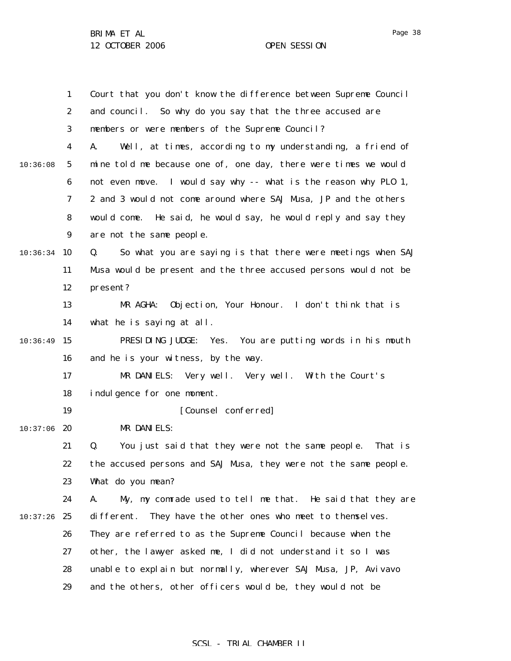1 2 3 4 5 6 7 8 9 10:36:34 10 11 12 13 14  $10:36:49$  15 16 17 18 19  $10:37:06$  20 21 22 23 24  $10:37:26$  25 26 27 28 29 10:36:08 Court that you don't know the difference between Supreme Council and council. So why do you say that the three accused are members or were members of the Supreme Council? A. Well, at times, according to my understanding, a friend of mine told me because one of, one day, there were times we would not even move. I would say why -- what is the reason why PLO 1, 2 and 3 would not come around where SAJ Musa, JP and the others would come. He said, he would say, he would reply and say they are not the same people. Q. So what you are saying is that there were meetings when SAJ Musa would be present and the three accused persons would not be present? MR AGHA: Objection, Your Honour. I don't think that is what he is saying at all. PRESIDING JUDGE: Yes. You are putting words in his mouth and he is your witness, by the way. MR DANIELS: Very well. Very well. With the Court's indulgence for one moment. [Counsel conferred] MR DANIELS: Q. You just said that they were not the same people. That is the accused persons and SAJ Musa, they were not the same people. What do you mean? A. My, my comrade used to tell me that. He said that they are different. They have the other ones who meet to themselves. They are referred to as the Supreme Council because when the other, the lawyer asked me, I did not understand it so I was unable to explain but normally, wherever SAJ Musa, JP, Avivavo and the others, other officers would be, they would not be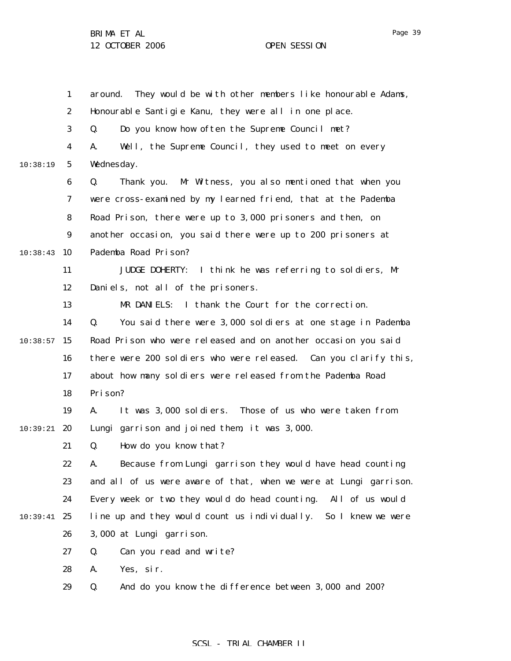1 2 3 4 5 6 7 8 9 10:38:43 10 11 12 13 14  $10:38:57$  15 16 17 18 19 10:39:21 **20** 21 22 23 24 10:39:41 25 26 27 28 29 10:38:19 around. They would be with other members like honourable Adams, Honourable Santigie Kanu, they were all in one place. Q. Do you know how often the Supreme Council met? A. Well, the Supreme Council, they used to meet on every Wednesday. Q. Thank you. Mr Witness, you also mentioned that when you were cross-examined by my learned friend, that at the Pademba Road Prison, there were up to 3,000 prisoners and then, on another occasion, you said there were up to 200 prisoners at Pademba Road Prison? JUDGE DOHERTY: I think he was referring to soldiers, Mr Daniels, not all of the prisoners. MR DANIELS: I thank the Court for the correction. Q. You said there were 3,000 soldiers at one stage in Pademba Road Prison who were released and on another occasion you said there were 200 soldiers who were released. Can you clarify this, about how many soldiers were released from the Pademba Road Prison? A. It was 3,000 soldiers. Those of us who were taken from Lungi garrison and joined them, it was 3,000. Q. How do you know that? A. Because from Lungi garrison they would have head counting and all of us were aware of that, when we were at Lungi garrison. Every week or two they would do head counting. All of us would line up and they would count us individually. So I knew we were 3,000 at Lungi garrison. Q. Can you read and write? A. Yes, sir. Q. And do you know the difference between 3,000 and 200?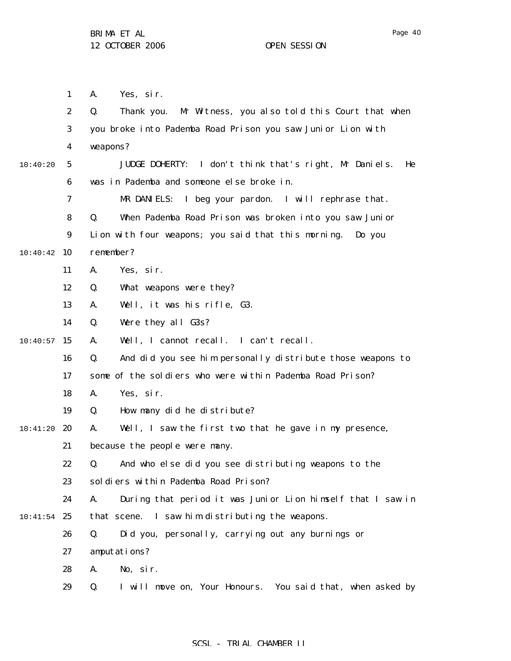1 2 3 4 5 6 7 8 9 10:40:42 10 11 12 13 14  $10:40:57$  15 16 17 18 19 10:41:20 **20** 21 22 23 24  $10:41:54$  25 26 27 28 29 10:40:20 A. Yes, sir. Q. Thank you. Mr Witness, you also told this Court that when you broke into Pademba Road Prison you saw Junior Lion with weapons? JUDGE DOHERTY: I don't think that's right, Mr Daniels. He was in Pademba and someone else broke in. MR DANIELS: I beg your pardon. I will rephrase that. Q. When Pademba Road Prison was broken into you saw Junior Lion with four weapons; you said that this morning. Do you remember? A. Yes, sir. Q. What weapons were they? A. Well, it was his rifle, G3. Q. Were they all G3s? A. Well, I cannot recall. I can't recall. Q. And did you see him personally distribute those weapons to some of the soldiers who were within Pademba Road Prison? A. Yes, sir. Q. How many did he distribute? A. Well, I saw the first two that he gave in my presence, because the people were many. Q. And who else did you see distributing weapons to the soldiers within Pademba Road Prison? A. During that period it was Junior Lion himself that I saw in that scene. I saw him distributing the weapons. Q. Did you, personally, carrying out any burnings or amputations? A. No, sir. Q. I will move on, Your Honours. You said that, when asked by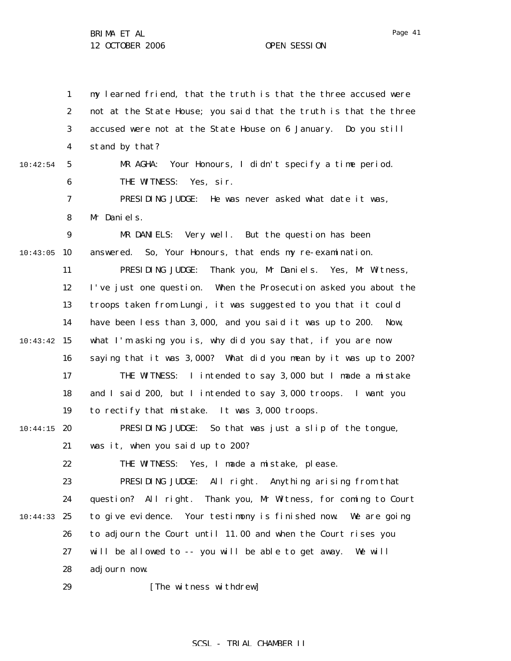1 2 3 4 5 6 7 8 9 10:43:05 10 11 12 13 14  $10:43:42$  15 16 17 18 19  $10:44:15$  20 21 22 23 24 10:44:33 25 26 27 28 29 10:42:54 my learned friend, that the truth is that the three accused were not at the State House; you said that the truth is that the three accused were not at the State House on 6 January. Do you still stand by that? MR AGHA: Your Honours, I didn't specify a time period. THE WITNESS: Yes. sir. PRESIDING JUDGE: He was never asked what date it was, Mr Daniels. MR DANIELS: Very well. But the question has been answered. So, Your Honours, that ends my re-examination. PRESIDING JUDGE: Thank you, Mr Daniels. Yes, Mr Witness, I've just one question. When the Prosecution asked you about the troops taken from Lungi, it was suggested to you that it could have been less than 3,000, and you said it was up to 200. Now, what I'm asking you is, why did you say that, if you are now saying that it was 3,000? What did you mean by it was up to 200? THE WITNESS: I intended to say 3,000 but I made a mistake and I said 200, but I intended to say 3,000 troops. I want you to rectify that mistake. It was 3,000 troops. PRESIDING JUDGE: So that was just a slip of the tongue, was it, when you said up to 200? THE WITNESS: Yes, I made a mistake, please. PRESIDING JUDGE: All right. Anything arising from that question? All right. Thank you, Mr Witness, for coming to Court to give evidence. Your testimony is finished now. We are going to adjourn the Court until 11.00 and when the Court rises you will be allowed to -- you will be able to get away. We will adjourn now. [The witness withdrew]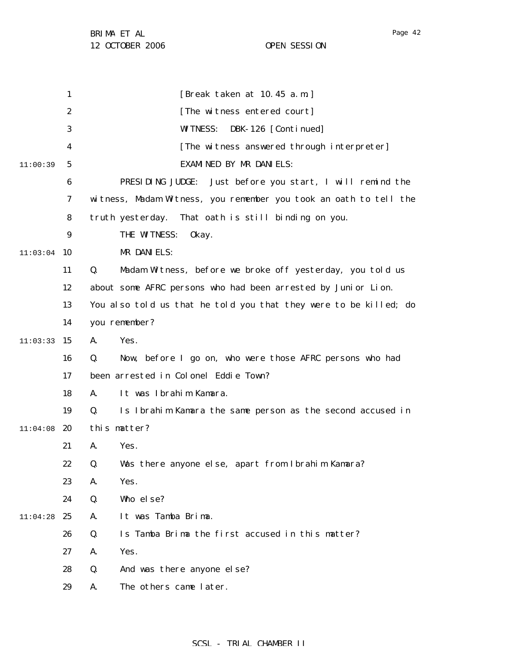1 2 3 4 5 6 7 8 9  $11:03:04$  10 11 12 13 14  $11:03:33$  15 16 17 18 19  $11:04:08$  20 21 22 23 24 11:04:28 25 26 27 28 29 11:00:39 [Break taken at 10.45 a.m.] [The witness entered court] WITNESS: DBK-126 [Continued] [The witness answered through interpreter] EXAMINED BY MR DANIELS: PRESIDING JUDGE: Just before you start, I will remind the witness, Madam Witness, you remember you took an oath to tell the truth yesterday. That oath is still binding on you. THE WITNESS: 0kay. MR DANIELS: Q. Madam Witness, before we broke off yesterday, you told us about some AFRC persons who had been arrested by Junior Lion. You also told us that he told you that they were to be killed; do you remember? A. Yes. Q. Now, before I go on, who were those AFRC persons who had been arrested in Colonel Eddie Town? A. It was Ibrahim Kamara. Q. Is Ibrahim Kamara the same person as the second accused in this matter? A. Yes. Q. Was there anyone else, apart from Ibrahim Kamara? A. Yes. Q. Who else? A. It was Tamba Brima. Q. Is Tamba Brima the first accused in this matter? A. Yes. Q. And was there anyone else? A. The others came later.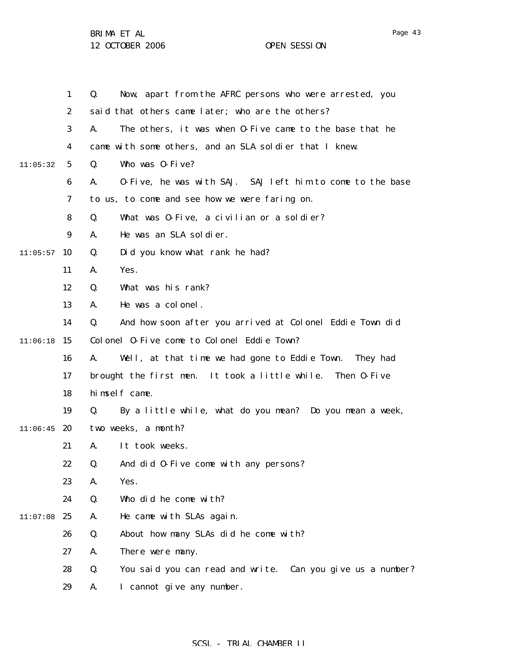|          | $\mathbf{1}$     | Now, apart from the AFRC persons who were arrested, you<br>Q.    |
|----------|------------------|------------------------------------------------------------------|
|          | $\boldsymbol{2}$ | said that others came later; who are the others?                 |
|          | 3                | A.<br>The others, it was when 0-Five came to the base that he    |
|          | 4                | came with some others, and an SLA soldier that I knew.           |
| 11:05:32 | 5                | Who was 0-Five?<br>Q.                                            |
|          | 6                | 0-Five, he was with SAJ. SAJ left him to come to the base<br>A.  |
|          | 7                | to us, to come and see how we were faring on.                    |
|          | 8                | What was 0-Five, a civilian or a soldier?<br>Q.                  |
|          | 9                | He was an SLA soldier.<br>A.                                     |
| 11:05:57 | 10               | Did you know what rank he had?<br>Q.                             |
|          | 11               | Yes.<br>A.                                                       |
|          | 12               | What was his rank?<br>Q.                                         |
|          | 13               | He was a colonel.<br>A.                                          |
|          | 14               | And how soon after you arrived at Colonel Eddie Town did<br>Q.   |
| 11:06:18 | -15              | Colonel 0-Five come to Colonel Eddie Town?                       |
|          | 16               | A.<br>Well, at that time we had gone to Eddie Town. They had     |
|          | 17               | brought the first men. It took a little while. Then 0-Five       |
|          | 18               | himself came.                                                    |
|          | 19               | Q.<br>By a little while, what do you mean? Do you mean a week,   |
| 11:06:45 | 20               | two weeks, a month?                                              |
|          | 21               | It took weeks.<br>A.                                             |
|          | 22               | Q.<br>And did 0-Five come with any persons?                      |
|          | 23               | A.<br>Yes.                                                       |
|          | 24               | Q.<br>Who did he come with?                                      |
| 11:07:08 | 25               | He came with SLAs again.<br>A.                                   |
|          | 26               | Q.<br>About how many SLAs did he come with?                      |
|          | 27               | A.<br>There were many.                                           |
|          | 28               | Q.<br>You said you can read and write. Can you give us a number? |
|          | 29               | I cannot give any number.<br>A.                                  |

Page 43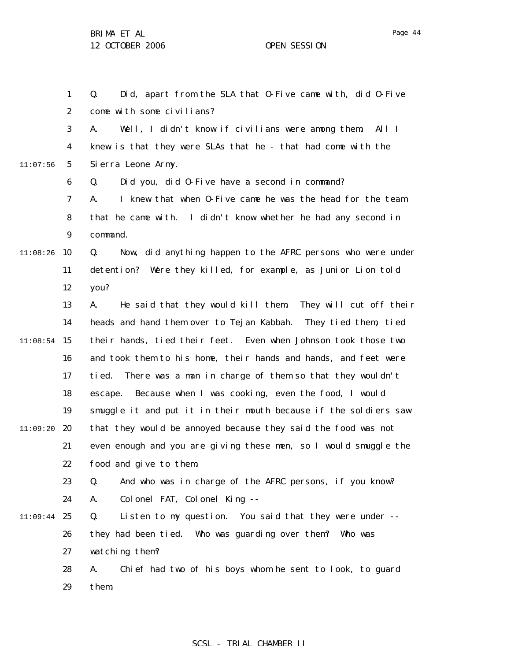1 2 3 4 5 6 7 8 9  $11:08:26$  10 11 12 13 14  $11:08:54$  15 16 17 18 19 11:09:20 20 21 22 23 24 11:09:44 25 26 27 28 29 11:07:56 Q. Did, apart from the SLA that O-Five came with, did O-Five come with some civilians? A. Well, I didn't know if civilians were among them. All I knew is that they were SLAs that he - that had come with the Sierra Leone Army. Q. Did you, did O-Five have a second in command? A. I knew that when O-Five came he was the head for the team that he came with. I didn't know whether he had any second in command. Q. Now, did anything happen to the AFRC persons who were under detention? Were they killed, for example, as Junior Lion told you? A. He said that they would kill them. They will cut off their heads and hand them over to Tejan Kabbah. They tied them, tied their hands, tied their feet. Even when Johnson took those two and took them to his home, their hands and hands, and feet were tied. There was a man in charge of them so that they wouldn't escape. Because when I was cooking, even the food, I would smuggle it and put it in their mouth because if the soldiers saw that they would be annoyed because they said the food was not even enough and you are giving these men, so I would smuggle the food and give to them. Q. And who was in charge of the AFRC persons, if you know? A. Colonel FAT, Colonel King -- Q. Listen to my question. You said that they were under - they had been tied. Who was guarding over them? Who was watching them? A. Chief had two of his boys whom he sent to look, to guard them.

### SCSL - TRIAL CHAMBER II

Page 44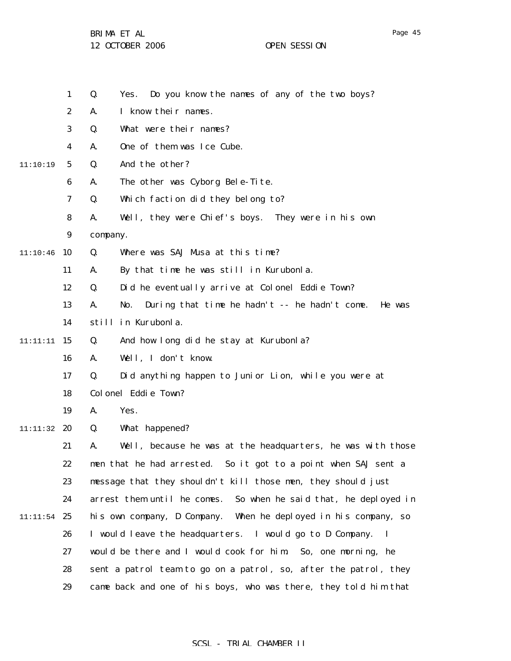|          | $\mathbf{1}$     | Do you know the names of any of the two boys?<br>Q.<br>Yes.           |
|----------|------------------|-----------------------------------------------------------------------|
|          | $\boldsymbol{2}$ | I know their names.<br>A.                                             |
|          | 3                | What were their names?<br>Q.                                          |
|          | 4                | One of them was Ice Cube.<br>A.                                       |
| 11:10:19 | $\sqrt{5}$       | And the other?<br>Q.                                                  |
|          | 6                | The other was Cyborg Bele-Tite.<br>A.                                 |
|          | 7                | Which faction did they belong to?<br>Q.                               |
|          | 8                | Well, they were Chief's boys. They were in his own<br>A.              |
|          | $\boldsymbol{9}$ | company.                                                              |
| 11:10:46 | 10               | Where was SAJ Musa at this time?<br>Q.                                |
|          | 11               | By that time he was still in Kurubonla.<br>A.                         |
|          | 12               | Did he eventually arrive at Colonel Eddie Town?<br>Q.                 |
|          | 13               | During that time he hadn't $-$ he hadn't come.<br>A.<br>No.<br>He was |
|          | 14               | still in Kurubonla.                                                   |
| 11:11:11 | 15               | And how long did he stay at Kurubonla?<br>Q.                          |
|          | 16               | Well, I don't know.<br>A.                                             |
|          | 17               | Did anything happen to Junior Lion, while you were at<br>Q.           |
|          | 18               | Colonel Eddie Town?                                                   |
|          | 19               | Yes.<br>A.                                                            |
| 11:11:32 | 20               | What happened?<br>Q.                                                  |
|          | 21               | Well, because he was at the headquarters, he was with those<br>A.     |
|          | 22               | men that he had arrested. So it got to a point when SAJ sent a        |
|          | 23               | message that they shouldn't kill those men, they should just          |
|          | 24               | arrest them until he comes.<br>So when he said that, he deployed in   |
| 11:11:54 | 25               | his own company, D Company.<br>When he deployed in his company, so    |
|          | 26               | I would leave the headquarters. I would go to D Company.<br>$\bf{I}$  |
|          | 27               | would be there and I would cook for him. So, one morning, he          |
|          | 28               | sent a patrol team to go on a patrol, so, after the patrol, they      |
|          | 29               | came back and one of his boys, who was there, they told him that      |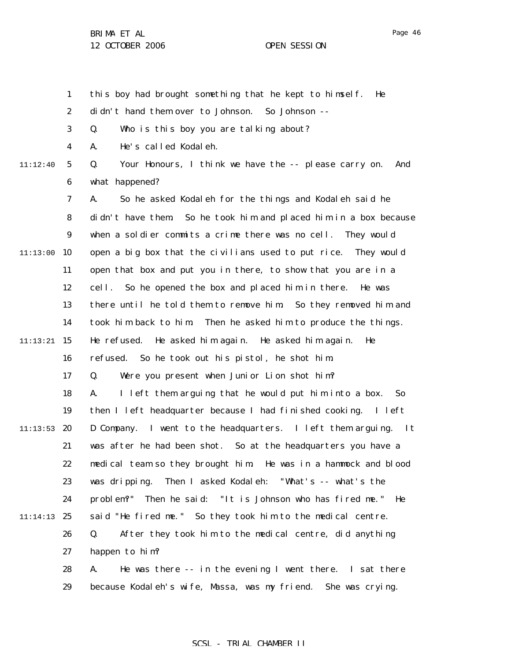1 2 3 4 5 6 7 8 9  $11:13:00$  10 11 12 13 14 11:13:21 **15** 16 17 18 19  $11:13:53$  20 21 22 23 24 11:14:13 25 26 27 28 29 11:12:40 this boy had brought something that he kept to himself. He didn't hand them over to Johnson. So Johnson -- Q. Who is this boy you are talking about? A. He's called Kodaleh. Q. Your Honours, I think we have the -- please carry on. And what happened? A. So he asked Kodaleh for the things and Kodaleh said he didn't have them. So he took him and placed him in a box because when a soldier commits a crime there was no cell. They would open a big box that the civilians used to put rice. They would open that box and put you in there, to show that you are in a cell. So he opened the box and placed him in there. He was there until he told them to remove him. So they removed him and took him back to him. Then he asked him to produce the things. He refused. He asked him again. He asked him again. He refused. So he took out his pistol, he shot him. Q. Were you present when Junior Lion shot him? A. I left them arguing that he would put him into a box. So then I left headquarter because I had finished cooking. I left D Company. I went to the headquarters. I left them arguing. It was after he had been shot. So at the headquarters you have a medical team so they brought him. He was in a hammock and blood was dripping. Then I asked Kodaleh: "What's -- what's the problem?" Then he said: "It is Johnson who has fired me." He said "He fired me." So they took him to the medical centre. Q. After they took him to the medical centre, did anything happen to him? A. He was there -- in the evening I went there. I sat there because Kodaleh's wife, Massa, was my friend. She was crying.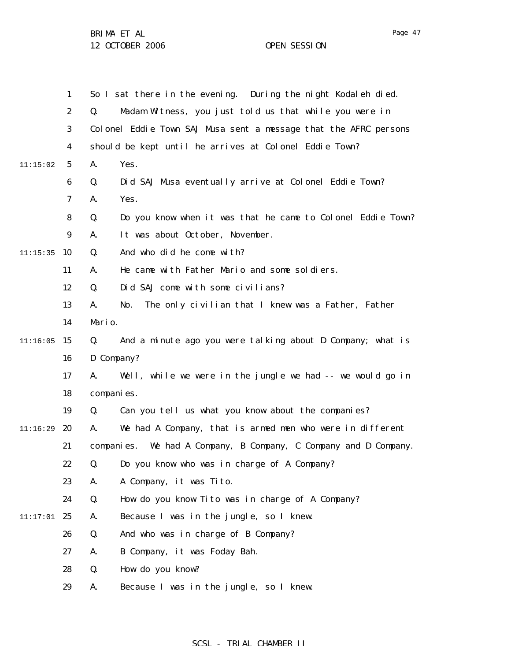1 2 3 4 5 6 7 8 9  $11:15:35$  10 11 12 13 14  $11:16:05$  15 16 17 18 19 11:16:29 **20** 21 22 23 24 11:17:01 25 26 27 28 29 11:15:02 So I sat there in the evening. During the night Kodaleh died. Q. Madam Witness, you just told us that while you were in Colonel Eddie Town SAJ Musa sent a message that the AFRC persons should be kept until he arrives at Colonel Eddie Town? A. Yes. Q. Did SAJ Musa eventually arrive at Colonel Eddie Town? A. Yes. Q. Do you know when it was that he came to Colonel Eddie Town? A. It was about October, November. Q. And who did he come with? A. He came with Father Mario and some soldiers. Q. Did SAJ come with some civilians? A. No. The only civilian that I knew was a Father, Father Mario. Q. And a minute ago you were talking about D Company; what is D Company? A. Well, while we were in the jungle we had -- we would go in companies. Q. Can you tell us what you know about the companies? A. We had A Company, that is armed men who were in different companies. We had A Company, B Company, C Company and D Company. Q. Do you know who was in charge of A Company? A. A Company, it was Tito. Q. How do you know Tito was in charge of A Company? A. Because I was in the jungle, so I knew. Q. And who was in charge of B Company? A. B Company, it was Foday Bah. Q. How do you know? A. Because I was in the jungle, so I knew.

## SCSL - TRIAL CHAMBER II

Page 47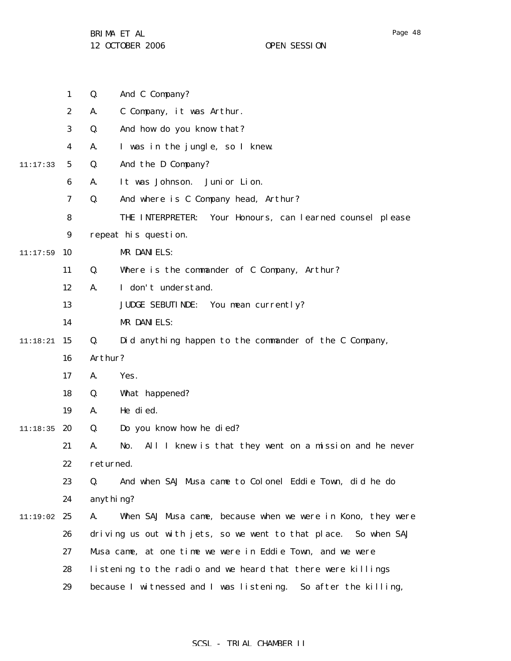1 2 3 4 5 6 7 8 9  $11:17:59$  10 11 12 13 14 11:18:21 15 16 17 18 19  $11:18:35$  20 21 22 23 24 11:19:02 25 26 27 28 29 11:17:33 Q. And C Company? A. C Company, it was Arthur. Q. And how do you know that? A. I was in the jungle, so I knew. Q. And the D Company? A. It was Johnson. Junior Lion. Q. And where is C Company head, Arthur? THE INTERPRETER: Your Honours, can learned counsel please repeat his question. MR DANIELS: Q. Where is the commander of C Company, Arthur? A. I don't understand. JUDGE SEBUTINDE: You mean currently? MR DANIELS: Q. Did anything happen to the commander of the C Company, Arthur? A. Yes. Q. What happened? A. He died. Q. Do you know how he died? A. No. All I knew is that they went on a mission and he never returned. Q. And when SAJ Musa came to Colonel Eddie Town, did he do anything? A. When SAJ Musa came, because when we were in Kono, they were driving us out with jets, so we went to that place. So when SAJ Musa came, at one time we were in Eddie Town, and we were listening to the radio and we heard that there were killings because I witnessed and I was listening. So after the killing,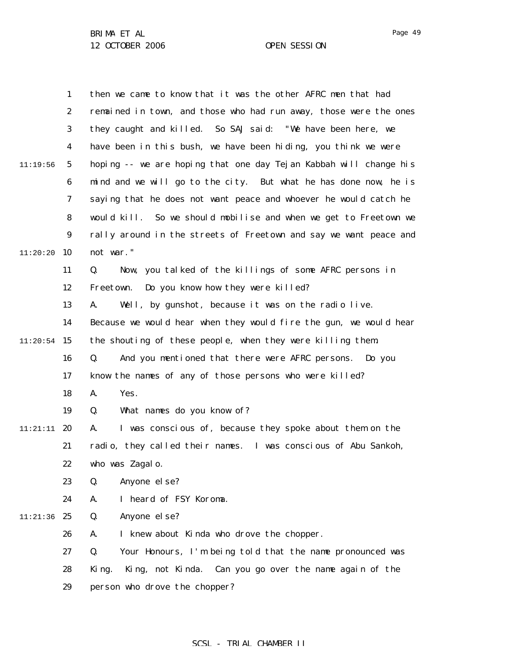1 2 3 4 5 6 7 8 9  $11:20:20$  10 11 12 13 14  $11:20:54$  15 16 17 18 19 11:21:11 **20** 21 22 23 24 11:21:36 25 26 27 28 29 11:19:56 then we came to know that it was the other AFRC men that had remained in town, and those who had run away, those were the ones they caught and killed. So SAJ said: "We have been here, we have been in this bush, we have been hiding, you think we were hoping -- we are hoping that one day Tejan Kabbah will change his mind and we will go to the city. But what he has done now, he is saying that he does not want peace and whoever he would catch he would kill. So we should mobilise and when we get to Freetown we rally around in the streets of Freetown and say we want peace and not war." Q. Now, you talked of the killings of some AFRC persons in Freetown. Do you know how they were killed? A. Well, by gunshot, because it was on the radio live. Because we would hear when they would fire the gun, we would hear the shouting of these people, when they were killing them. Q. And you mentioned that there were AFRC persons. Do you know the names of any of those persons who were killed? A. Yes. Q. What names do you know of? A. I was conscious of, because they spoke about them on the radio, they called their names. I was conscious of Abu Sankoh, who was Zagal o. Q. Anyone else? A. I heard of FSY Koroma. Q. Anyone else? A. I knew about Kinda who drove the chopper. Q. Your Honours, I'm being told that the name pronounced was King. King, not Kinda. Can you go over the name again of the person who drove the chopper?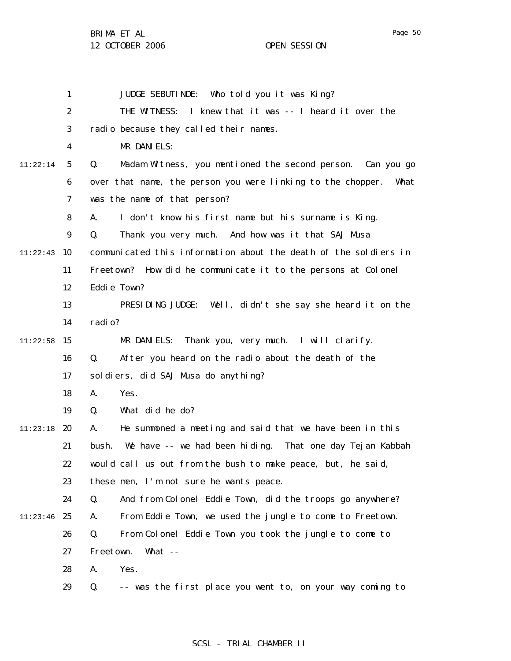Page 50

1 2 3 4 5 6 7 8 9  $11:22:43$  10 11 12 13 14  $11:22:58$  15 16 17 18 19 11:23:18 20 21 22 23 24 11:23:46 25 26 27 28 29 11:22:14 JUDGE SEBUTINDE: Who told you it was King? THE WITNESS: I knew that it was -- I heard it over the radio because they called their names. MR DANIELS: Q. Madam Witness, you mentioned the second person. Can you go over that name, the person you were linking to the chopper. What was the name of that person? A. I don't know his first name but his surname is King. Q. Thank you very much. And how was it that SAJ Musa communicated this information about the death of the soldiers in Freetown? How did he communicate it to the persons at Colonel Eddie Town? PRESIDING JUDGE: Well, didn't she say she heard it on the radio? MR DANIELS: Thank you, very much. I will clarify. Q. After you heard on the radio about the death of the soldiers, did SAJ Musa do anything? A. Yes. Q. What did he do? A. He summoned a meeting and said that we have been in this bush. We have -- we had been hiding. That one day Tejan Kabbah would call us out from the bush to make peace, but, he said, these men, I'm not sure he wants peace. Q. And from Colonel Eddie Town, did the troops go anywhere? A. From Eddie Town, we used the jungle to come to Freetown. Q. From Colonel Eddie Town you took the jungle to come to Freetown. What -- A. Yes. Q. -- was the first place you went to, on your way coming to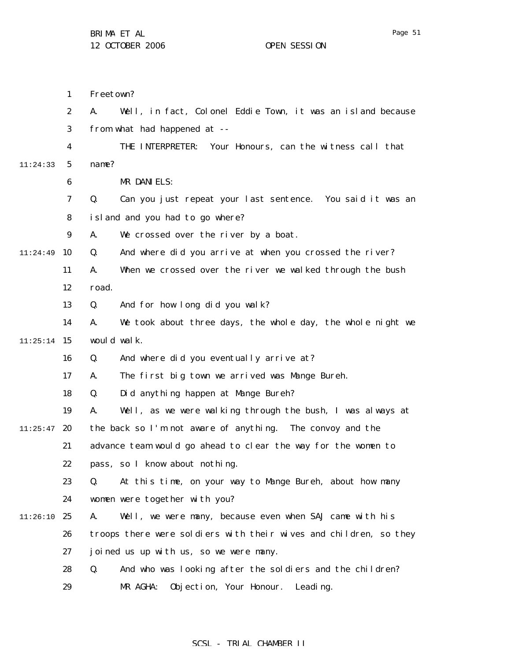1 2 3 4 5 6 7 8 9 11:24:49 10 11 12 13 14  $11:25:14$  15 16 17 18 19  $11:25:47$  20 21 22 23 24 11:26:10 25 26 27 28 29 11:24:33 Freetown? A. Well, in fact, Colonel Eddie Town, it was an island because from what had happened at -- THE INTERPRETER: Your Honours, can the witness call that name? MR DANIELS: Q. Can you just repeat your last sentence. You said it was an island and you had to go where? A. We crossed over the river by a boat. Q. And where did you arrive at when you crossed the river? A. When we crossed over the river we walked through the bush road. Q. And for how long did you walk? A. We took about three days, the whole day, the whole night we would walk. Q. And where did you eventually arrive at? A. The first big town we arrived was Mange Bureh. Q. Did anything happen at Mange Bureh? A. Well, as we were walking through the bush, I was always at the back so I'm not aware of anything. The convoy and the advance team would go ahead to clear the way for the women to pass, so I know about nothing. Q. At this time, on your way to Mange Bureh, about how many women were together with you? A. Well, we were many, because even when SAJ came with his troops there were soldiers with their wives and children, so they joined us up with us, so we were many. Q. And who was looking after the soldiers and the children? MR AGHA: Objection, Your Honour. Leading.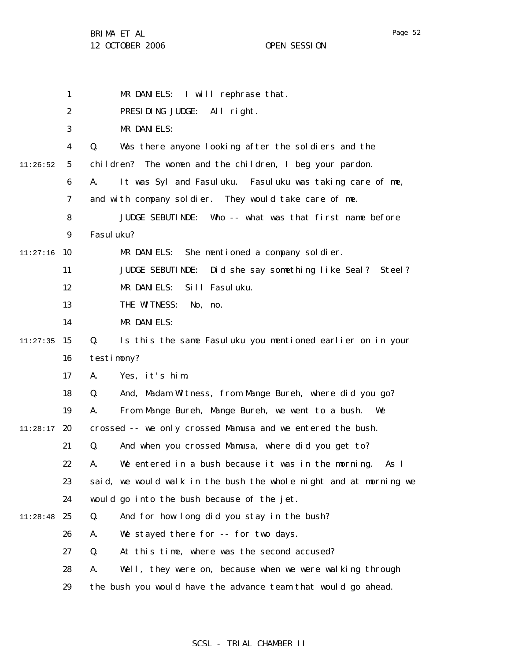|          | $\mathbf{1}$     | MR DANIELS: I will rephrase that.                                  |
|----------|------------------|--------------------------------------------------------------------|
|          | $\boldsymbol{2}$ | PRESIDING JUDGE:<br>All right.                                     |
|          | 3                | MR DANIELS:                                                        |
|          | 4                | Q.<br>Was there anyone looking after the soldiers and the          |
| 11:26:52 | $\mathbf{5}$     | children? The women and the children, I beg your pardon.           |
|          | 6                | It was Syl and Fasuluku. Fasuluku was taking care of me,<br>A.     |
|          | 7                | and with company soldier. They would take care of me.              |
|          | 8                | <b>JUDGE SEBUTINDE:</b><br>Who -- what was that first name before  |
|          | $\boldsymbol{9}$ | Fasul uku?                                                         |
| 11:27:16 | 10               | She mentioned a company soldier.<br>MR DANIELS:                    |
|          | 11               | <b>JUDGE SEBUTINDE:</b><br>Did she say something like Seal? Steel? |
|          | 12               | Sill Fasuluku.<br>MR DANIELS:                                      |
|          | 13               | THE WITNESS:<br>No, no.                                            |
|          | 14               | MR DANIELS:                                                        |
| 11:27:35 | 15               | Q.<br>Is this the same Fasuluku you mentioned earlier on in your   |
|          | 16               | testimony?                                                         |
|          | 17               | Yes, it's him.<br>A.                                               |
|          | 18               | Q.<br>And, Madam Witness, from Mange Bureh, where did you go?      |
|          | 19               | From Mange Bureh, Mange Bureh, we went to a bush.<br>A.<br>We      |
| 11:28:17 | 20               | crossed -- we only crossed Mamusa and we entered the bush.         |
|          | 21               | Q.<br>And when you crossed Mamusa, where did you get to?           |
|          | 22               | We entered in a bush because it was in the morning.<br>A.<br>As I  |
|          | 23               | said, we would walk in the bush the whole night and at morning we  |
|          | 24               | would go into the bush because of the jet.                         |
| 11:28:48 | 25               | And for how long did you stay in the bush?<br>Q.                   |
|          | 26               | We stayed there for -- for two days.<br>A.                         |
|          | 27               | At this time, where was the second accused?<br>Q.                  |
|          | 28               | Well, they were on, because when we were walking through<br>A.     |
|          | 29               | the bush you would have the advance team that would go ahead.      |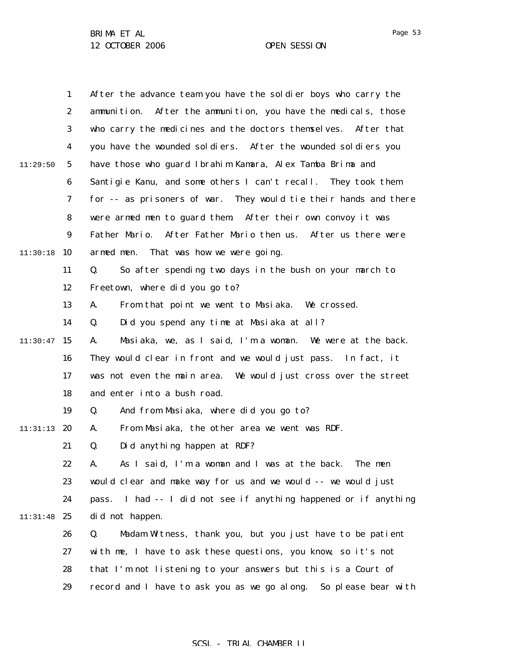|          | 1                | After the advance team you have the soldier boys who carry the      |
|----------|------------------|---------------------------------------------------------------------|
|          | $\boldsymbol{2}$ | ammunition. After the ammunition, you have the medicals, those      |
|          | 3                | who carry the medicines and the doctors themselves. After that      |
|          | 4                | you have the wounded soldiers. After the wounded soldiers you       |
| 11:29:50 | $\sqrt{5}$       | have those who guard Ibrahim Kamara, Alex Tamba Brima and           |
|          | $\boldsymbol{6}$ | Santigie Kanu, and some others I can't recall. They took them       |
|          | 7                | for -- as prisoners of war. They would tie their hands and there    |
|          | 8                | were armed men to guard them. After their own convoy it was         |
|          | $\boldsymbol{9}$ | Father Mario. After Father Mario then us. After us there were       |
| 11:30:18 | 10               | armed men.<br>That was how we were going.                           |
|          | 11               | Q.<br>So after spending two days in the bush on your march to       |
|          | 12               | Freetown, where did you go to?                                      |
|          | 13               | From that point we went to Masiaka. We crossed.<br>A.               |
|          | 14               | Q.<br>Did you spend any time at Masiaka at all?                     |
| 11:30:47 | 15               | Masiaka, we, as I said, I'm a woman. We were at the back.<br>A.     |
|          | 16               | They would clear in front and we would just pass. In fact, it       |
|          | 17               | was not even the main area. We would just cross over the street     |
|          | 18               | and enter into a bush road.                                         |
|          | 19               | And from Masiaka, where did you go to?<br>Q.                        |
| 11:31:13 | 20               | From Masiaka, the other area we went was RDF.<br>A.                 |
|          | 21               | Did anything happen at RDF?<br>Q.                                   |
|          | 22               | As I said, I'm a woman and I was at the back. The men               |
|          | 23               | would clear and make way for us and we would -- we would just       |
|          | 24               | I had -- I did not see if anything happened or if anything<br>pass. |
| 11:31:48 | 25               | did not happen.                                                     |
|          | 26               | Madam Witness, thank you, but you just have to be patient<br>Q.     |
|          | 27               | with me, I have to ask these questions, you know, so it's not       |
|          | 28               | that I'm not listening to your answers but this is a Court of       |
|          | 29               | record and I have to ask you as we go along. So please bear with    |

SCSL - TRIAL CHAMBER II

Page 53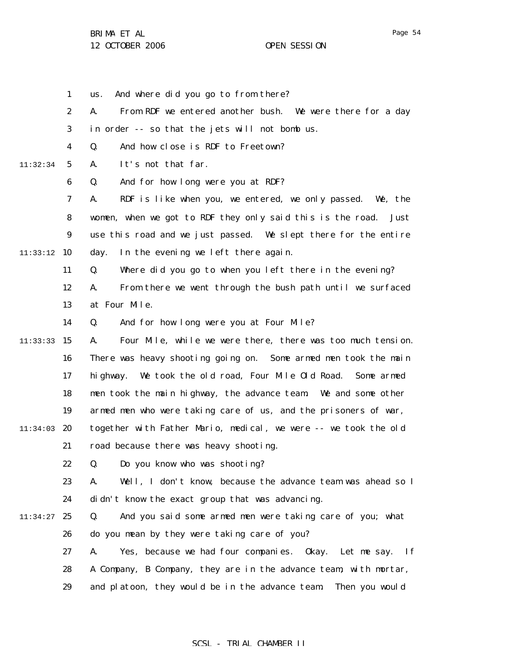1 us. And where did you go to from there?

|          | $\boldsymbol{2}$ | From RDF we entered another bush. We were there for a day<br>A.          |
|----------|------------------|--------------------------------------------------------------------------|
|          | 3                | in order -- so that the jets will not bomb us.                           |
|          | 4                | And how close is RDF to Freetown?<br>Q.                                  |
| 11:32:34 | $\mathbf{5}$     | It's not that far.<br>A.                                                 |
|          | 6                | And for how long were you at RDF?<br>Q.                                  |
|          | 7                | RDF is like when you, we entered, we only passed.<br>We, the<br>A.       |
|          | 8                | women, when we got to RDF they only said this is the road.<br>Just       |
|          | 9                | use this road and we just passed. We slept there for the entire          |
| 11:33:12 | 10               | In the evening we left there again.<br>day.                              |
|          | 11               | Where did you go to when you left there in the evening?<br>Q.            |
|          | 12               | From there we went through the bush path until we surfaced<br>A.         |
|          | 13               | at Four Mile.                                                            |
|          | 14               | And for how long were you at Four Mile?<br>Q.                            |
| 11:33:33 | 15               | Four Mile, while we were there, there was too much tension.<br>A.        |
|          | 16               | There was heavy shooting going on. Some armed men took the main          |
|          | 17               | We took the old road, Four Mile Old Road.<br>hi ghway.<br>Some armed     |
|          | 18               | men took the main highway, the advance team. We and some other           |
|          | 19               | armed men who were taking care of us, and the prisoners of war,          |
| 11:34:03 | 20               | together with Father Mario, medical, we were -- we took the old          |
|          | 21               | road because there was heavy shooting.                                   |
|          | 22               | Q.<br>Do you know who was shooting?                                      |
|          | 23               | Well, I don't know, because the advance team was ahead so I<br>A.        |
|          | 24               | didn't know the exact group that was advancing.                          |
| 11:34:27 | 25               | And you said some armed men were taking care of you; what<br>Q.          |
|          | 26               | do you mean by they were taking care of you?                             |
|          | 27               | Yes, because we had four companies. Okay. Let me say.<br><b>If</b><br>A. |
|          | 28               | A Company, B Company, they are in the advance team, with mortar,         |
|          | 29               | and platoon, they would be in the advance team.<br>Then you would        |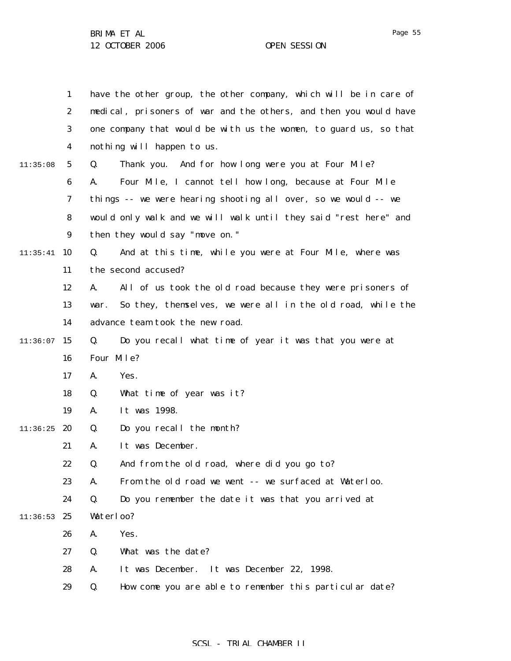1 2 3 4 5 6 7 8 9  $11:35:41$  10 11 12 13 14  $11:36:07$  15 16 17 18 19  $11:36:25$  20 21 22 23 24  $11:36:53$  25 26 27 28 29 11:35:08 have the other group, the other company, which will be in care of medical, prisoners of war and the others, and then you would have one company that would be with us the women, to guard us, so that nothing will happen to us. Q. Thank you. And for how long were you at Four Mile? A. Four Mile, I cannot tell how long, because at Four Mile things -- we were hearing shooting all over, so we would -- we would only walk and we will walk until they said "rest here" and then they would say "move on." Q. And at this time, while you were at Four Mile, where was the second accused? A. All of us took the old road because they were prisoners of war. So they, themselves, we were all in the old road, while the advance team took the new road. Q. Do you recall what time of year it was that you were at Four Mile? A. Yes. Q. What time of year was it? A. It was 1998. Q. Do you recall the month? A. It was December. Q. And from the old road, where did you go to? A. From the old road we went -- we surfaced at Waterloo. Q. Do you remember the date it was that you arrived at Waterloo? A. Yes. Q. What was the date? A. It was December. It was December 22, 1998. Q. How come you are able to remember this particular date?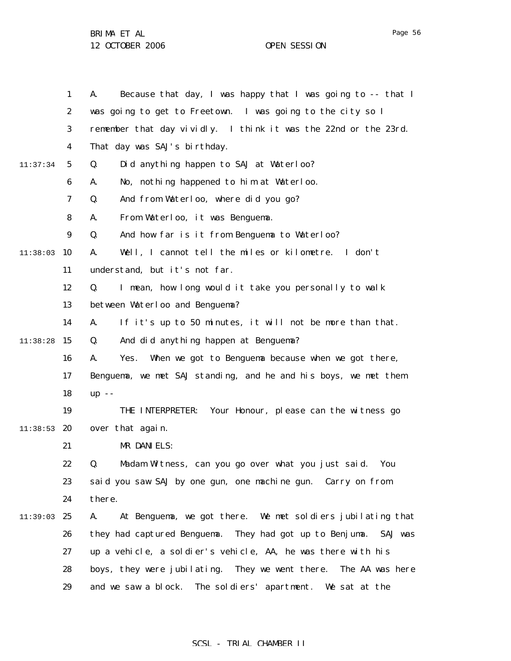BRIMA ET AL

12 OCTOBER 2006 OPEN SESSION

1 2 3 4 5 6 7 8 9  $11:38:03$  10 11 12 13 14  $11:38:28$  15 16 17 18 19 11:38:53 **20** 21 22 23 24 11:39:03 25 26 27 28 29 11:37:34 A. Because that day, I was happy that I was going to -- that I was going to get to Freetown. I was going to the city so I remember that day vividly. I think it was the 22nd or the 23rd. That day was SAJ's birthday. Q. Did anything happen to SAJ at Waterloo? A. No, nothing happened to him at Waterloo. Q. And from Waterloo, where did you go? A. From Waterloo, it was Benguema. Q. And how far is it from Benguema to Waterloo? A. Well, I cannot tell the miles or kilometre. I don't understand, but it's not far. Q. I mean, how long would it take you personally to walk between Waterloo and Benguema? A. If it's up to 50 minutes, it will not be more than that. Q. And did anything happen at Benguema? A. Yes. When we got to Benguema because when we got there, Benguema, we met SAJ standing, and he and his boys, we met them up -- THE INTERPRETER: Your Honour, please can the witness go over that again. MR DANIELS: Q. Madam Witness, can you go over what you just said. You said you saw SAJ by one gun, one machine gun. Carry on from there. A. At Benguema, we got there. We met soldiers jubilating that they had captured Benguema. They had got up to Benjuma. SAJ was up a vehicle, a soldier's vehicle, AA, he was there with his boys, they were jubilating. They we went there. The AA was here and we saw a block. The soldiers' apartment. We sat at the

## SCSL - TRIAL CHAMBER II

Page 56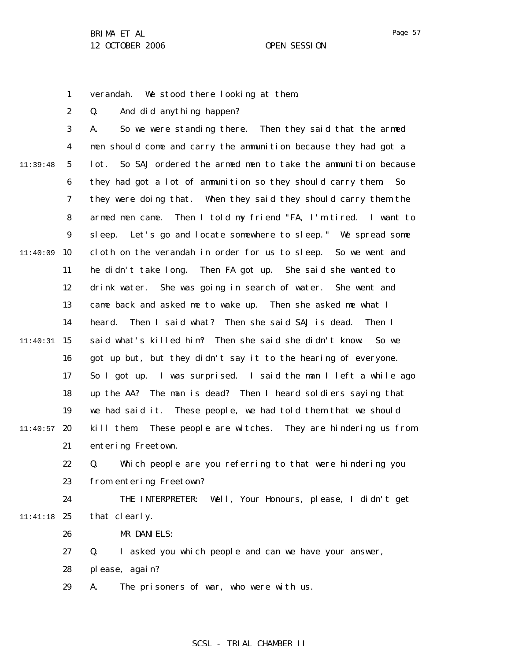Page 57

1 verandah. We stood there looking at them.

2 Q. And did anything happen?

3 4 5 6 7 8 9  $11:40:09$  10 11 12 13 14 11:40:31 15 16 17 18 19  $11:40:57$  20 21 11:39:48 A. So we were standing there. Then they said that the armed men should come and carry the ammunition because they had got a lot. So SAJ ordered the armed men to take the ammunition because they had got a lot of ammunition so they should carry them. So they were doing that. When they said they should carry them the armed men came. Then I told my friend "FA, I'm tired. I want to sleep. Let's go and locate somewhere to sleep." We spread some cloth on the verandah in order for us to sleep. So we went and he didn't take long. Then FA got up. She said she wanted to drink water. She was going in search of water. She went and came back and asked me to wake up. Then she asked me what I heard. Then I said what? Then she said SAJ is dead. Then I said what's killed him? Then she said she didn't know. So we got up but, but they didn't say it to the hearing of everyone. So I got up. I was surprised. I said the man I left a while ago up the AA? The man is dead? Then I heard soldiers saying that we had said it. These people, we had told them that we should kill them. These people are witches. They are hindering us from entering Freetown.

22 23 Q. Which people are you referring to that were hindering you from entering Freetown?

24 11:41:18 25 THE INTERPRETER: Well, Your Honours, please, I didn't get that clearly.

> 26 MR DANIELS:

27 Q. I asked you which people and can we have your answer,

28 please, again?

29 A. The prisoners of war, who were with us.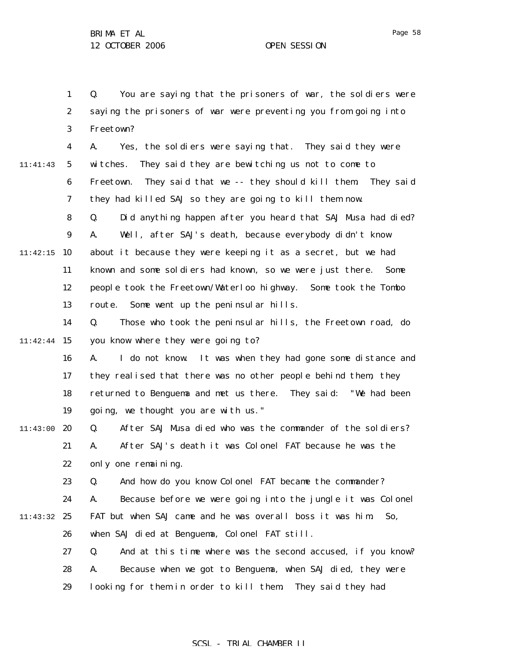1 2 3 4 5 6 7 8 9  $11:42:15$  10 11 12 13 14 11:42:44 15 16 17 18 19 11:43:00 20 21 22 23 24 11:43:32 25 26 27 28 29 11:41:43 Q. You are saying that the prisoners of war, the soldiers were saying the prisoners of war were preventing you from going into Freetown? A. Yes, the soldiers were saying that. They said they were witches. They said they are bewitching us not to come to Freetown. They said that we -- they should kill them. They said they had killed SAJ so they are going to kill them now. Q. Did anything happen after you heard that SAJ Musa had died? A. Well, after SAJ's death, because everybody didn't know about it because they were keeping it as a secret, but we had known and some soldiers had known, so we were just there. Some people took the Freetown/Waterloo highway. Some took the Tombo route. Some went up the peninsular hills. Q. Those who took the peninsular hills, the Freetown road, do you know where they were going to? A. I do not know. It was when they had gone some distance and they realised that there was no other people behind them, they returned to Benguema and met us there. They said: "We had been going, we thought you are with us." Q. After SAJ Musa died who was the commander of the soldiers? A. After SAJ's death it was Colonel FAT because he was the only one remaining. Q. And how do you know Colonel FAT became the commander? A. Because before we were going into the jungle it was Colonel FAT but when SAJ came and he was overall boss it was him. So, when SAJ died at Benguema, Colonel FAT still. Q. And at this time where was the second accused, if you know? A. Because when we got to Benguema, when SAJ died, they were looking for them in order to kill them. They said they had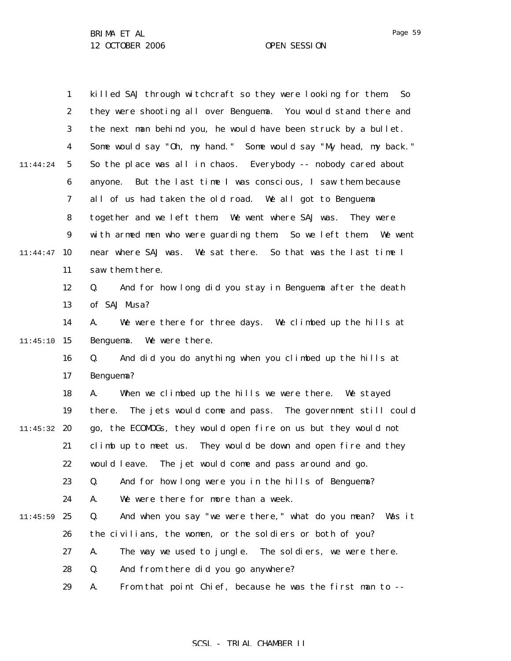1 2 3 4 5 6 7 8 9  $11:44:47$  10 11 12 13 14  $11:45:10$  15 16 17 18 19 11:45:32 20 21 22 23 24  $11:45:59$  25 26 27 28 29 11:44:24 killed SAJ through witchcraft so they were looking for them. So they were shooting all over Benguema. You would stand there and the next man behind you, he would have been struck by a bullet. Some would say "Oh, my hand." Some would say "My head, my back." So the place was all in chaos. Everybody -- nobody cared about anyone. But the last time I was conscious, I saw them because all of us had taken the old road. We all got to Benguema together and we left them. We went where SAJ was. They were with armed men who were guarding them. So we left them. We went near where SAJ was. We sat there. So that was the last time I saw them there. Q. And for how long did you stay in Benguema after the death of SAJ Musa? A. We were there for three days. We climbed up the hills at Benguema. We were there. Q. And did you do anything when you climbed up the hills at Benguema? A. When we climbed up the hills we were there. We stayed there. The jets would come and pass. The government still could go, the ECOMOGs, they would open fire on us but they would not climb up to meet us. They would be down and open fire and they would leave. The jet would come and pass around and go. Q. And for how long were you in the hills of Benguema? A. We were there for more than a week. Q. And when you say "we were there," what do you mean? Was it the civilians, the women, or the soldiers or both of you? A. The way we used to jungle. The soldiers, we were there. Q. And from there did you go anywhere? A. From that point Chief, because he was the first man to --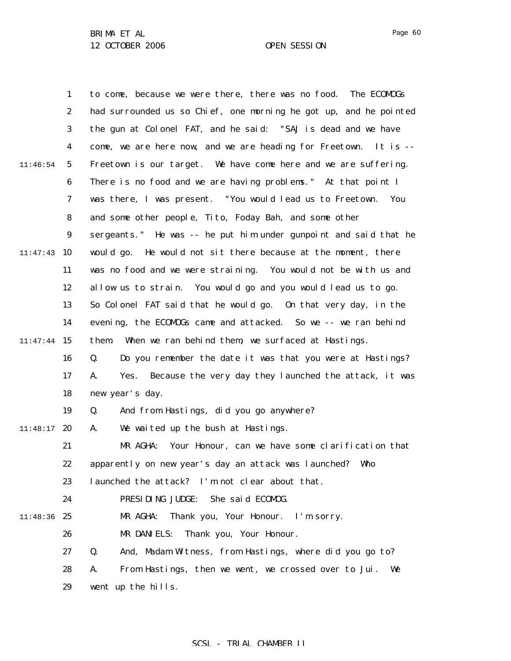|          | $\mathbf{1}$     | to come, because we were there, there was no food. The ECOMOGs    |
|----------|------------------|-------------------------------------------------------------------|
|          | $\boldsymbol{2}$ | had surrounded us so Chief, one morning he got up, and he pointed |
|          | 3                | the gun at Colonel FAT, and he said: "SAJ is dead and we have     |
|          | 4                | come, we are here now, and we are heading for Freetown. It is --  |
| 11:46:54 | $\mathbf{5}$     | Freetown is our target. We have come here and we are suffering.   |
|          | 6                | There is no food and we are having problems." At that point I     |
|          | 7                | was there, I was present. "You would lead us to Freetown.<br>You  |
|          | 8                | and some other people, Tito, Foday Bah, and some other            |
|          | $\boldsymbol{9}$ | sergeants." He was -- he put him under gunpoint and said that he  |
| 11:47:43 | 10               | would go. He would not sit there because at the moment, there     |
|          | 11               | was no food and we were straining. You would not be with us and   |
|          | 12               | allow us to strain. You would go and you would lead us to go.     |
|          | 13               | So Colonel FAT said that he would go. On that very day, in the    |
|          | 14               | evening, the ECOMOGs came and attacked. So we -- we ran behind    |
| 11:47:44 | 15               | When we ran behind them, we surfaced at Hastings.<br>them.        |
|          | 16               | Do you remember the date it was that you were at Hastings?<br>Q.  |
|          | 17               | Yes. Because the very day they launched the attack, it was<br>A.  |
|          | 18               | new year's day.                                                   |
|          | 19               | And from Hastings, did you go anywhere?<br>Q.                     |
| 11:48:17 | 20               | We waited up the bush at Hastings.<br>A.                          |
|          | 21               | MR AGHA:<br>Your Honour, can we have some clarification that      |
|          | 22               | apparently on new year's day an attack was launched? Who          |
|          | 23               | launched the attack? I'm not clear about that.                    |
|          | 24               | PRESIDING JUDGE:<br>She said ECOMOG.                              |
| 11:48:36 | 25               | MR AGHA:<br>Thank you, Your Honour. I'm sorry.                    |
|          | 26               | MR DANIELS:<br>Thank you, Your Honour.                            |
|          | 27               | And, Madam Witness, from Hastings, where did you go to?<br>Q.     |
|          | 28               | From Hastings, then we went, we crossed over to Jui.<br>A.<br>We  |
|          | 29               | went up the hills.                                                |

Page 60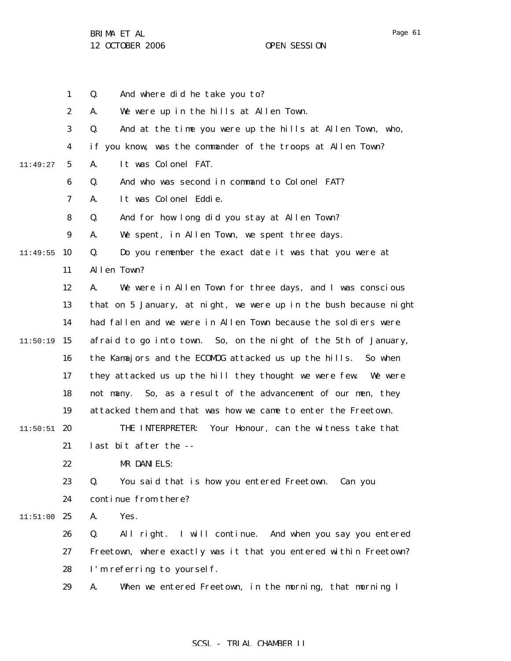1 2 3 4 5 6 7 8 9 10 11:49:55 11 12 13 14  $11:50:19$  15 16 17 18 19  $11:50:51$  20 21 22 23 24 11:51:00 25 26 27 28 29 11:49:27 Q. And where did he take you to? A. We were up in the hills at Allen Town. Q. And at the time you were up the hills at Allen Town, who, if you know, was the commander of the troops at Allen Town? A. It was Colonel FAT. Q. And who was second in command to Colonel FAT? A. It was Colonel Eddie. Q. And for how long did you stay at Allen Town? A. We spent, in Allen Town, we spent three days. Q. Do you remember the exact date it was that you were at Allen Town? A. We were in Allen Town for three days, and I was conscious that on 5 January, at night, we were up in the bush because night had fallen and we were in Allen Town because the soldiers were afraid to go into town. So, on the night of the 5th of January, the Kamajors and the ECOMOG attacked us up the hills. So when they attacked us up the hill they thought we were few. We were not many. So, as a result of the advancement of our men, they attacked them and that was how we came to enter the Freetown. THE INTERPRETER: Your Honour, can the witness take that last bit after the -- MR DANIELS: Q. You said that is how you entered Freetown. Can you continue from there? A. Yes. Q. All right. I will continue. And when you say you entered Freetown, where exactly was it that you entered within Freetown? I'm referring to yourself. A. When we entered Freetown, in the morning, that morning I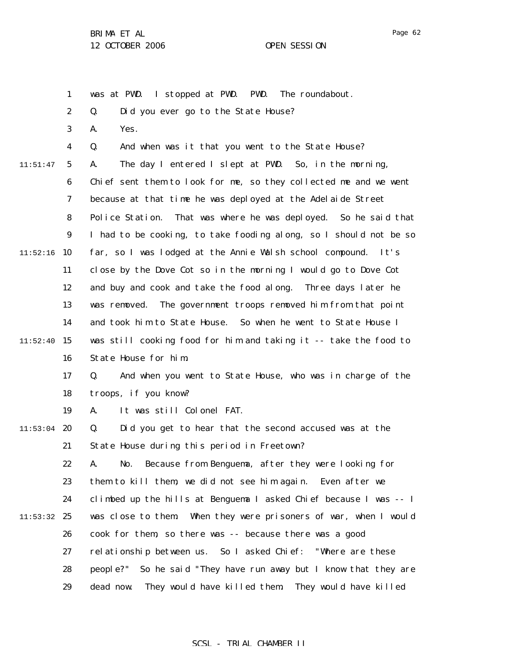Page 62

1 was at PWD. I stopped at PWD. PWD. The roundabout.

2 Q. Did you ever go to the State House?

3 A. Yes.

4 5 6 7 8 9  $11:52:16$  10 11 12 13 14  $11:52:40$  15 16 11:51:47 Q. And when was it that you went to the State House? A. The day I entered I slept at PWD. So, in the morning, Chief sent them to look for me, so they collected me and we went because at that time he was deployed at the Adelaide Street Police Station. That was where he was deployed. So he said that I had to be cooking, to take fooding along, so I should not be so far, so I was lodged at the Annie Walsh school compound. It's close by the Dove Cot so in the morning I would go to Dove Cot and buy and cook and take the food along. Three days later he was removed. The government troops removed him from that point and took him to State House. So when he went to State House I was still cooking food for him and taking it -- take the food to State House for him.

> 17 18 Q. And when you went to State House, who was in charge of the troops, if you know?

19 A. It was still Colonel FAT.

 $11:53:04$  20 21 Q. Did you get to hear that the second accused was at the State House during this period in Freetown?

22 23 24  $11:53:32$  25 26 27 28 29 A. No. Because from Benguema, after they were looking for them to kill them, we did not see him again. Even after we climbed up the hills at Benguema I asked Chief because I was -- I was close to them. When they were prisoners of war, when I would cook for them, so there was -- because there was a good relationship between us. So I asked Chief: "Where are these people?" So he said "They have run away but I know that they are dead now. They would have killed them. They would have killed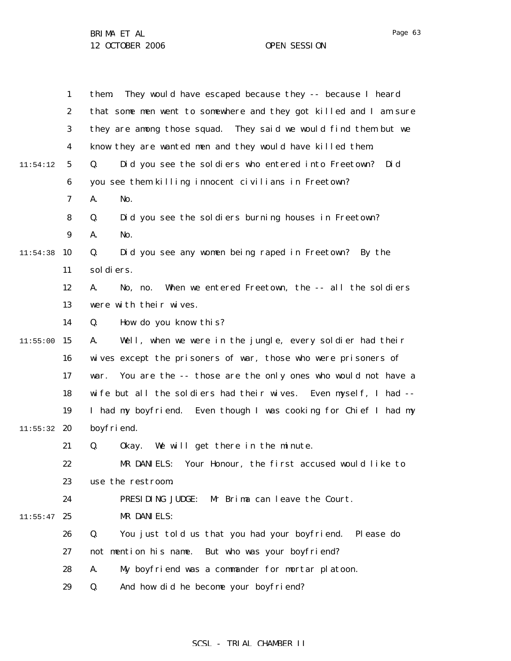1 2 3 4 5 6 7 8 9  $11:54:38$  10 11 12 13 14  $11:55:00$  15 16 17 18 19  $11:55:32$  20 21 22 23 24  $11:55:47$  25 26 27 28 29 11:54:12 them. They would have escaped because they -- because I heard that some men went to somewhere and they got killed and I am sure they are among those squad. They said we would find them but we know they are wanted men and they would have killed them. Q. Did you see the soldiers who entered into Freetown? Did you see them killing innocent civilians in Freetown? A. No. Q. Did you see the soldiers burning houses in Freetown? A. No. Q. Did you see any women being raped in Freetown? By the soldiers. A. No, no. When we entered Freetown, the -- all the soldiers were with their wives. Q. How do you know this? A. Well, when we were in the jungle, every soldier had their wives except the prisoners of war, those who were prisoners of war. You are the -- those are the only ones who would not have a wife but all the soldiers had their wives. Even myself, I had -- I had my boyfriend. Even though I was cooking for Chief I had my boyfriend. Q. Okay. We will get there in the minute. MR DANIELS: Your Honour, the first accused would like to use the restroom. PRESIDING JUDGE: Mr Brima can leave the Court. MR DANIELS: Q. You just told us that you had your boyfriend. Please do not mention his name. But who was your boyfriend? A. My boyfriend was a commander for mortar platoon. Q. And how did he become your boyfriend?

# Page 63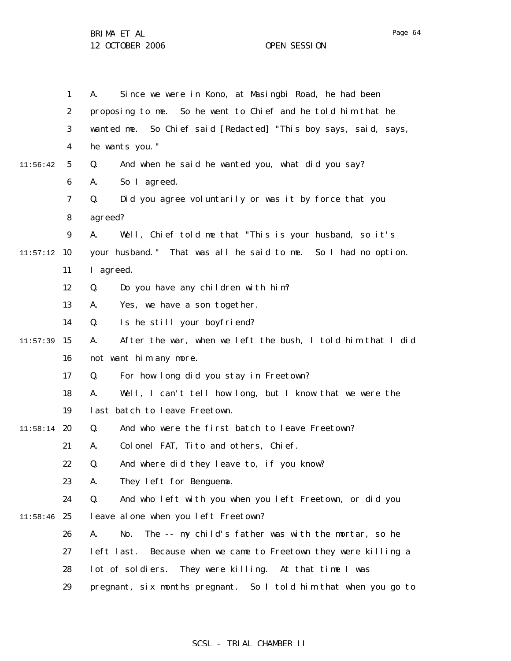|          | $\mathbf{1}$     | Since we were in Kono, at Masingbi Road, he had been<br>A.         |
|----------|------------------|--------------------------------------------------------------------|
|          | $\boldsymbol{2}$ | proposing to me. So he went to Chief and he told him that he       |
|          | 3                | wanted me. So Chief said [Redacted] "This boy says, said, says,    |
|          | $\boldsymbol{4}$ | he wants you."                                                     |
| 11:56:42 | $5\phantom{.0}$  | And when he said he wanted you, what did you say?<br>Q.            |
|          | $\boldsymbol{6}$ | So I agreed.<br>A.                                                 |
|          | $\boldsymbol{7}$ | Did you agree voluntarily or was it by force that you<br>Q.        |
|          | 8                | agreed?                                                            |
|          | 9                | Well, Chief told me that "This is your husband, so it's<br>A.      |
| 11:57:12 | 10               | your husband." That was all he said to me. So I had no option.     |
|          | 11               | I agreed.                                                          |
|          | 12               | Do you have any children with him?<br>Q.                           |
|          | 13               | Yes, we have a son together.<br>A.                                 |
|          | 14               | Is he still your boyfriend?<br>Q.                                  |
| 11:57:39 | 15               | After the war, when we left the bush, I told him that I did<br>A.  |
|          | 16               | not want him any more.                                             |
|          | 17               | For how long did you stay in Freetown?<br>Q.                       |
|          | 18               | Well, I can't tell how long, but I know that we were the<br>A.     |
|          | 19               | last batch to leave Freetown.                                      |
| 11:58:14 | 20               | And who were the first batch to leave Freetown?<br>Q.              |
|          | 21               | Colonel FAT, Tito and others, Chief.<br>A.                         |
|          | 22               | And where did they leave to, if you know?<br>Q.                    |
|          | 23               | They left for Benguema.<br>A.                                      |
|          | 24               | Q.<br>And who left with you when you left Freetown, or did you     |
| 11:58:46 | 25               | leave alone when you left Freetown?                                |
|          | 26               | The -- my child's father was with the mortar, so he<br>A.<br>No.   |
|          | 27               | left last.<br>Because when we came to Freetown they were killing a |
|          | 28               | They were killing. At that time I was<br>lot of soldiers.          |
|          | 29               | pregnant, six months pregnant. So I told him that when you go to   |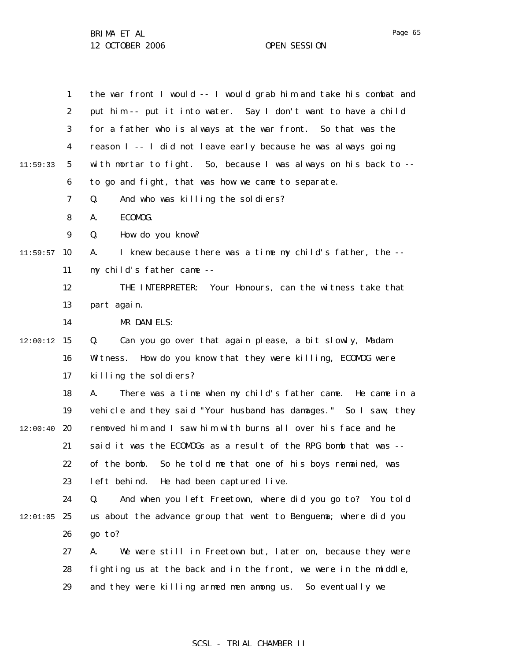|          | $\mathbf{1}$     | the war front I would -- I would grab him and take his combat and |
|----------|------------------|-------------------------------------------------------------------|
|          | $\boldsymbol{2}$ | put him -- put it into water. Say I don't want to have a child    |
|          | $\boldsymbol{3}$ | for a father who is always at the war front. So that was the      |
|          | $\boldsymbol{4}$ | reason I -- I did not leave early because he was always going     |
| 11:59:33 | $5^{\circ}$      | with mortar to fight. So, because I was always on his back to --  |
|          | 6                | to go and fight, that was how we came to separate.                |
|          | 7                | Q.<br>And who was killing the soldiers?                           |
|          | 8                | ECOMOG.<br>A.                                                     |
|          | $\boldsymbol{9}$ | How do you know?<br>Q.                                            |
| 11:59:57 | 10               | I knew because there was a time my child's father, the --<br>A.   |
|          | 11               | my child's father came --                                         |
|          | 12               | THE INTERPRETER:<br>Your Honours, can the witness take that       |
|          | 13               | part again.                                                       |
|          | 14               | MR DANIELS:                                                       |
| 12:00:12 | 15               | Q.<br>Can you go over that again please, a bit slowly, Madam      |
|          | 16               | How do you know that they were killing, ECOMDG were<br>Witness.   |
|          | 17               | killing the soldiers?                                             |
|          | 18               | There was a time when my child's father came. He came in a<br>A.  |
|          | 19               | vehicle and they said "Your husband has damages." So I saw, they  |
| 12:00:40 | 20               | removed him and I saw him with burns all over his face and he     |
|          | 21               | said it was the ECOMOGs as a result of the RPG bomb that was --   |
|          | 22               | of the bomb.<br>So he told me that one of his boys remained, was  |
|          | 23               | left behind.<br>He had been captured live.                        |
|          | 24               | Q.<br>And when you left Freetown, where did you go to? You told   |
| 12:01:05 | 25               | us about the advance group that went to Benguema; where did you   |
|          | 26               | go to?                                                            |
|          | 27               | We were still in Freetown but, later on, because they were<br>A.  |
|          | 28               | fighting us at the back and in the front, we were in the middle,  |
|          | 29               | and they were killing armed men among us.<br>So eventually we     |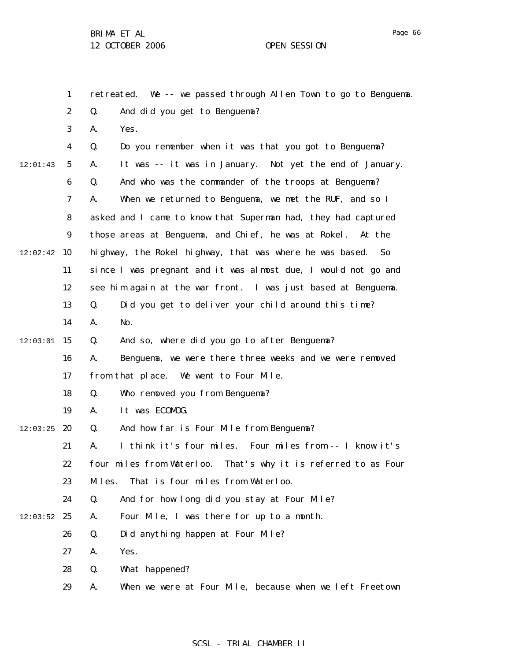| Page | tіб |
|------|-----|
|------|-----|

|          | $\mathbf{1}$     | retreated. We -- we passed through Allen Town to go to Benguema. |
|----------|------------------|------------------------------------------------------------------|
|          | $\boldsymbol{2}$ | Q.<br>And did you get to Benguema?                               |
|          | 3                | Yes.<br>A.                                                       |
|          | $\boldsymbol{4}$ | Q.<br>Do you remember when it was that you got to Benguema?      |
| 12:01:43 | $\mathbf 5$      | It was -- it was in January. Not yet the end of January.<br>A.   |
|          | 6                | And who was the commander of the troops at Benguema?<br>Q.       |
|          | 7                | When we returned to Benguema, we met the RUF, and so I<br>A.     |
|          | 8                | asked and I came to know that Superman had, they had captured    |
|          | $\boldsymbol{9}$ | those areas at Benguema, and Chief, he was at Rokel. At the      |
| 12:02:42 | 10               | highway, the Rokel highway, that was where he was based. So      |
|          | 11               | since I was pregnant and it was almost due, I would not go and   |
|          | 12               | see him again at the war front. I was just based at Benguema.    |
|          | 13               | Did you get to deliver your child around this time?<br>Q.        |
|          | 14               | No.<br>A.                                                        |
| 12:03:01 | 15               | And so, where did you go to after Benguema?<br>Q.                |
|          | 16               | Benguema, we were there three weeks and we were removed<br>A.    |
|          | 17               | from that place. We went to Four Mile.                           |
|          | 18               | Q.<br>Who removed you from Benguema?                             |
|          | 19               | It was ECOMDG.<br>A.                                             |
| 12:03:25 | 20               | Q.<br>And how far is Four Mile from Benguema?                    |
|          | 21               | I think it's four miles. Four miles from -- I know it's<br>A.    |
|          | 22               | four miles from Waterloo. That's why it is referred to as Four   |
|          | 23               | That is four miles from Waterloo.<br>Miles.                      |
|          | 24               | Q.<br>And for how long did you stay at Four Mile?                |
| 12:03:52 | 25               | Four Mile, I was there for up to a month.<br>A.                  |
|          | 26               | Q.<br>Did anything happen at Four Mile?                          |
|          | 27               | Yes.<br>A.                                                       |
|          | 28               | Q.<br>What happened?                                             |
|          | 29               | When we were at Four Mile, because when we left Freetown<br>A.   |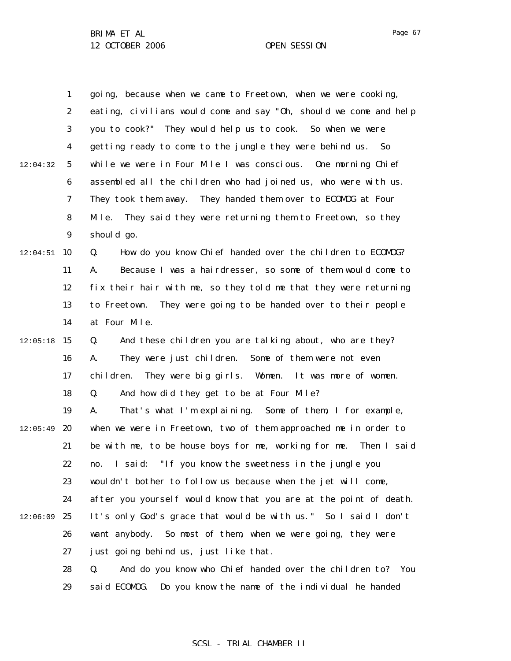|          | 1                | going, because when we came to Freetown, when we were cooking,        |
|----------|------------------|-----------------------------------------------------------------------|
|          | $\boldsymbol{2}$ | eating, civilians would come and say "0h, should we come and help     |
|          | 3                | you to cook?" They would help us to cook. So when we were             |
|          | $\boldsymbol{4}$ | getting ready to come to the jungle they were behind us.<br><b>So</b> |
| 12:04:32 | $\sqrt{5}$       | while we were in Four Mile I was conscious. One morning Chief         |
|          | 6                | assembled all the children who had joined us, who were with us.       |
|          | 7                | They handed them over to ECOMDG at Four<br>They took them away.       |
|          | 8                | Mile.<br>They said they were returning them to Freetown, so they      |
|          | $\boldsymbol{9}$ | should go.                                                            |
| 12:04:51 | <b>10</b>        | How do you know Chief handed over the children to ECOMDG?<br>Q.       |
|          | 11               | Because I was a hairdresser, so some of them would come to<br>A.      |
|          | 12               | fix their hair with me, so they told me that they were returning      |
|          | 13               | They were going to be handed over to their people<br>to Freetown.     |
|          | 14               | at Four Mile.                                                         |
| 12:05:18 | 15               | And these children you are talking about, who are they?<br>Q.         |
|          | 16               | Some of them were not even<br>They were just children.<br>A.          |
|          | 17               | They were big girls. Women. It was more of women.<br>chi l dren.      |
|          | 18               | And how did they get to be at Four Mile?<br>Q.                        |
|          | 19               | That's what I'm explaining. Some of them, I for example,<br>A.        |
| 12:05:49 | 20               | when we were in Freetown, two of them approached me in order to       |
|          | 21               | be with me, to be house boys for me, working for me. Then I said      |
|          | 22               | I said: "If you know the sweetness in the jungle you<br>no.           |
|          | 23               | wouldn't bother to follow us because when the jet will come,          |
|          | 24               | after you yourself would know that you are at the point of death.     |
| 12:06:09 | 25               | It's only God's grace that would be with us." So I said I don't       |
|          | 26               | want anybody.<br>So most of them, when we were going, they were       |
|          | 27               | just going behind us, just like that.                                 |
|          | 28               | And do you know who Chief handed over the children to? You<br>Q.      |
|          | 29               | said ECOMDG. Do you know the name of the individual he handed         |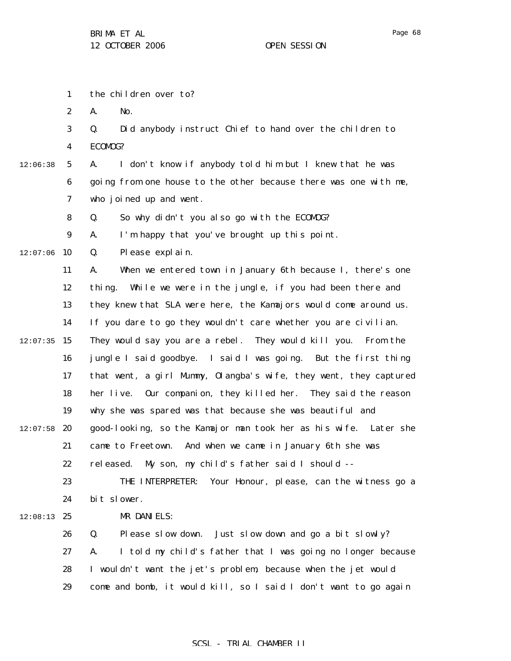1 2 3 4 5 6 7 8 9  $12:07:06$  10 11 12 13 14  $12:07:35$  15 16 17 18 19  $12:07:58$  20 21 22 23 24  $12:08:13$  25 26 27 28 29 12:06:38 the children over to? A. No. Q. Did anybody instruct Chief to hand over the children to ECOMOG? A. I don't know if anybody told him but I knew that he was going from one house to the other because there was one with me, who joined up and went. Q. So why didn't you also go with the ECOMOG? A. I'm happy that you've brought up this point. Q. Please explain. A. When we entered town in January 6th because I, there's one thing. While we were in the jungle, if you had been there and they knew that SLA were here, the Kamajors would come around us. If you dare to go they wouldn't care whether you are civilian. They would say you are a rebel. They would kill you. From the jungle I said goodbye. I said I was going. But the first thing that went, a girl Mummy, Olangba's wife, they went, they captured her live. Our companion, they killed her. They said the reason why she was spared was that because she was beautiful and good-looking, so the Kamajor man took her as his wife. Later she came to Freetown. And when we came in January 6th she was released. My son, my child's father said I should -- THE INTERPRETER: Your Honour, please, can the witness go a bit slower. MR DANIELS: Q. Please slow down. Just slow down and go a bit slowly? A. I told my child's father that I was going no longer because I wouldn't want the jet's problem, because when the jet would come and bomb, it would kill, so I said I don't want to go again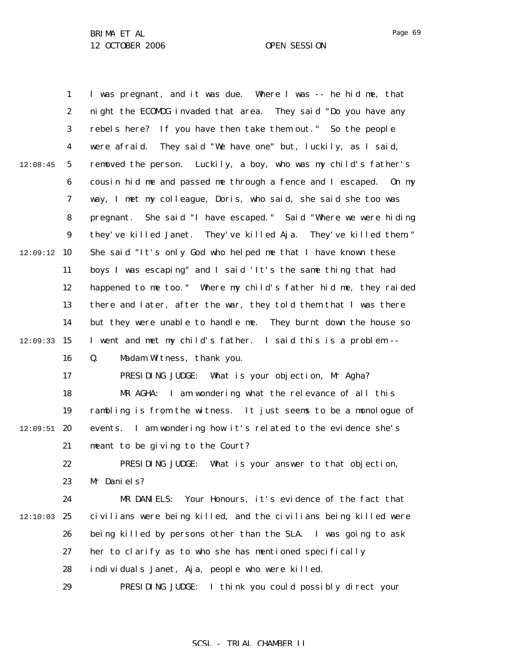1 2 3 4 5 6 7 8 9  $12:09:12$  10 11 12 13 14  $12:09:33$  15 16 17 18 19  $12:09:51$  20 21 22 23 24  $12:10:03$  25 26 27 28 29 12:08:45 I was pregnant, and it was due. Where I was -- he hid me, that night the ECOMOG invaded that area. They said "Do you have any rebels here? If you have then take them out." So the people were afraid. They said "We have one" but, luckily, as I said, removed the person. Luckily, a boy, who was my child's father's cousin hid me and passed me through a fence and I escaped. On my way, I met my colleague, Doris, who said, she said she too was pregnant. She said "I have escaped." Said "Where we were hiding they've killed Janet. They've killed Aja. They've killed them." She said "It's only God who helped me that I have known these boys I was escaping" and I said 'It's the same thing that had happened to me too." Where my child's father hid me, they raided there and later, after the war, they told them that I was there but they were unable to handle me. They burnt down the house so I went and met my child's father. I said this is a problem -- Q. Madam Witness, thank you. PRESIDING JUDGE: What is your objection, Mr Agha? MR AGHA: I am wondering what the relevance of all this rambling is from the witness. It just seems to be a monologue of events. I am wondering how it's related to the evidence she's meant to be giving to the Court? PRESIDING JUDGE: What is your answer to that objection, Mr Daniels? MR DANIELS: Your Honours, it's evidence of the fact that civilians were being killed, and the civilians being killed were being killed by persons other than the SLA. I was going to ask her to clarify as to who she has mentioned specifically individuals Janet, Aja, people who were killed. PRESIDING JUDGE: I think you could possibly direct your

## SCSL - TRIAL CHAMBER II

Page 69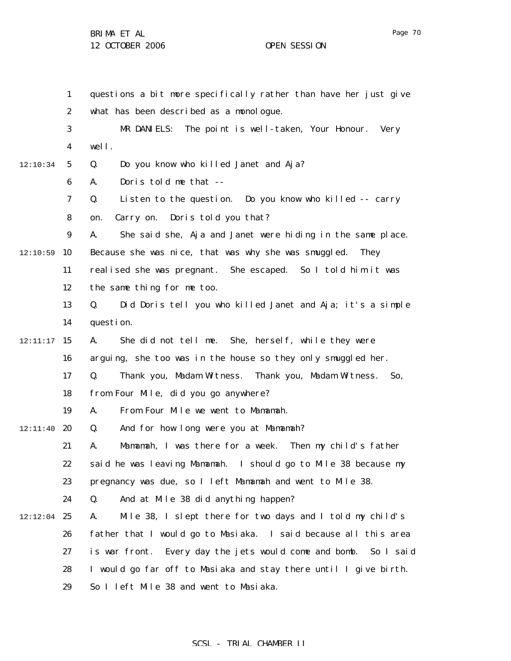12:10:34

1 2 3 4 5 6 7 8 9  $12:10:59$  10 11 12 13 14  $12:11:17$  15 16 17 18 19  $12:11:40$  20 21 22 23 24  $12:12:04$  25 26 27 28 questions a bit more specifically rather than have her just give what has been described as a monologue. MR DANIELS: The point is well-taken, Your Honour. Very well. Q. Do you know who killed Janet and Aja? A. Doris told me that -- Q. Listen to the question. Do you know who killed -- carry on. Carry on. Doris told you that? A. She said she, Aja and Janet were hiding in the same place. Because she was nice, that was why she was smuggled. They realised she was pregnant. She escaped. So I told him it was the same thing for me too. Q. Did Doris tell you who killed Janet and Aja; it's a simple question. A. She did not tell me. She, herself, while they were arguing, she too was in the house so they only smuggled her. Q. Thank you, Madam Witness. Thank you, Madam Witness. So, from Four Mile, did you go anywhere? A. From Four Mile we went to Mamamah. Q. And for how long were you at Mamamah? A. Mamamah, I was there for a week. Then my child's father said he was leaving Mamamah. I should go to Mile 38 because my pregnancy was due, so I left Mamamah and went to Mile 38. Q. And at Mile 38 did anything happen? A. Mile 38, I slept there for two days and I told my child's father that I would go to Masiaka. I said because all this area is war front. Every day the jets would come and bomb. So I said I would go far off to Masiaka and stay there until I give birth.

> 29 So I left Mile 38 and went to Masiaka.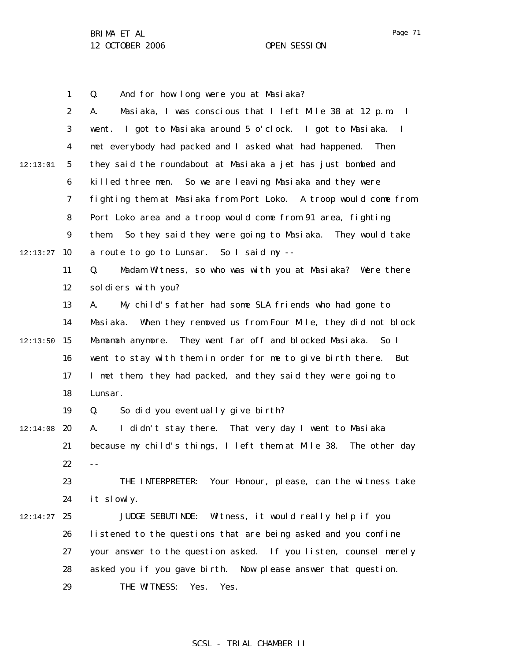1

Page 71

2 3 4 5 6 7 8 9  $12:13:27$  10 11 12 13 14  $12:13:50$  15 16 17 18 19  $12:14:08$  20 21 22 23 24  $12:14:27$  25 26 27 28 29 12:13:01 A. Masiaka, I was conscious that I left Mile 38 at 12 p.m. I went. I got to Masiaka around 5 o'clock. I got to Masiaka. I met everybody had packed and I asked what had happened. Then they said the roundabout at Masiaka a jet has just bombed and killed three men. So we are leaving Masiaka and they were fighting them at Masiaka from Port Loko. A troop would come from Port Loko area and a troop would come from 91 area, fighting them. So they said they were going to Masiaka. They would take a route to go to Lunsar. So I said my -- Q. Madam Witness, so who was with you at Masiaka? Were there soldiers with you? A. My child's father had some SLA friends who had gone to Masiaka. When they removed us from Four Mile, they did not block Mamamah anymore. They went far off and blocked Masiaka. So I went to stay with them in order for me to give birth there. But I met them, they had packed, and they said they were going to Lunsar. Q. So did you eventually give birth? A. I didn't stay there. That very day I went to Masiaka because my child's things, I left them at Mile 38. The other day -- THE INTERPRETER: Your Honour, please, can the witness take it slowly. JUDGE SEBUTINDE: Witness, it would really help if you listened to the questions that are being asked and you confine your answer to the question asked. If you listen, counsel merely asked you if you gave birth. Now please answer that question. THE WITNESS: Yes. Yes.

Q. And for how long were you at Masiaka?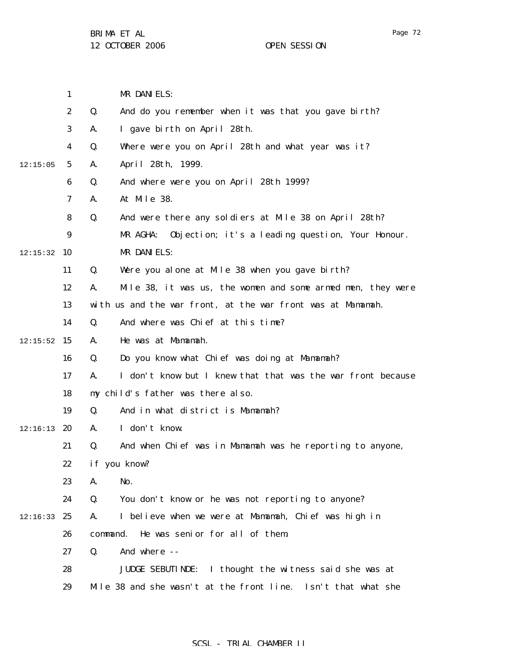Page 72

|          | 1                       | MR DANIELS:                                                       |
|----------|-------------------------|-------------------------------------------------------------------|
|          | $\boldsymbol{2}$        | Q.<br>And do you remember when it was that you gave birth?        |
|          | 3                       | I gave birth on April 28th.<br>A.                                 |
|          | $\overline{\mathbf{4}}$ | Q.<br>Where were you on April 28th and what year was it?          |
| 12:15:05 | 5                       | April 28th, 1999.<br>A.                                           |
|          | 6                       | And where were you on April 28th 1999?<br>Q.                      |
|          | 7                       | At Mile 38.<br>A.                                                 |
|          | 8                       | Q.<br>And were there any soldiers at Mile 38 on April 28th?       |
|          | 9                       | MR AGHA:<br>Objection; it's a leading question, Your Honour.      |
| 12:15:32 | 10                      | MR DANIELS:                                                       |
|          | 11                      | Q.<br>Were you alone at Mile 38 when you gave birth?              |
|          | 12                      | Mile 38, it was us, the women and some armed men, they were<br>A. |
|          | 13                      | with us and the war front, at the war front was at Mamamah.       |
|          | 14                      | And where was Chief at this time?<br>Q.                           |
| 12:15:52 | 15                      | He was at Mamamah.<br>A.                                          |
|          | 16                      | Do you know what Chief was doing at Mamamah?<br>Q.                |
|          | 17                      | I don't know but I knew that that was the war front because<br>A. |
|          | 18                      | my child's father was there also.                                 |
|          | 19                      | And in what district is Mamamah?<br>Q.                            |
| 12:16:13 | 20                      | I don't know.<br>A.                                               |
|          | 21                      | And when Chief was in Mamamah was he reporting to anyone,<br>Q.   |
|          | 22                      | if you know?                                                      |
|          | 23                      | No.<br>A.                                                         |
|          | 24                      | Q.<br>You don't know or he was not reporting to anyone?           |
| 12:16:33 | 25                      | I believe when we were at Mamamah, Chief was high in<br>A.        |
|          | 26                      | He was senior for all of them.<br>command.                        |
|          | 27                      | Q.<br>And where --                                                |
|          | 28                      | I thought the witness said she was at<br><b>JUDGE SEBUTINDE:</b>  |
|          | 29                      | Mile 38 and she wasn't at the front line.<br>Isn't that what she  |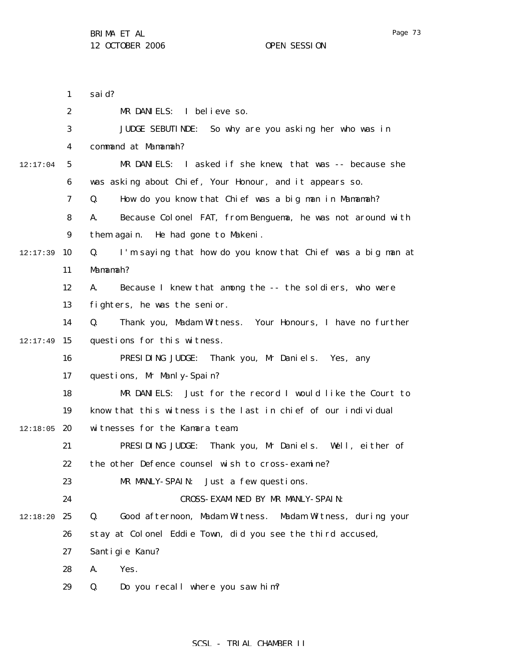1 2 said?

3

4

5

6

7

8

9

11

Mamamah?

12

13

14

16

17

18

19

 $12:17:39$  10

12:17:04

 $12:17:49$  15

MR DANIELS: I believe so. JUDGE SEBUTINDE: So why are you asking her who was in command at Mamamah? MR DANIELS: I asked if she knew, that was -- because she was asking about Chief, Your Honour, and it appears so. Q. How do you know that Chief was a big man in Mamamah? A. Because Colonel FAT, from Benguema, he was not around with them again. He had gone to Makeni. Q. I'm saying that how do you know that Chief was a big man at A. Because I knew that among the -- the soldiers, who were fighters, he was the senior. Q. Thank you, Madam Witness. Your Honours, I have no further questions for this witness. PRESIDING JUDGE: Thank you, Mr Daniels. Yes, any questions, Mr Manly-Spain? MR DANIELS: Just for the record I would like the Court to know that this witness is the last in chief of our individual

- $12:18:05$  20 witnesses for the Kamara team.
	- 21 22 PRESIDING JUDGE: Thank you, Mr Daniels. Well, either of the other Defence counsel wish to cross-examine?
		- 23 MR MANLY-SPAIN: Just a few questions.
		- 24 CROSS-EXAMINED BY MR MANLY-SPAIN:
- 12:18:20 25 26 Q. Good afternoon, Madam Witness. Madam Witness, during your stay at Colonel Eddie Town, did you see the third accused,
	- 27 Santigie Kanu?
	- 28 A. Yes.
	- 29 Q. Do you recall where you saw him?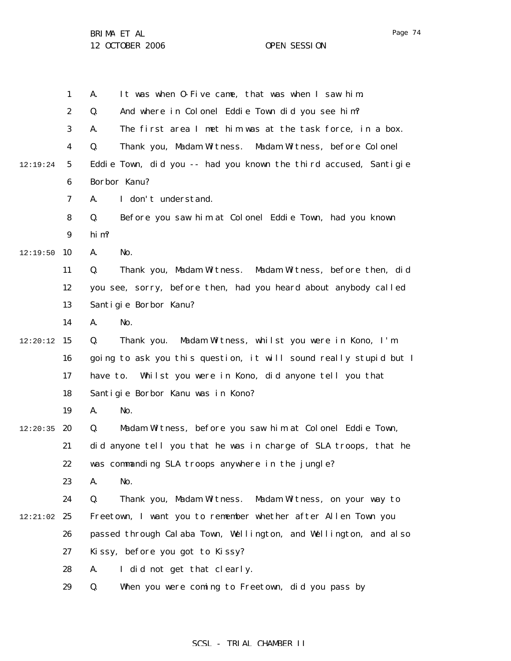1 2 3 4 5 6 7 8 9  $12:19:50$  10 11 12 13 14  $12:20:12$  15 16 17 18 19  $12:20:35$  20 21 22 23 24  $12:21:02$  25 26 27 28 29 12:19:24 A. It was when O-Five came, that was when I saw him. Q. And where in Colonel Eddie Town did you see him? A. The first area I met him was at the task force, in a box. Q. Thank you, Madam Witness. Madam Witness, before Colonel Eddie Town, did you -- had you known the third accused, Santigie Borbor Kanu? A. I don't understand. Q. Before you saw him at Colonel Eddie Town, had you known him? A. No. Q. Thank you, Madam Witness. Madam Witness, before then, did you see, sorry, before then, had you heard about anybody called Santigie Borbor Kanu? A. No. Q. Thank you. Madam Witness, whilst you were in Kono, I'm going to ask you this question, it will sound really stupid but I have to. Whilst you were in Kono, did anyone tell you that Santigie Borbor Kanu was in Kono? A. No. Q. Madam Witness, before you saw him at Colonel Eddie Town, did anyone tell you that he was in charge of SLA troops, that he was commanding SLA troops anywhere in the jungle? A. No. Q. Thank you, Madam Witness. Madam Witness, on your way to Freetown, I want you to remember whether after Allen Town you passed through Calaba Town, Wellington, and Wellington, and also Kissy, before you got to Kissy? A. I did not get that clearly. Q. When you were coming to Freetown, did you pass by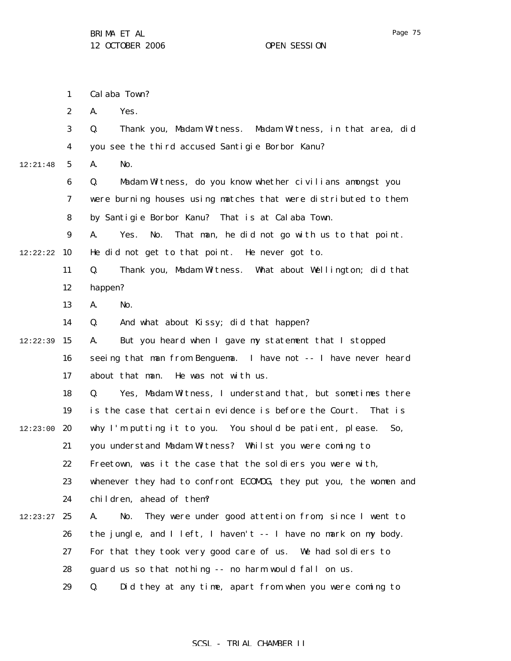1 2 3 4 5 6 7 8 9 12:22:22 10 11 12 13 14  $12:22:39$  15 16 17 18 19 12:23:00 **20** 21 22 23 24  $12:23:27$  25 26 27 28 29 12:21:48 Calaba Town? A. Yes. Q. Thank you, Madam Witness. Madam Witness, in that area, did you see the third accused Santigie Borbor Kanu? A. No. Q. Madam Witness, do you know whether civilians amongst you were burning houses using matches that were distributed to them by Santigie Borbor Kanu? That is at Calaba Town. A. Yes. No. That man, he did not go with us to that point. He did not get to that point. He never got to. Q. Thank you, Madam Witness. What about Wellington; did that happen? A. No. Q. And what about Kissy; did that happen? A. But you heard when I gave my statement that I stopped seeing that man from Benguema. I have not -- I have never heard about that man. He was not with us. Q. Yes, Madam Witness, I understand that, but sometimes there is the case that certain evidence is before the Court. That is why I'm putting it to you. You should be patient, please. So, you understand Madam Witness? Whilst you were coming to Freetown, was it the case that the soldiers you were with, whenever they had to confront ECOMOG, they put you, the women and children, ahead of them? A. No. They were under good attention from, since I went to the jungle, and I left, I haven't -- I have no mark on my body. For that they took very good care of us. We had soldiers to guard us so that nothing -- no harm would fall on us. Q. Did they at any time, apart from when you were coming to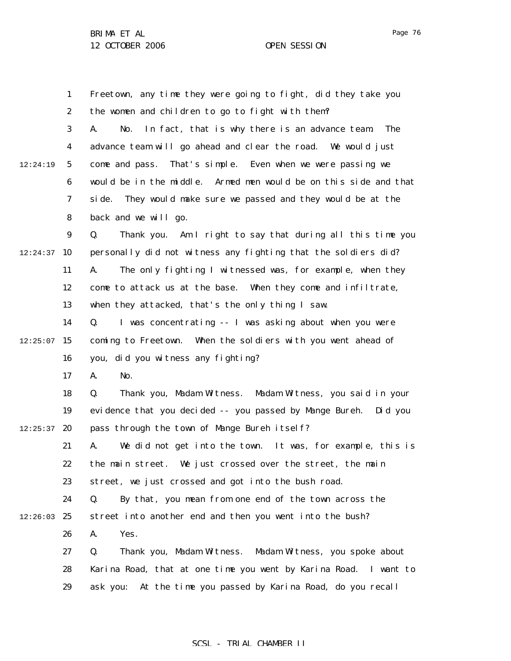1 2 3 4 5 6 7 8 9  $12:24:37$  10 11 12 13 14  $12:25:07$  15 16 17 18 19  $12:25:37$  20 21 22 23 24  $12:26:03$  25 26 27 28 29 12:24:19 Freetown, any time they were going to fight, did they take you the women and children to go to fight with them? A. No. In fact, that is why there is an advance team. The advance team will go ahead and clear the road. We would just come and pass. That's simple. Even when we were passing we would be in the middle. Armed men would be on this side and that side. They would make sure we passed and they would be at the back and we will go. Q. Thank you. Am I right to say that during all this time you personally did not witness any fighting that the soldiers did? A. The only fighting I witnessed was, for example, when they come to attack us at the base. When they come and infiltrate, when they attacked, that's the only thing I saw. Q. I was concentrating -- I was asking about when you were coming to Freetown. When the soldiers with you went ahead of you, did you witness any fighting? A. No. Q. Thank you, Madam Witness. Madam Witness, you said in your evidence that you decided -- you passed by Mange Bureh. Did you pass through the town of Mange Bureh itself? A. We did not get into the town. It was, for example, this is the main street. We just crossed over the street, the main street, we just crossed and got into the bush road. Q. By that, you mean from one end of the town across the street into another end and then you went into the bush? A. Yes. Q. Thank you, Madam Witness. Madam Witness, you spoke about Karina Road, that at one time you went by Karina Road. I want to ask you: At the time you passed by Karina Road, do you recall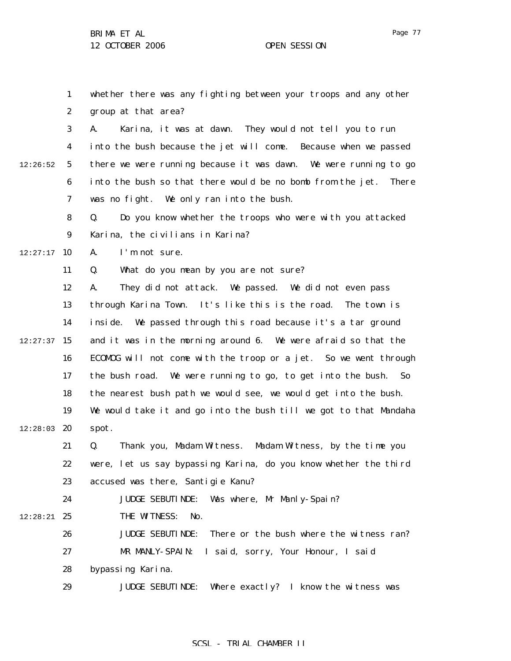Page 77

1 2 3 4 5 6 7 8 9  $12:27:17$  10 11 12 13 14  $12:27:37$  15 16 17 18 19 12:28:03 20 21 22 23 24 12:28:21 **25** 26 27 28 29 12:26:52 whether there was any fighting between your troops and any other group at that area? A. Karina, it was at dawn. They would not tell you to run into the bush because the jet will come. Because when we passed there we were running because it was dawn. We were running to go into the bush so that there would be no bomb from the jet. There was no fight. We only ran into the bush. Q. Do you know whether the troops who were with you attacked Karina, the civilians in Karina? A. I'm not sure. Q. What do you mean by you are not sure? A. They did not attack. We passed. We did not even pass through Karina Town. It's like this is the road. The town is inside. We passed through this road because it's a tar ground and it was in the morning around 6. We were afraid so that the ECOMOG will not come with the troop or a jet. So we went through the bush road. We were running to go, to get into the bush. So the nearest bush path we would see, we would get into the bush. We would take it and go into the bush till we got to that Mandaha spot. Q. Thank you, Madam Witness. Madam Witness, by the time you were, let us say bypassing Karina, do you know whether the third accused was there, Santigie Kanu? JUDGE SEBUTINDE: Was where, Mr Manly-Spain? THE WITNESS: No. JUDGE SEBUTINDE: There or the bush where the witness ran? MR MANLY-SPAIN: I said, sorry, Your Honour, I said bypassing Karina. JUDGE SEBUTINDE: Where exactly? I know the witness was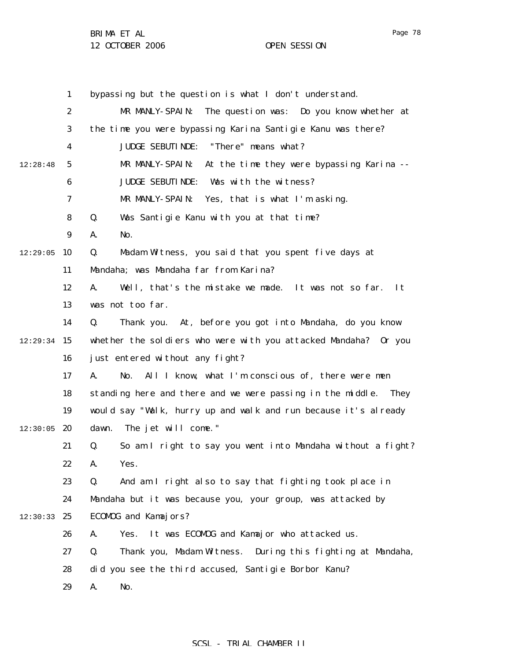Page 78

1 2 3 4 5 6 7 8 9  $12:29:05$  10 11 12 13 14  $12:29:34$  15 16 17 18 19  $12:30:05$  20 21 22 23 24 12:30:33 25 26 27 28 29 12:28:48 bypassing but the question is what I don't understand. MR MANLY-SPAIN: The question was: Do you know whether at the time you were bypassing Karina Santigie Kanu was there? JUDGE SEBUTINDE: "There" means what? MR MANLY-SPAIN: At the time they were bypassing Karina -- JUDGE SEBUTINDE: Was with the witness? MR MANLY-SPAIN: Yes, that is what I'm asking. Q. Was Santigie Kanu with you at that time? A. No. Q. Madam Witness, you said that you spent five days at Mandaha; was Mandaha far from Karina? A. Well, that's the mistake we made. It was not so far. It was not too far. Q. Thank you. At, before you got into Mandaha, do you know whether the soldiers who were with you attacked Mandaha? Or you just entered without any fight? A. No. All I know, what I'm conscious of, there were men standing here and there and we were passing in the middle. They would say "Walk, hurry up and walk and run because it's already dawn. The jet will come." Q. So am I right to say you went into Mandaha without a fight? A. Yes. Q. And am I right also to say that fighting took place in Mandaha but it was because you, your group, was attacked by ECOMOG and Kamajors? A. Yes. It was ECOMOG and Kamajor who attacked us. Q. Thank you, Madam Witness. During this fighting at Mandaha, did you see the third accused, Santigie Borbor Kanu? A. No.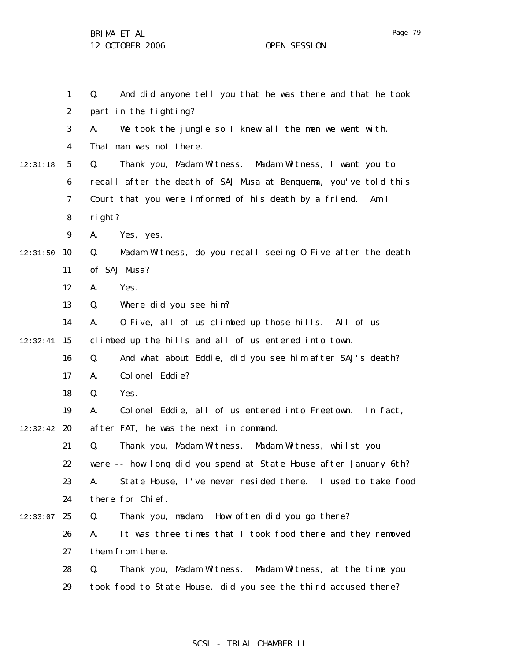|          | $\mathbf{1}$     | And did anyone tell you that he was there and that he took<br>Q.  |  |  |
|----------|------------------|-------------------------------------------------------------------|--|--|
|          | $\boldsymbol{2}$ | part in the fighting?                                             |  |  |
|          | 3                | We took the jungle so I knew all the men we went with.<br>A.      |  |  |
|          | 4                | That man was not there.                                           |  |  |
| 12:31:18 | $\mathbf{5}$     | Q.<br>Thank you, Madam Witness. Madam Witness, I want you to      |  |  |
|          | 6                | recall after the death of SAJ Musa at Benguema, you've told this  |  |  |
|          | 7                | Court that you were informed of his death by a friend.<br>Am I    |  |  |
|          | ${\bf 8}$        | right?                                                            |  |  |
|          | $\boldsymbol{9}$ | A.<br>Yes, yes.                                                   |  |  |
| 12:31:50 | 10               | Madam Witness, do you recall seeing 0-Five after the death<br>Q.  |  |  |
|          | 11               | of SAJ Musa?                                                      |  |  |
|          | 12               | Yes.<br>A.                                                        |  |  |
|          | 13               | Q.<br>Where did you see him?                                      |  |  |
|          | 14               | 0-Five, all of us climbed up those hills. All of us<br>A.         |  |  |
| 12:32:41 | 15               | climbed up the hills and all of us entered into town.             |  |  |
|          | 16               | Q.<br>And what about Eddie, did you see him after SAJ's death?    |  |  |
|          | 17               | Colonel Eddie?<br>A.                                              |  |  |
|          | 18               | Q.<br>Yes.                                                        |  |  |
|          | 19               | Colonel Eddie, all of us entered into Freetown.<br>In fact,<br>A. |  |  |
| 12:32:42 | 20               | after FAT, he was the next in command.                            |  |  |
|          | 21               | Q.<br>Thank you, Madam Witness. Madam Witness, whilst you         |  |  |
|          | 22               | were -- how long did you spend at State House after January 6th?  |  |  |
|          | 23               | State House, I've never resided there. I used to take food<br>A.  |  |  |
|          | 24               | there for Chief.                                                  |  |  |
| 12:33:07 | 25               | Q.<br>How often did you go there?<br>Thank you, madam.            |  |  |
|          | 26               | It was three times that I took food there and they removed<br>A.  |  |  |
|          | 27               | them from there.                                                  |  |  |
|          | 28               | Q.<br>Thank you, Madam Witness. Madam Witness, at the time you    |  |  |
|          | 29               | took food to State House, did you see the third accused there?    |  |  |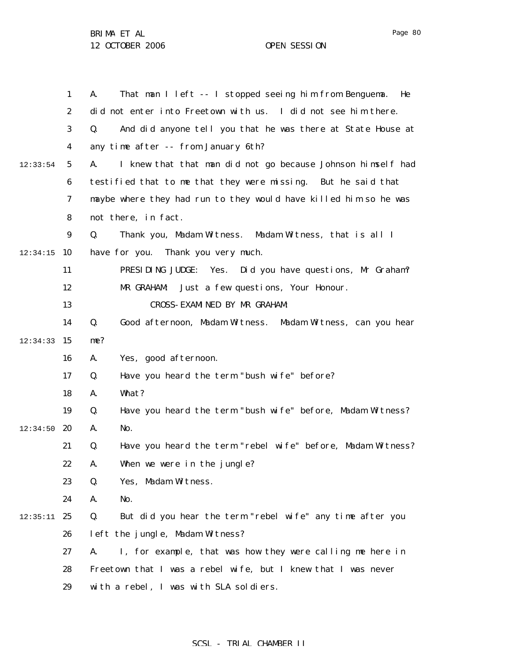1 2 3 4 5 6 7 8 9  $12:34:15$  10 11 12 13 14  $12:34:33$  15 16 17 18 19  $12:34:50$  20 21 22 23 24  $12:35:11$  25 26 27 28 29 12:33:54 A. That man I left -- I stopped seeing him from Benguema. He did not enter into Freetown with us. I did not see him there. Q. And did anyone tell you that he was there at State House at any time after -- from January 6th? A. I knew that that man did not go because Johnson himself had testified that to me that they were missing. But he said that maybe where they had run to they would have killed him so he was not there, in fact. Q. Thank you, Madam Witness. Madam Witness, that is all I have for you. Thank you very much. PRESIDING JUDGE: Yes. Did you have questions, Mr Graham? MR GRAHAM: Just a few questions, Your Honour. CROSS-EXAMINED BY MR GRAHAM: Q. Good afternoon, Madam Witness. Madam Witness, can you hear me? A. Yes, good afternoon. Q. Have you heard the term "bush wife" before? A. What? Q. Have you heard the term "bush wife" before, Madam Witness? A. No. Q. Have you heard the term "rebel wife" before, Madam Witness? A. When we were in the jungle? Q. Yes, Madam Witness. A. No. Q. But did you hear the term "rebel wife" any time after you left the jungle, Madam Witness? A. I, for example, that was how they were calling me here in Freetown that I was a rebel wife, but I knew that I was never with a rebel, I was with SLA soldiers.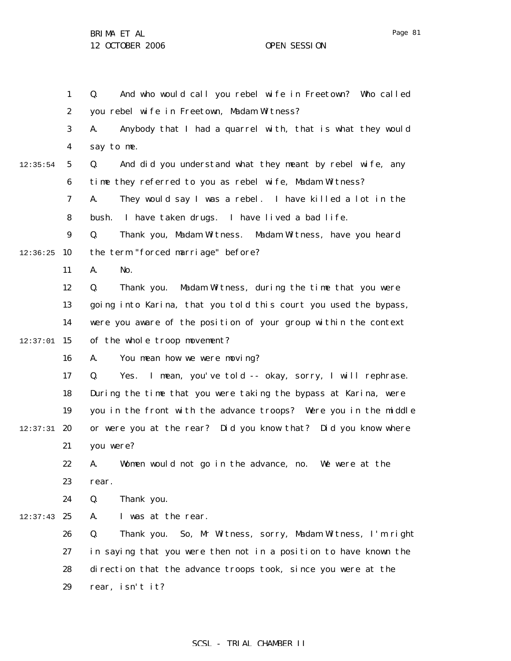1 2 3 4 5 6 7 8 9  $12:36:25$  10 11 12 13 14  $12:37:01$  15 16 17 18 19  $12:37:31$  20 21 22 23 24  $12:37:43$  25 26 27 28 29 12:35:54 Q. And who would call you rebel wife in Freetown? Who called you rebel wife in Freetown, Madam Witness? A. Anybody that I had a quarrel with, that is what they would say to me. Q. And did you understand what they meant by rebel wife, any time they referred to you as rebel wife, Madam Witness? A. They would say I was a rebel. I have killed a lot in the bush. I have taken drugs. I have lived a bad life. Q. Thank you, Madam Witness. Madam Witness, have you heard the term "forced marriage" before? A. No. Q. Thank you. Madam Witness, during the time that you were going into Karina, that you told this court you used the bypass, were you aware of the position of your group within the context of the whole troop movement? A. You mean how we were moving? Q. Yes. I mean, you've told -- okay, sorry, I will rephrase. During the time that you were taking the bypass at Karina, were you in the front with the advance troops? Were you in the middle or were you at the rear? Did you know that? Did you know where you were? A. Women would not go in the advance, no. We were at the rear. Q. Thank you. A. I was at the rear. Q. Thank you. So, Mr Witness, sorry, Madam Witness, I'm right in saying that you were then not in a position to have known the direction that the advance troops took, since you were at the rear, isn't it?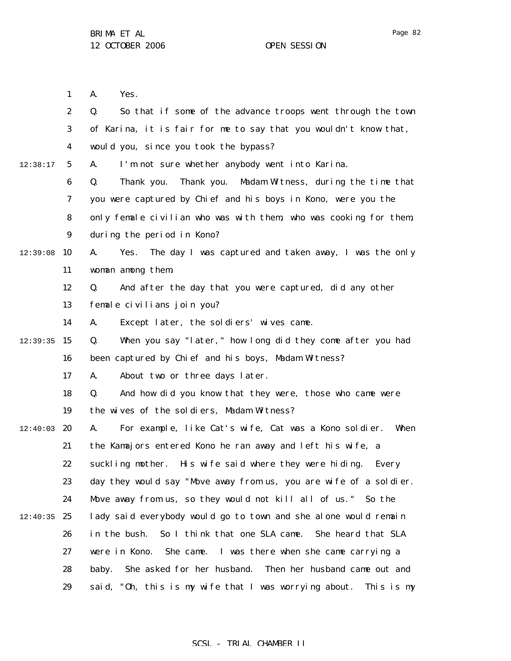Page 82

|          | 1                | A.<br>Yes.                                                          |
|----------|------------------|---------------------------------------------------------------------|
|          | $\boldsymbol{2}$ | So that if some of the advance troops went through the town<br>Q.   |
|          | 3                | of Karina, it is fair for me to say that you wouldn't know that,    |
|          | 4                | would you, since you took the bypass?                               |
| 12:38:17 | $5\overline{ }$  | I'm not sure whether anybody went into Karina.<br>A.                |
|          | 6                | Thank you.<br>Thank you. Madam Witness, during the time that<br>Q.  |
|          | 7                | you were captured by Chief and his boys in Kono, were you the       |
|          | 8                | only female civilian who was with them, who was cooking for them,   |
|          | $\boldsymbol{9}$ | during the period in Kono?                                          |
| 12:39:08 | 10               | The day I was captured and taken away, I was the only<br>A.<br>Yes. |
|          | 11               | woman among them.                                                   |
|          | 12               | And after the day that you were captured, did any other<br>Q.       |
|          | 13               | female civilians join you?                                          |
|          | 14               | Except later, the soldiers' wives came.<br>A.                       |
| 12:39:35 | 15               | When you say "later," how long did they come after you had<br>Q.    |
|          | 16               | been captured by Chief and his boys, Madam Witness?                 |
|          | 17               | About two or three days later.<br>A.                                |
|          | 18               | And how did you know that they were, those who came were<br>Q.      |
|          | 19               | the wives of the soldiers, Madam Witness?                           |
| 12:40:03 | 20               | For example, like Cat's wife, Cat was a Kono soldier.<br>When<br>A. |
|          | 21               | the Kamajors entered Kono he ran away and left his wife, a          |
|          | 22               | suckling mother. His wife said where they were hiding. Every        |
|          | 23               | day they would say "Move away from us, you are wife of a soldier.   |
|          | 24               | Move away from us, so they would not kill all of us." So the        |
| 12:40:35 | 25               | lady said everybody would go to town and she alone would remain     |
|          | 26               | So I think that one SLA came.<br>She heard that SLA<br>in the bush. |
|          | 27               | were in Kono. She came. I was there when she came carrying a        |
|          | 28               | She asked for her husband. Then her husband came out and<br>baby.   |
|          | 29               | said, "Oh, this is my wife that I was worrying about. This is my    |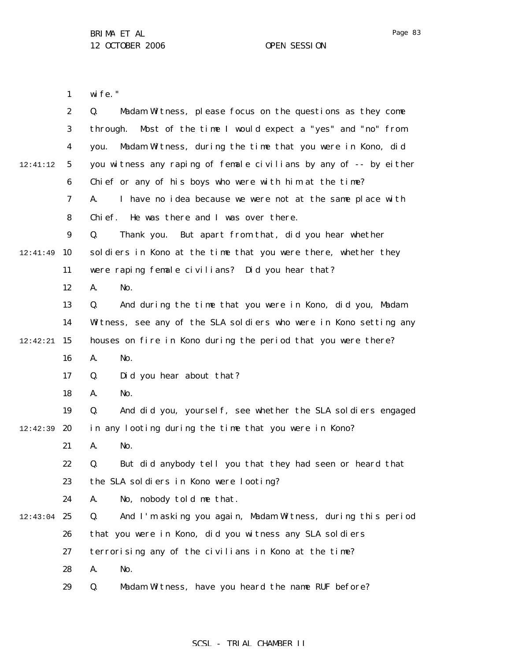Page 83

1 wife."

|          | $\boldsymbol{2}$ | Madam Witness, please focus on the questions as they come<br>Q.   |
|----------|------------------|-------------------------------------------------------------------|
|          | 3                | Most of the time I would expect a "yes" and "no" from<br>through. |
|          | $\boldsymbol{4}$ | Madam Witness, during the time that you were in Kono, did<br>you. |
| 12:41:12 | 5                | you witness any raping of female civilians by any of -- by either |
|          | 6                | Chief or any of his boys who were with him at the time?           |
|          | 7                | I have no idea because we were not at the same place with<br>A.   |
|          | 8                | He was there and I was over there.<br>Chi ef.                     |
|          | $\boldsymbol{9}$ | Q.<br>Thank you. But apart from that, did you hear whether        |
| 12:41:49 | 10               | soldiers in Kono at the time that you were there, whether they    |
|          | 11               | were raping female civilians? Did you hear that?                  |
|          | 12               | No.<br>A.                                                         |
|          | 13               | And during the time that you were in Kono, did you, Madam<br>Q.   |
|          | 14               | Witness, see any of the SLA soldiers who were in Kono setting any |
| 12:42:21 | 15               | houses on fire in Kono during the period that you were there?     |
|          | 16               | A.<br>No.                                                         |
|          | 17               | Did you hear about that?<br>Q.                                    |
|          | 18               | No.<br>A.                                                         |
|          | 19               | And did you, yourself, see whether the SLA soldiers engaged<br>Q. |
| 12:42:39 | 20               | in any looting during the time that you were in Kono?             |
|          | 21               | No.<br>A.                                                         |
|          | 22               | But did anybody tell you that they had seen or heard that<br>Q.   |
|          | 23               | the SLA soldiers in Kono were looting?                            |
|          | 24               | No, nobody told me that.<br>A.                                    |
| 12:43:04 | 25               | And I'm asking you again, Madam Witness, during this period<br>Q. |
|          | 26               | that you were in Kono, did you witness any SLA soldiers           |
|          | 27               | terrorising any of the civilians in Kono at the time?             |
|          | 28               | A.<br>No.                                                         |
|          | 29               | Madam Witness, have you heard the name RUF before?<br>Q.          |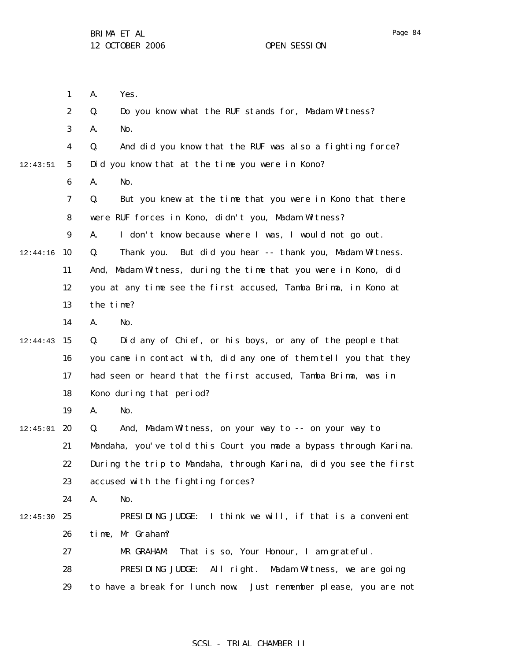1 2 3 4 5 6 7 8 9  $12:44:16$  10 11 12 13 14  $12:44:43$  15 16 17 18 19  $12:45:01$  20 21 22 23 24  $12:45:30$  25 26 27 28 29 12:43:51 A. Yes. Q. Do you know what the RUF stands for, Madam Witness? A. No. Q. And did you know that the RUF was also a fighting force? Did you know that at the time you were in Kono? A. No. Q. But you knew at the time that you were in Kono that there were RUF forces in Kono, didn't you, Madam Witness? A. I don't know because where I was, I would not go out. Q. Thank you. But did you hear -- thank you, Madam Witness. And, Madam Witness, during the time that you were in Kono, did you at any time see the first accused, Tamba Brima, in Kono at the time? A. No. Q. Did any of Chief, or his boys, or any of the people that you came in contact with, did any one of them tell you that they had seen or heard that the first accused, Tamba Brima, was in Kono during that period? A. No. Q. And, Madam Witness, on your way to -- on your way to Mandaha, you've told this Court you made a bypass through Karina. During the trip to Mandaha, through Karina, did you see the first accused with the fighting forces? A. No. PRESIDING JUDGE: I think we will, if that is a convenient time, Mr Graham? MR GRAHAM: That is so, Your Honour, I am grateful. PRESIDING JUDGE: All right. Madam Witness, we are going to have a break for lunch now. Just remember please, you are not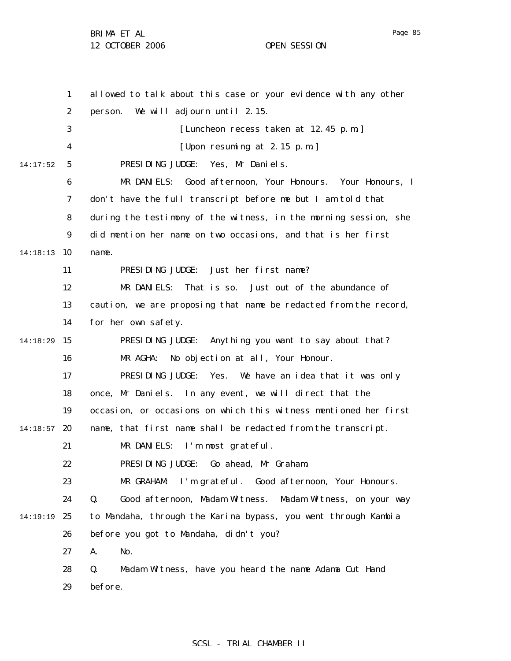1 2 3 4 5 6 7 8 9 14:18:13 10 11 12 13 14 14:18:29 15 16 17 18 19  $14:18:57$  20 21 22 23 24 14:19:19 25 26 27 28 29 14:17:52 allowed to talk about this case or your evidence with any other person. We will adjourn until 2.15. [Luncheon recess taken at 12.45 p.m.] [Upon resuming at 2.15 p.m.] PRESIDING JUDGE: Yes, Mr Daniels. MR DANIELS: Good afternoon, Your Honours. Your Honours, I don't have the full transcript before me but I am told that during the testimony of the witness, in the morning session, she did mention her name on two occasions, and that is her first name. PRESIDING JUDGE: Just her first name? MR DANIELS: That is so. Just out of the abundance of caution, we are proposing that name be redacted from the record, for her own safety. PRESIDING JUDGE: Anything you want to say about that? MR AGHA: No objection at all, Your Honour. PRESIDING JUDGE: Yes. We have an idea that it was only once, Mr Daniels. In any event, we will direct that the occasion, or occasions on which this witness mentioned her first name, that first name shall be redacted from the transcript. MR DANIELS: I'm most grateful. PRESIDING JUDGE: Go ahead, Mr Graham. MR GRAHAM: I'm grateful. Good afternoon, Your Honours. Q. Good afternoon, Madam Witness. Madam Witness, on your way to Mandaha, through the Karina bypass, you went through Kambia before you got to Mandaha, didn't you? A. No. Q. Madam Witness, have you heard the name Adama Cut Hand before.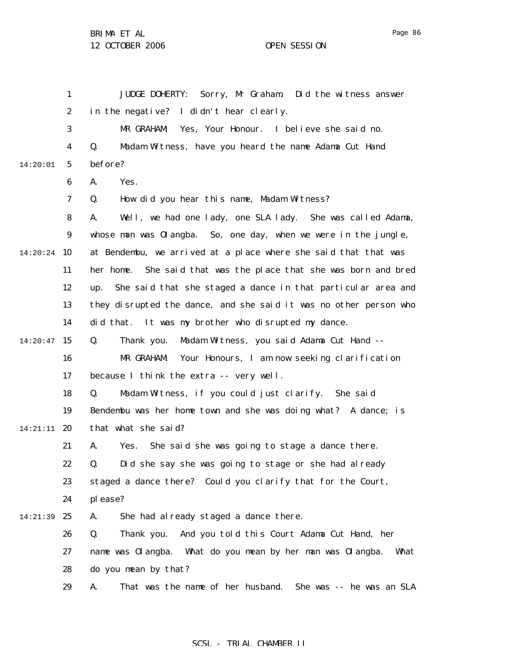1 2 3 4 5 6 7 8 9 14:20:24 10 11 12 13 14  $14:20:47$  15 16 17 18 19 14:21:11 **20** 21 22 23 24 25 26 27 28 29 14:20:01 14:21:39 JUDGE DOHERTY: Sorry, Mr Graham. Did the witness answer in the negative? I didn't hear clearly. MR GRAHAM: Yes, Your Honour. I believe she said no. Q. Madam Witness, have you heard the name Adama Cut Hand before? A. Yes. Q. How did you hear this name, Madam Witness? A. Well, we had one lady, one SLA lady. She was called Adama, whose man was Olangba. So, one day, when we were in the jungle, at Bendembu, we arrived at a place where she said that that was her home. She said that was the place that she was born and bred up. She said that she staged a dance in that particular area and they disrupted the dance, and she said it was no other person who did that. It was my brother who disrupted my dance. Q. Thank you. Madam Witness, you said Adama Cut Hand -- MR GRAHAM: Your Honours, I am now seeking clarification because I think the extra -- very well. Q. Madam Witness, if you could just clarify. She said Bendembu was her home town and she was doing what? A dance; is that what she said? A. Yes. She said she was going to stage a dance there. Q. Did she say she was going to stage or she had already staged a dance there? Could you clarify that for the Court, please? A. She had already staged a dance there. Q. Thank you. And you told this Court Adama Cut Hand, her name was Olangba. What do you mean by her man was Olangba. What do you mean by that? A. That was the name of her husband. She was -- he was an SLA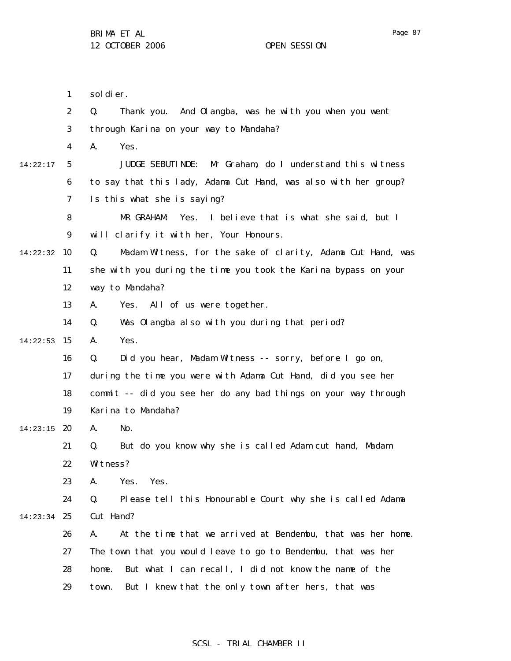|          | $\mathbf{1}$            | sol di er.                                                         |  |  |
|----------|-------------------------|--------------------------------------------------------------------|--|--|
|          | $\boldsymbol{2}$        | Thank you. And Olangba, was he with you when you went<br>Q.        |  |  |
|          | $\boldsymbol{3}$        | through Karina on your way to Mandaha?                             |  |  |
|          | $\overline{\mathbf{4}}$ | Yes.<br>A.                                                         |  |  |
| 14:22:17 | $\sqrt{5}$              | <b>JUDGE SEBUTINDE:</b><br>Mr Graham, do I understand this witness |  |  |
|          | 6                       | to say that this lady, Adama Cut Hand, was also with her group?    |  |  |
|          | 7                       | Is this what she is saying?                                        |  |  |
|          | 8                       | MR GRAHAM:<br>Yes. I believe that is what she said, but I          |  |  |
|          | 9                       | will clarify it with her, Your Honours.                            |  |  |
| 14:22:32 | 10                      | Q.<br>Madam Witness, for the sake of clarity, Adama Cut Hand, was  |  |  |
|          | 11                      | she with you during the time you took the Karina bypass on your    |  |  |
|          | 12                      | way to Mandaha?                                                    |  |  |
|          | 13                      | All of us were together.<br>Yes.<br>A.                             |  |  |
|          | 14                      | Was Olangba also with you during that period?<br>Q.                |  |  |
| 14:22:53 | 15                      | Yes.<br>A.                                                         |  |  |
|          | 16                      | Q.<br>Did you hear, Madam Witness -- sorry, before I go on,        |  |  |
|          | 17                      | during the time you were with Adama Cut Hand, did you see her      |  |  |
|          | 18                      | commit -- did you see her do any bad things on your way through    |  |  |
|          | 19                      | Karina to Mandaha?                                                 |  |  |
| 14:23:15 | 20                      | No.<br>A.                                                          |  |  |
|          | 21                      | But do you know why she is called Adam cut hand, Madam<br>Q.       |  |  |
|          | 22                      | Witness?                                                           |  |  |
|          | 23                      | Yes.<br>Yes.<br>A.                                                 |  |  |
|          | 24                      | Please tell this Honourable Court why she is called Adama<br>Q.    |  |  |
| 14:23:34 | 25                      | Cut Hand?                                                          |  |  |
|          | 26                      | At the time that we arrived at Bendembu, that was her home.<br>A.  |  |  |
|          | 27                      | The town that you would leave to go to Bendembu, that was her      |  |  |
|          | 28                      | But what I can recall, I did not know the name of the<br>home.     |  |  |
|          | 29                      | But I knew that the only town after hers, that was<br>town.        |  |  |
|          |                         |                                                                    |  |  |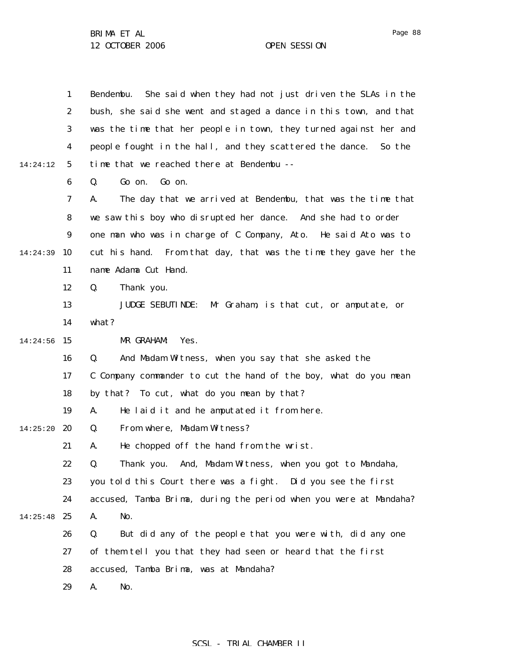|          | $\mathbf{1}$     | Bendembu. She said when they had not just driven the SLAs in the   |
|----------|------------------|--------------------------------------------------------------------|
|          | $\boldsymbol{2}$ | bush, she said she went and staged a dance in this town, and that  |
|          | 3                | was the time that her people in town, they turned against her and  |
|          | 4                | people fought in the hall, and they scattered the dance.<br>So the |
| 14:24:12 | 5                | time that we reached there at Bendembu --                          |
|          | 6                | Go on.<br>Go on.<br>Q.                                             |
|          | 7                | The day that we arrived at Bendembu, that was the time that<br>A.  |
|          | 8                | we saw this boy who disrupted her dance. And she had to order      |
|          | 9                | one man who was in charge of C Company, Ato. He said Ato was to    |
| 14:24:39 | 10               | cut his hand. From that day, that was the time they gave her the   |
|          | 11               | name Adama Cut Hand.                                               |
|          | 12               | Thank you.<br>Q.                                                   |
|          | 13               | <b>JUDGE SEBUTINDE:</b><br>Mr Graham, is that cut, or amputate, or |
|          | 14               | what?                                                              |
| 14:24:56 | 15               | MR GRAHAM:<br>Yes.                                                 |
|          | 16               | And Madam Witness, when you say that she asked the<br>Q.           |
|          | 17               | C Company commander to cut the hand of the boy, what do you mean   |
|          | 18               | by that? To cut, what do you mean by that?                         |
|          | 19               | He laid it and he amputated it from here.<br>A.                    |
| 14:25:20 | 20               | From where, Madam Witness?<br>Q.                                   |
|          | 21               | He chopped off the hand from the wrist.<br>A.                      |
|          | 22               | Thank you. And, Madam Witness, when you got to Mandaha,<br>Q.      |
|          | 23               | you told this Court there was a fight. Did you see the first       |
|          | 24               | accused, Tamba Brima, during the period when you were at Mandaha?  |
| 14:25:48 | 25               | A.<br>No.                                                          |
|          | 26               | But did any of the people that you were with, did any one<br>Q.    |
|          | 27               | of them tell you that they had seen or heard that the first        |
|          | 28               | accused, Tamba Brima, was at Mandaha?                              |
|          | 29               | No.<br>A.                                                          |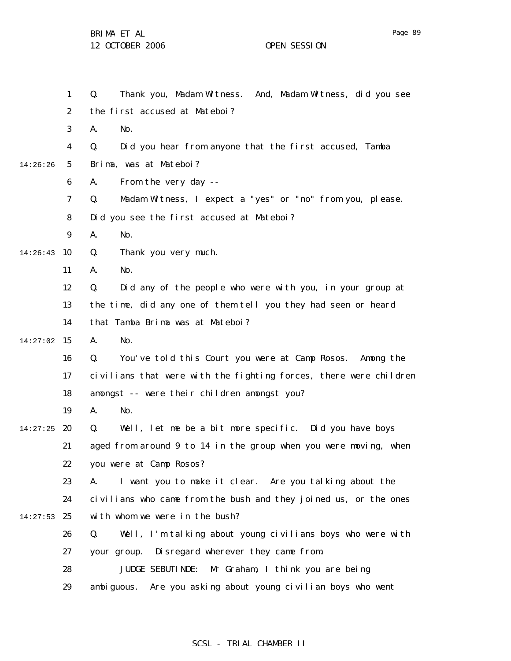|          | $\mathbf{1}$     | Thank you, Madam Witness. And, Madam Witness, did you see<br>Q.   |
|----------|------------------|-------------------------------------------------------------------|
|          | $\boldsymbol{2}$ | the first accused at Mateboi?                                     |
|          | 3                | A.<br>No.                                                         |
|          | $\boldsymbol{4}$ | Did you hear from anyone that the first accused, Tamba<br>Q.      |
| 14:26:26 | $5\phantom{.0}$  | Brima, was at Mateboi?                                            |
|          | $\boldsymbol{6}$ | From the very day --<br>A.                                        |
|          | 7                | Madam Witness, I expect a "yes" or "no" from you, please.<br>Q.   |
|          | 8                | Did you see the first accused at Mateboi?                         |
|          | 9                | A.<br>No.                                                         |
| 14:26:43 | 10               | Thank you very much.<br>Q.                                        |
|          | 11               | A.<br>No.                                                         |
|          | 12               | Q.<br>Did any of the people who were with you, in your group at   |
|          | 13               | the time, did any one of them tell you they had seen or heard     |
|          | 14               | that Tamba Brima was at Mateboi?                                  |
| 14:27:02 | 15               | A.<br>No.                                                         |
|          | 16               | Q.<br>You've told this Court you were at Camp Rosos. Among the    |
|          | 17               | civilians that were with the fighting forces, there were children |
|          | 18               | amongst -- were their children amongst you?                       |
|          | 19               | A.<br>No.                                                         |
| 14:27:25 | 20               | Well, let me be a bit more specific. Did you have boys<br>Q.      |
|          | 21               | aged from around 9 to 14 in the group when you were moving, when  |
|          | 22               | you were at Camp Rosos?                                           |
|          | 23               | I want you to make it clear. Are you talking about the<br>A.      |
|          | 24               | civilians who came from the bush and they joined us, or the ones  |
| 14:27:53 | 25               | with whom we were in the bush?                                    |
|          | 26               | Well, I'm talking about young civilians boys who were with<br>Q.  |
|          | 27               | Disregard wherever they came from.<br>your group.                 |
|          | 28               | Mr Graham, I think you are being<br><b>JUDGE SEBUTINDE:</b>       |
|          | 29               | Are you asking about young civilian boys who went<br>ambi guous.  |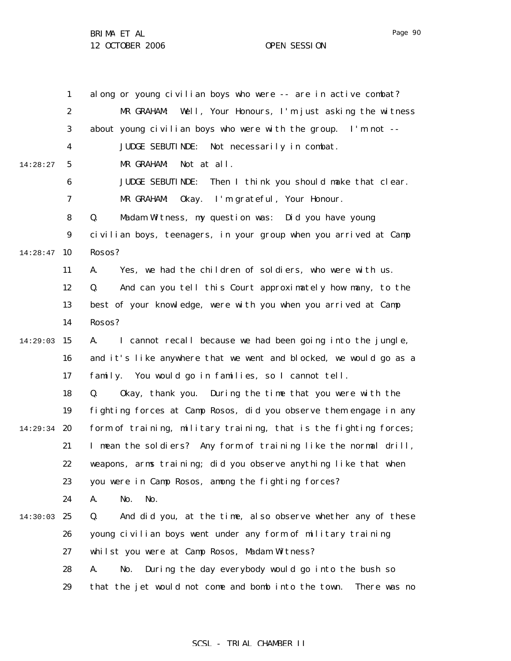1 2 3 4 5 6 7 8 9 14:28:47 10 11 12 13 14 14:29:03 15 16 17 18 19 14:29:34 **20** 21 22 23 24 14:30:03 25 26 27 28 29 14:28:27 along or young civilian boys who were -- are in active combat? MR GRAHAM: Well, Your Honours, I'm just asking the witness about young civilian boys who were with the group. I'm not -- JUDGE SEBUTINDE: Not necessarily in combat. MR GRAHAM: Not at all. JUDGE SEBUTINDE: Then I think you should make that clear. MR GRAHAM: Okay. I'm grateful, Your Honour. Q. Madam Witness, my question was: Did you have young civilian boys, teenagers, in your group when you arrived at Camp Rosos? A. Yes, we had the children of soldiers, who were with us. Q. And can you tell this Court approximately how many, to the best of your knowledge, were with you when you arrived at Camp Rosos? A. I cannot recall because we had been going into the jungle, and it's like anywhere that we went and blocked, we would go as a family. You would go in families, so I cannot tell. Q. Okay, thank you. During the time that you were with the fighting forces at Camp Rosos, did you observe them engage in any form of training, military training, that is the fighting forces; I mean the soldiers? Any form of training like the normal drill, weapons, arms training; did you observe anything like that when you were in Camp Rosos, among the fighting forces? A. No. No. Q. And did you, at the time, also observe whether any of these young civilian boys went under any form of military training whilst you were at Camp Rosos, Madam Witness? A. No. During the day everybody would go into the bush so that the jet would not come and bomb into the town. There was no

#### SCSL - TRIAL CHAMBER II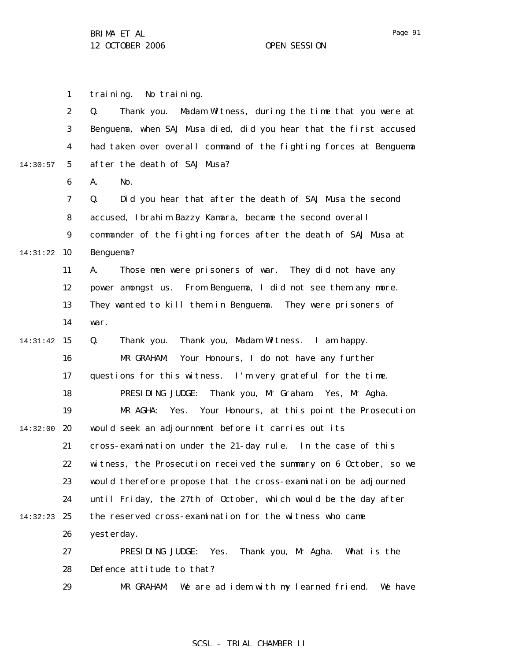Page 91

1 training. No training.

2 3 4 5 6 14:30:57 Q. Thank you. Madam Witness, during the time that you were at Benguema, when SAJ Musa died, did you hear that the first accused had taken over overall command of the fighting forces at Benguema after the death of SAJ Musa?

A. No.

7 8 9 14:31:22 10 Q. Did you hear that after the death of SAJ Musa the second accused, Ibrahim Bazzy Kamara, became the second overall commander of the fighting forces after the death of SAJ Musa at Benguema?

> 11 12 13 14 A. Those men were prisoners of war. They did not have any power amongst us. From Benguema, I did not see them any more. They wanted to kill them in Benguema. They were prisoners of war.

14:31:42 15 16 17 18 19 14:32:00 20 21 22 23 24 14:32:23 25 26 27 28 Q. Thank you. Thank you, Madam Witness. I am happy. MR GRAHAM: Your Honours, I do not have any further questions for this witness. I'm very grateful for the time. PRESIDING JUDGE: Thank you, Mr Graham. Yes, Mr Agha. MR AGHA: Yes. Your Honours, at this point the Prosecution would seek an adjournment before it carries out its cross-examination under the 21-day rule. In the case of this witness, the Prosecution received the summary on 6 October, so we would therefore propose that the cross-examination be adjourned until Friday, the 27th of October, which would be the day after the reserved cross-examination for the witness who came yesterday. PRESIDING JUDGE: Yes. Thank you, Mr Agha. What is the Defence attitude to that?

> 29 MR GRAHAM: We are ad idem with my learned friend. We have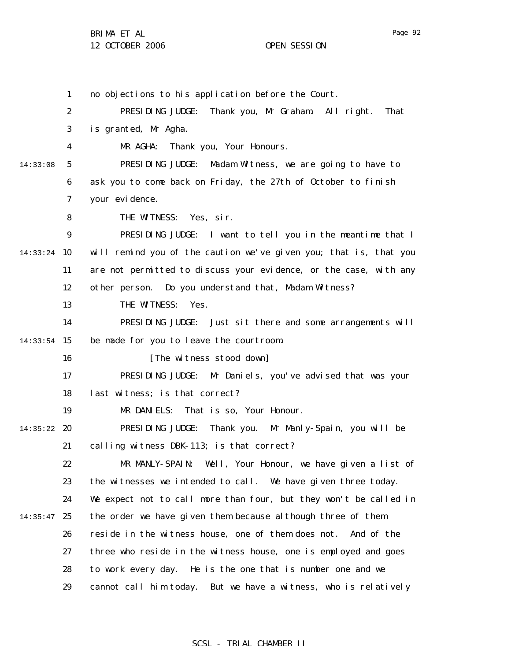1 2 3 4 5 6 7 8 9 14:33:24 10 11 12 13 14  $14:33:54$  15 16 17 18 19 14:35:22 **20** 21 22 23 24  $14:35:47$  25 26 27 28 29 14:33:08 no objections to his application before the Court. PRESIDING JUDGE: Thank you, Mr Graham. All right. That is granted, Mr Agha. MR AGHA: Thank you, Your Honours. PRESIDING JUDGE: Madam Witness, we are going to have to ask you to come back on Friday, the 27th of October to finish your evidence. THE WITNESS: Yes, sir. PRESIDING JUDGE: I want to tell you in the meantime that I will remind you of the caution we've given you; that is, that you are not permitted to discuss your evidence, or the case, with any other person. Do you understand that, Madam Witness? THE WITNESS: Yes. PRESIDING JUDGE: Just sit there and some arrangements will be made for you to leave the courtroom. [The witness stood down] PRESIDING JUDGE: Mr Daniels, you've advised that was your last witness; is that correct? MR DANIELS: That is so, Your Honour. PRESIDING JUDGE: Thank you. Mr Manly-Spain, you will be calling witness DBK-113; is that correct? MR MANLY-SPAIN: Well, Your Honour, we have given a list of the witnesses we intended to call. We have given three today. We expect not to call more than four, but they won't be called in the order we have given them because although three of them reside in the witness house, one of them does not. And of the three who reside in the witness house, one is employed and goes to work every day. He is the one that is number one and we cannot call him today. But we have a witness, who is relatively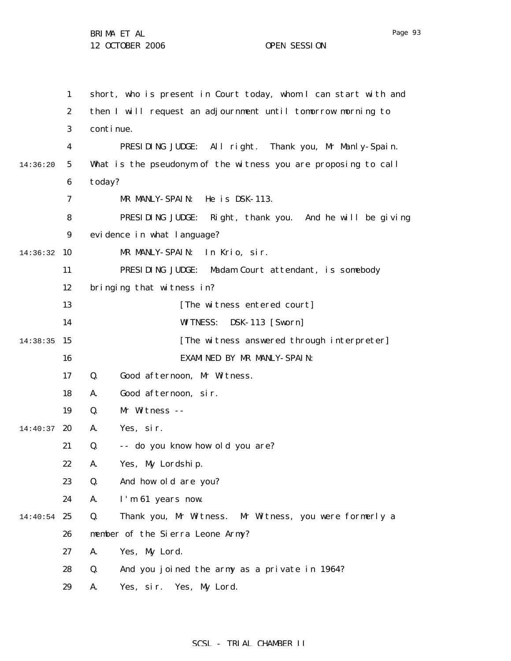1 2 3 4 5 6 7 8 9 14:36:32 10 11 12 13 14 14:38:35 15 16 17 18 19 14:40:37 **20** 21 22 23 24 14:40:54 25 26 27 28 29 14:36:20 short, who is present in Court today, whom I can start with and then I will request an adjournment until tomorrow morning to continue. PRESIDING JUDGE: All right. Thank you, Mr Manly-Spain. What is the pseudonym of the witness you are proposing to call today? MR MANLY-SPAIN: He is DSK-113. PRESIDING JUDGE: Right, thank you. And he will be giving evidence in what language? MR MANLY-SPAIN: In Krio, sir. PRESIDING JUDGE: Madam Court attendant, is somebody bringing that witness in? [The witness entered court] WITNESS: DSK-113 [Sworn] [The witness answered through interpreter] EXAMINED BY MR MANLY-SPAIN: Q. Good afternoon, Mr Witness. A. Good afternoon, sir. Q. Mr Witness -- A. Yes, sir. Q. -- do you know how old you are? A. Yes, My Lordship. Q. And how old are you? A. I'm 61 years now. Q. Thank you, Mr Witness. Mr Witness, you were formerly a member of the Sierra Leone Army? A. Yes, My Lord. Q. And you joined the army as a private in 1964? A. Yes, sir. Yes, My Lord.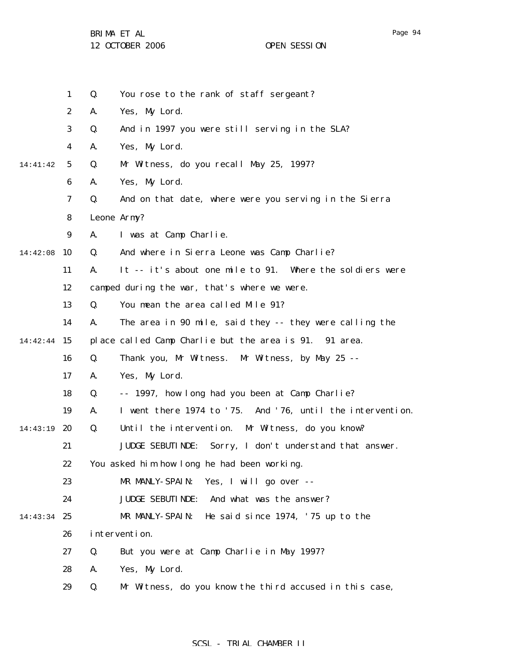BRIMA ET AL

12 OCTOBER 2006 OPEN SESSION

|          | $\mathbf{1}$     | Q. | You rose to the rank of staff sergeant?                           |
|----------|------------------|----|-------------------------------------------------------------------|
|          | $\boldsymbol{2}$ | A. | Yes, My Lord.                                                     |
|          | 3                | Q. | And in 1997 you were still serving in the SLA?                    |
|          | 4                | A. | Yes, My Lord.                                                     |
| 14:41:42 | $5\phantom{.0}$  | Q. | Mr Witness, do you recall May 25, 1997?                           |
|          | $\boldsymbol{6}$ | A. | Yes, My Lord.                                                     |
|          | $\boldsymbol{7}$ | Q. | And on that date, where were you serving in the Sierra            |
|          | 8                |    | Leone Army?                                                       |
|          | 9                | A. | I was at Camp Charlie.                                            |
| 14:42:08 | 10               | Q. | And where in Sierra Leone was Camp Charlie?                       |
|          | 11               | A. | It -- it's about one mile to 91. Where the soldiers were          |
|          | 12               |    | camped during the war, that's where we were.                      |
|          | 13               | Q. | You mean the area called Mile 91?                                 |
|          | 14               | A. | The area in 90 mile, said they -- they were calling the           |
| 14:42:44 | 15               |    | place called Camp Charlie but the area is 91. 91 area.            |
|          | 16               | Q. | Thank you, Mr Witness. Mr Witness, by May 25 --                   |
|          | 17               | A. | Yes, My Lord.                                                     |
|          | 18               | Q. | -- 1997, how long had you been at Camp Charlie?                   |
|          | 19               | A. | I went there 1974 to '75. And '76, until the intervention.        |
| 14:43:19 | 20               | Q. | Until the intervention. Mr Witness, do you know?                  |
|          | 21               |    | <b>JUDGE SEBUTINDE:</b><br>Sorry, I don't understand that answer. |
|          | 22               |    | You asked him how long he had been working.                       |
|          | 23               |    | Yes, I will go over --<br>MR MANLY-SPAIN:                         |
|          | 24               |    | And what was the answer?<br><b>JUDGE SEBUTINDE:</b>               |
| 14:43:34 | 25               |    | MR MANLY-SPAIN:<br>He said since 1974, '75 up to the              |
|          | 26               |    | intervention.                                                     |
|          | 27               | Q. | But you were at Camp Charlie in May 1997?                         |
|          | 28               | A. | Yes, My Lord.                                                     |
|          | 29               | Q. | Mr Witness, do you know the third accused in this case,           |
|          |                  |    |                                                                   |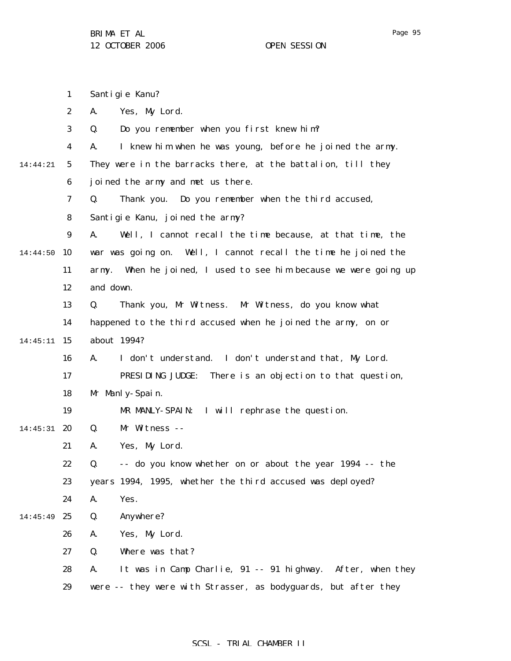1 2 3 4 5 6 7 8 9 14:44:50 10 11 12 13 14 14:45:11 15 16 17 18 19 14:45:31 **20** 21 22 23 24 14:45:49 25 26 27 28 29 14:44:21 Santigie Kanu? A. Yes, My Lord. Q. Do you remember when you first knew him? A. I knew him when he was young, before he joined the army. They were in the barracks there, at the battalion, till they joined the army and met us there. Q. Thank you. Do you remember when the third accused, Santigie Kanu, joined the army? A. Well, I cannot recall the time because, at that time, the war was going on. Well, I cannot recall the time he joined the army. When he joined, I used to see him because we were going up and down. Q. Thank you, Mr Witness. Mr Witness, do you know what happened to the third accused when he joined the army, on or about 1994? A. I don't understand. I don't understand that, My Lord. PRESIDING JUDGE: There is an objection to that question, Mr Manly-Spain. MR MANLY-SPAIN: I will rephrase the question. Q. Mr Witness -- A. Yes, My Lord. Q. -- do you know whether on or about the year 1994 -- the years 1994, 1995, whether the third accused was deployed? A. Yes. Q. Anywhere? A. Yes, My Lord. Q. Where was that? A. It was in Camp Charlie, 91 -- 91 highway. After, when they were -- they were with Strasser, as bodyguards, but after they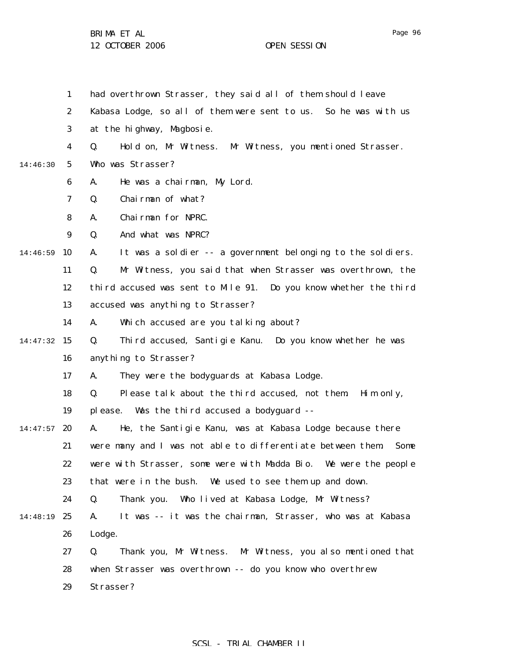|               | $\mathbf{1}$     | had overthrown Strasser, they said all of them should leave         |  |  |
|---------------|------------------|---------------------------------------------------------------------|--|--|
|               | $\boldsymbol{2}$ | Kabasa Lodge, so all of them were sent to us. So he was with us     |  |  |
|               | 3                | at the highway, Magbosie.                                           |  |  |
|               | 4                | Hold on, Mr Witness. Mr Witness, you mentioned Strasser.<br>Q.      |  |  |
| 14:46:30      | $5^{\circ}$      | Who was Strasser?                                                   |  |  |
|               | 6                | He was a chairman, My Lord.<br>A.                                   |  |  |
|               | 7                | Chairman of what?<br>Q.                                             |  |  |
|               | 8                | Chairman for NPRC.<br>А.                                            |  |  |
|               | 9                | And what was NPRC?<br>Q.                                            |  |  |
| 14:46:59      | 10               | It was a soldier -- a government belonging to the soldiers.<br>A.   |  |  |
|               | 11               | Q.<br>Mr Witness, you said that when Strasser was overthrown, the   |  |  |
|               | 12               | third accused was sent to Mile 91. Do you know whether the third    |  |  |
|               | 13               | accused was anything to Strasser?                                   |  |  |
|               | 14               | Which accused are you talking about?<br>A.                          |  |  |
| $14:47:32$ 15 |                  | Third accused, Santigie Kanu. Do you know whether he was<br>Q.      |  |  |
|               | 16               | anything to Strasser?                                               |  |  |
|               | 17               | They were the bodyguards at Kabasa Lodge.<br>A.                     |  |  |
|               | 18               | Please talk about the third accused, not them.<br>Q.<br>Him only,   |  |  |
|               | 19               | Was the third accused a bodyguard --<br>pl ease.                    |  |  |
| 14:47:57      | 20               | He, the Santigie Kanu, was at Kabasa Lodge because there<br>A.      |  |  |
|               | 21               | were many and I was not able to differentiate between them.<br>Some |  |  |
|               | 22               | were with Strasser, some were with Madda Bio. We were the people    |  |  |
|               | 23               | that were in the bush. We used to see them up and down.             |  |  |
|               | 24               | Thank you. Who lived at Kabasa Lodge, Mr Witness?<br>Q.             |  |  |
| 14:48:19      | 25               | It was -- it was the chairman, Strasser, who was at Kabasa<br>A.    |  |  |
|               | 26               | Lodge.                                                              |  |  |
|               | 27               | Thank you, Mr Witness. Mr Witness, you also mentioned that<br>Q.    |  |  |
|               | 28               | when Strasser was overthrown -- do you know who overthrew           |  |  |
|               | 29               | Strasser?                                                           |  |  |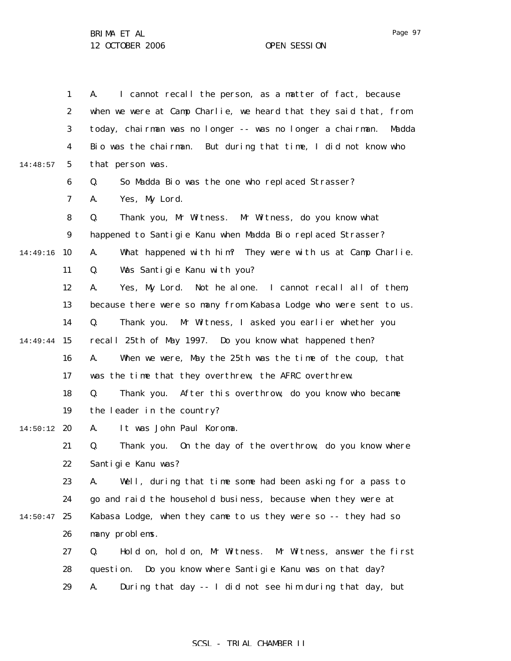|          | $\mathbf{1}$     | I cannot recall the person, as a matter of fact, because<br>A.      |
|----------|------------------|---------------------------------------------------------------------|
|          | $\boldsymbol{2}$ | when we were at Camp Charlie, we heard that they said that, from    |
|          | 3                | today, chairman was no longer -- was no longer a chairman.<br>Madda |
|          | 4                | Bio was the chairman.<br>But during that time, I did not know who   |
| 14:48:57 | $5\phantom{.0}$  | that person was.                                                    |
|          | $\boldsymbol{6}$ | So Madda Bio was the one who replaced Strasser?<br>Q.               |
|          | 7                | Yes, My Lord.<br>A.                                                 |
|          | 8                | Q.<br>Thank you, Mr Witness. Mr Witness, do you know what           |
|          | $\boldsymbol{9}$ | happened to Santigie Kanu when Madda Bio replaced Strasser?         |
| 14:49:16 | 10               | What happened with him? They were with us at Camp Charlie.<br>A.    |
|          | 11               | Was Santigie Kanu with you?<br>Q.                                   |
|          | 12               | Yes, My Lord.<br>Not he alone. I cannot recall all of them,<br>A.   |
|          | 13               | because there were so many from Kabasa Lodge who were sent to us.   |
|          | 14               | Q.<br>Mr Witness, I asked you earlier whether you<br>Thank you.     |
| 14:49:44 | 15               | recall 25th of May 1997. Do you know what happened then?            |
|          | 16               | When we were, May the 25th was the time of the coup, that<br>A.     |
|          | 17               | was the time that they overthrew, the AFRC overthrew.               |
|          | 18               | After this overthrow, do you know who became<br>Q.<br>Thank you.    |
|          | 19               | the leader in the country?                                          |
| 14:50:12 | 20               | It was John Paul Koroma.<br>A.                                      |
|          | 21               | Thank you. On the day of the overthrow, do you know where<br>Q.     |
|          | 22               | Santigie Kanu was?                                                  |
|          | 23               | Well, during that time some had been asking for a pass to<br>A.     |
|          | 24               | go and raid the household business, because when they were at       |
| 14:50:47 | 25               | Kabasa Lodge, when they came to us they were so -- they had so      |
|          | 26               | many problems.                                                      |
|          | 27               | Hold on, hold on, Mr Witness.<br>Mr Witness, answer the first<br>Q. |
|          | 28               | Do you know where Santigie Kanu was on that day?<br>question.       |
|          | 29               | During that day -- I did not see him during that day, but<br>A.     |

## SCSL - TRIAL CHAMBER II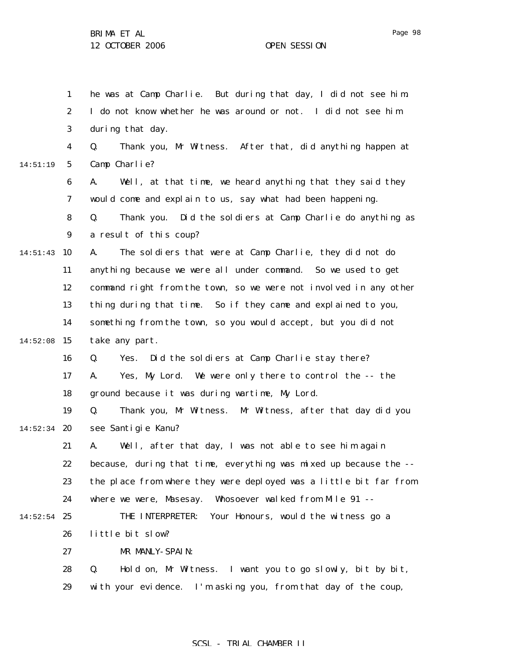1 2 3 4 5 6 7 8 9 14:51:43 10 11 12 13 14  $14:52:08$  15 16 17 18 19  $14:52:34$  20 21 22 23 24  $14:52:54$  25 26 27 28 29 14:51:19 he was at Camp Charlie. But during that day, I did not see him. I do not know whether he was around or not. I did not see him during that day. Q. Thank you, Mr Witness. After that, did anything happen at Camp Charlie? A. Well, at that time, we heard anything that they said they would come and explain to us, say what had been happening. Q. Thank you. Did the soldiers at Camp Charlie do anything as a result of this coup? A. The soldiers that were at Camp Charlie, they did not do anything because we were all under command. So we used to get command right from the town, so we were not involved in any other thing during that time. So if they came and explained to you, something from the town, so you would accept, but you did not take any part. Q. Yes. Did the soldiers at Camp Charlie stay there? A. Yes, My Lord. We were only there to control the -- the ground because it was during wartime, My Lord. Q. Thank you, Mr Witness. Mr Witness, after that day did you see Santigie Kanu? A. Well, after that day, I was not able to see him again because, during that time, everything was mixed up because the - the place from where they were deployed was a little bit far from where we were, Masesay. Whosoever walked from Mile 91 -- THE INTERPRETER: Your Honours, would the witness go a little bit slow? MR MANLY-SPAIN: Q. Hold on, Mr Witness. I want you to go slowly, bit by bit, with your evidence. I'm asking you, from that day of the coup,

### SCSL - TRIAL CHAMBER II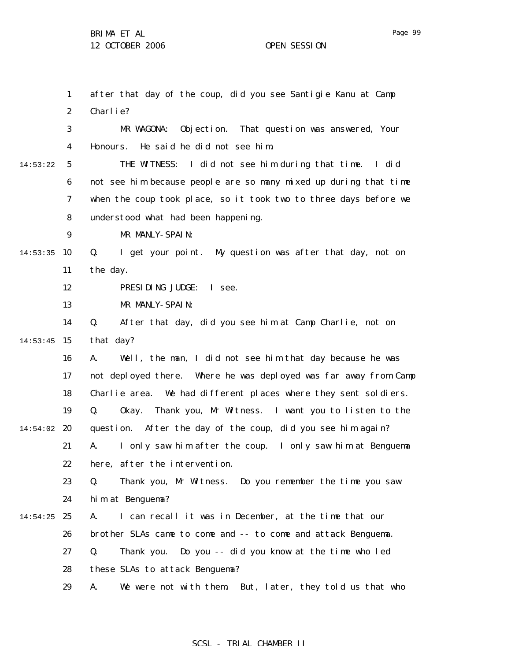1 2 3 4 5 6 7 8 9  $14:53:35$  10 11 12 13 14  $14:53:45$  15 16 17 18 19  $14:54:02$  20 21 22 23 24  $14:54:25$  25 26 27 28 29 14:53:22 after that day of the coup, did you see Santigie Kanu at Camp Charlie? MR WAGONA: Objection. That question was answered, Your Honours. He said he did not see him. THE WITNESS: I did not see him during that time. I did not see him because people are so many mixed up during that time when the coup took place, so it took two to three days before we understood what had been happening. MR MANLY-SPAIN: Q. I get your point. My question was after that day, not on the day. PRESIDING JUDGE: I see. MR MANLY-SPAIN: Q. After that day, did you see him at Camp Charlie, not on that day? A. Well, the man, I did not see him that day because he was not deployed there. Where he was deployed was far away from Camp Charlie area. We had different places where they sent soldiers. Q. Okay. Thank you, Mr Witness. I want you to listen to the question. After the day of the coup, did you see him again? A. I only saw him after the coup. I only saw him at Benguema here, after the intervention. Q. Thank you, Mr Witness. Do you remember the time you saw him at Benguema? A. I can recall it was in December, at the time that our brother SLAs came to come and -- to come and attack Benguema. Q. Thank you. Do you -- did you know at the time who led these SLAs to attack Benguema? A. We were not with them. But, later, they told us that who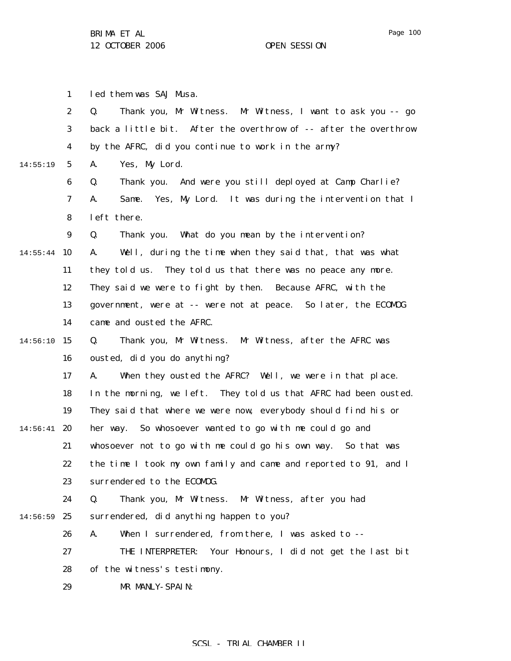led them was SAJ Musa.

1

Page 100

2 3 4 5 6 7 8 9 14:55:44 10 11 12 13 14  $14:56:10$  15 16 17 18 19  $14:56:41$  20 21 22 23 24 14:56:59 25 26 27 28 29 14:55:19 Q. Thank you, Mr Witness. Mr Witness, I want to ask you -- go back a little bit. After the overthrow of -- after the overthrow by the AFRC, did you continue to work in the army? A. Yes, My Lord. Q. Thank you. And were you still deployed at Camp Charlie? A. Same. Yes, My Lord. It was during the intervention that I left there. Q. Thank you. What do you mean by the intervention? A. Well, during the time when they said that, that was what they told us. They told us that there was no peace any more. They said we were to fight by then. Because AFRC, with the government, were at -- were not at peace. So later, the ECOMOG came and ousted the AFRC. Q. Thank you, Mr Witness. Mr Witness, after the AFRC was ousted, did you do anything? A. When they ousted the AFRC? Well, we were in that place. In the morning, we left. They told us that AFRC had been ousted. They said that where we were now, everybody should find his or her way. So whosoever wanted to go with me could go and whosoever not to go with me could go his own way. So that was the time I took my own family and came and reported to 91, and I surrendered to the ECOMOG. Q. Thank you, Mr Witness. Mr Witness, after you had surrendered, did anything happen to you? A. When I surrendered, from there, I was asked to -- THE INTERPRETER: Your Honours, I did not get the last bit of the witness's testimony. MR MANLY-SPAIN: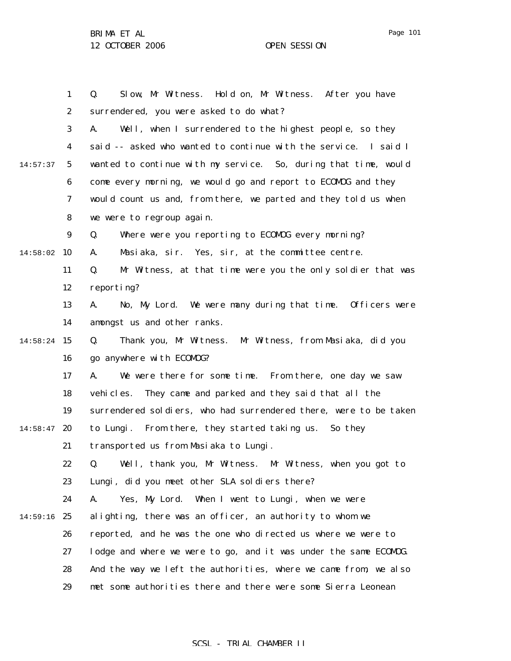1 2 3 4 5 6 7 8 9  $14:58:02$  10 11 12 13 14 14:58:24 15 16 17 18 19  $14:58:47$  20 21 22 23 24 14:59:16 25 26 27 28 29 14:57:37 Q. Slow, Mr Witness. Hold on, Mr Witness. After you have surrendered, you were asked to do what? A. Well, when I surrendered to the highest people, so they said -- asked who wanted to continue with the service. I said I wanted to continue with my service. So, during that time, would come every morning, we would go and report to ECOMOG and they would count us and, from there, we parted and they told us when we were to regroup again. Q. Where were you reporting to ECOMOG every morning? A. Masiaka, sir. Yes, sir, at the committee centre. Q. Mr Witness, at that time were you the only soldier that was reporting? A. No, My Lord. We were many during that time. Officers were amongst us and other ranks. Q. Thank you, Mr Witness. Mr Witness, from Masiaka, did you go anywhere with ECOMOG? A. We were there for some time. From there, one day we saw vehicles. They came and parked and they said that all the surrendered soldiers, who had surrendered there, were to be taken to Lungi. From there, they started taking us. So they transported us from Masiaka to Lungi. Q. Well, thank you, Mr Witness. Mr Witness, when you got to Lungi, did you meet other SLA soldiers there? A. Yes, My Lord. When I went to Lungi, when we were alighting, there was an officer, an authority to whom we reported, and he was the one who directed us where we were to lodge and where we were to go, and it was under the same ECOMOG. And the way we left the authorities, where we came from, we also met some authorities there and there were some Sierra Leonean

### SCSL - TRIAL CHAMBER II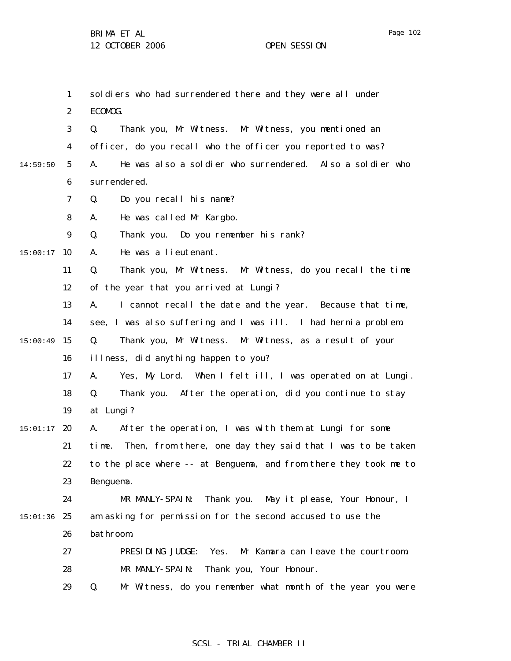1 2 3 4 5 6 7 8 9  $15:00:17$  10 11 12 13 14 15 15:00:49 16 17 18 19  $15:01:17$  20 21 22 23 24 15:01:36 25 26 27 28 29 14:59:50 soldiers who had surrendered there and they were all under ECOMOG. Q. Thank you, Mr Witness. Mr Witness, you mentioned an officer, do you recall who the officer you reported to was? A. He was also a soldier who surrendered. Also a soldier who surrendered. Q. Do you recall his name? A. He was called Mr Kargbo. Q. Thank you. Do you remember his rank? A. He was a lieutenant. Q. Thank you, Mr Witness. Mr Witness, do you recall the time of the year that you arrived at Lungi? A. I cannot recall the date and the year. Because that time, see, I was also suffering and I was ill. I had hernia problem. Q. Thank you, Mr Witness. Mr Witness, as a result of your illness, did anything happen to you? A. Yes, My Lord. When I felt ill, I was operated on at Lungi. Q. Thank you. After the operation, did you continue to stay at Lungi? A. After the operation, I was with them at Lungi for some time. Then, from there, one day they said that I was to be taken to the place where -- at Benguema, and from there they took me to Benguema. MR MANLY-SPAIN: Thank you. May it please, Your Honour, I am asking for permission for the second accused to use the bathroom. PRESIDING JUDGE: Yes. Mr Kamara can leave the courtroom. MR MANLY-SPAIN: Thank you, Your Honour. Q. Mr Witness, do you remember what month of the year you were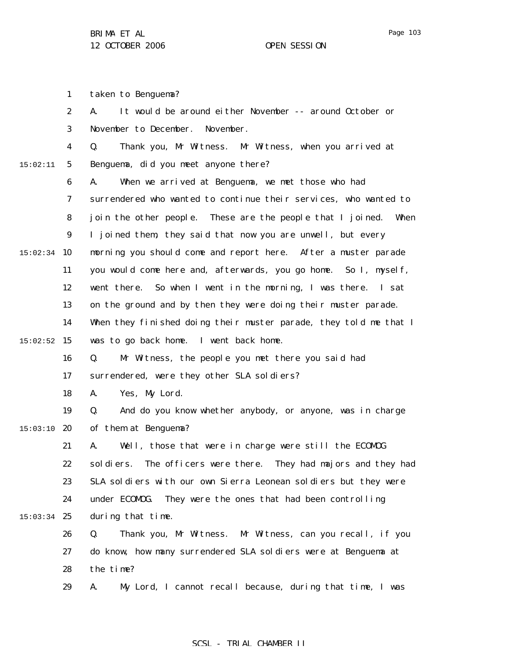1 2 3 4 5 6 7 8 9  $15:02:34$  10 11 12 13 14  $15:02:52$  15 16 17 18 19  $15:03:10$  20 21 22 23 24  $15:03:34$  25 26 27 28 15:02:11 taken to Benguema? A. It would be around either November -- around October or November to December. November. Q. Thank you, Mr Witness. Mr Witness, when you arrived at Benguema, did you meet anyone there? A. When we arrived at Benguema, we met those who had surrendered who wanted to continue their services, who wanted to join the other people. These are the people that I joined. When I joined them, they said that now you are unwell, but every morning you should come and report here. After a muster parade you would come here and, afterwards, you go home. So I, myself, went there. So when I went in the morning, I was there. I sat on the ground and by then they were doing their muster parade. When they finished doing their muster parade, they told me that I was to go back home. I went back home. Q. Mr Witness, the people you met there you said had surrendered, were they other SLA soldiers? A. Yes, My Lord. Q. And do you know whether anybody, or anyone, was in charge of them at Benguema? A. Well, those that were in charge were still the ECOMOG soldiers. The officers were there. They had majors and they had SLA soldiers with our own Sierra Leonean soldiers but they were under ECOMOG. They were the ones that had been controlling during that time. Q. Thank you, Mr Witness. Mr Witness, can you recall, if you do know, how many surrendered SLA soldiers were at Benguema at the time?

> 29 A. My Lord, I cannot recall because, during that time, I was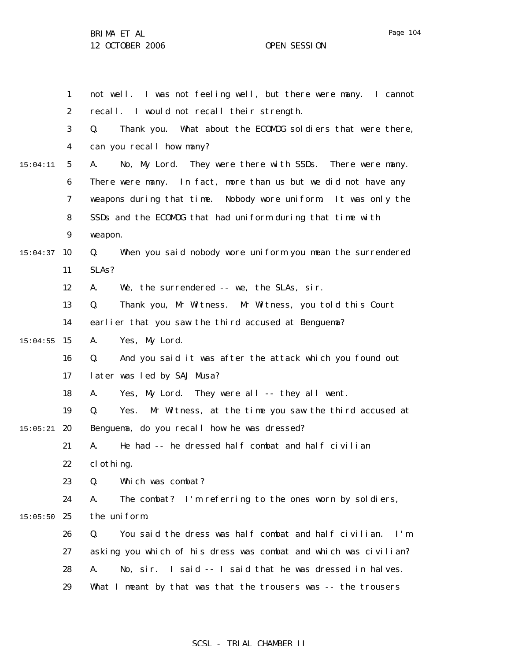1 2 3 4 5 6 7 8 9  $15:04:37$  10 11 12 13 14  $15:04:55$  15 16 17 18 19  $15:05:21$  20 21 22 23 24  $15:05:50$  25 26 27 28 29 15:04:11 not well. I was not feeling well, but there were many. I cannot recall. I would not recall their strength. Q. Thank you. What about the ECOMOG soldiers that were there, can you recall how many? A. No, My Lord. They were there with SSDs. There were many. There were many. In fact, more than us but we did not have any weapons during that time. Nobody wore uniform. It was only the SSDs and the ECOMOG that had uniform during that time with weapon. Q. When you said nobody wore uniform you mean the surrendered SLAs? A. We, the surrendered -- we, the SLAs, sir. Q. Thank you, Mr Witness. Mr Witness, you told this Court earlier that you saw the third accused at Benguema? A. Yes, My Lord. Q. And you said it was after the attack which you found out later was led by SAJ Musa? A. Yes, My Lord. They were all -- they all went. Q. Yes. Mr Witness, at the time you saw the third accused at Benguema, do you recall how he was dressed? A. He had -- he dressed half combat and half civilian clothing. Q. Which was combat? A. The combat? I'm referring to the ones worn by soldiers, the uniform. Q. You said the dress was half combat and half civilian. I'm asking you which of his dress was combat and which was civilian? A. No, sir. I said -- I said that he was dressed in halves. What I meant by that was that the trousers was -- the trousers

### SCSL - TRIAL CHAMBER II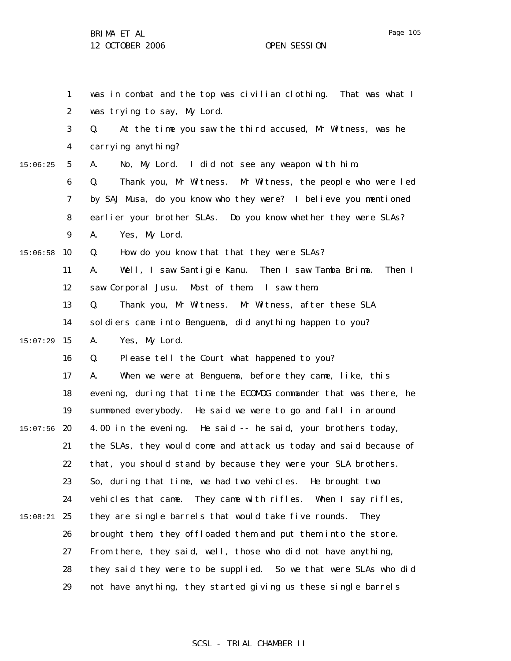1

was in combat and the top was civilian clothing. That was what I

2 3 4 5 6 7 8 9  $15:06:58$  10 11 12 13 14  $15:07:29$  15 16 17 18 19  $15:07:56$  20 21 22 23 24 15:08:21 25 26 27 28 29 15:06:25 was trying to say, My Lord. Q. At the time you saw the third accused, Mr Witness, was he carrying anything? A. No, My Lord. I did not see any weapon with him. Q. Thank you, Mr Witness. Mr Witness, the people who were led by SAJ Musa, do you know who they were? I believe you mentioned earlier your brother SLAs. Do you know whether they were SLAs? A. Yes, My Lord. Q. How do you know that that they were SLAs? A. Well, I saw Santigie Kanu. Then I saw Tamba Brima. Then I saw Corporal Jusu. Most of them. I saw them. Q. Thank you, Mr Witness. Mr Witness, after these SLA soldiers came into Benguema, did anything happen to you? A. Yes, My Lord. Q. Please tell the Court what happened to you? A. When we were at Benguema, before they came, like, this evening, during that time the ECOMOG commander that was there, he summoned everybody. He said we were to go and fall in around 4.00 in the evening. He said -- he said, your brothers today, the SLAs, they would come and attack us today and said because of that, you should stand by because they were your SLA brothers. So, during that time, we had two vehicles. He brought two vehicles that came. They came with rifles. When I say rifles, they are single barrels that would take five rounds. They brought them, they offloaded them and put them into the store. From there, they said, well, those who did not have anything, they said they were to be supplied. So we that were SLAs who did not have anything, they started giving us these single barrels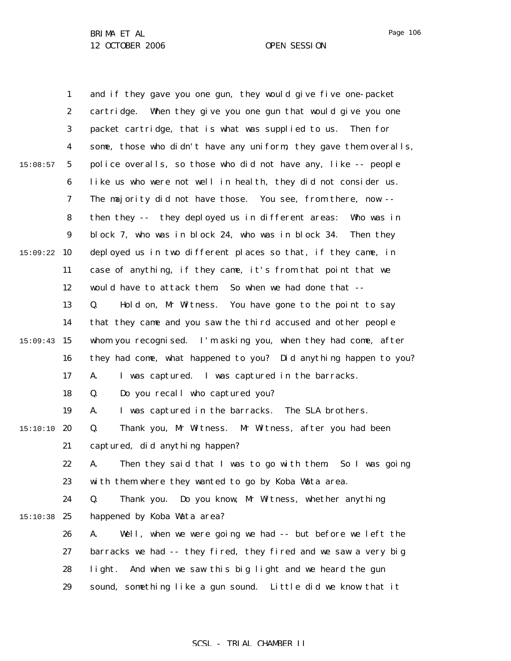1 2 3 4 5 6 7 8 9  $15:09:22$  10 11 12 13 14 15:09:43 15 16 17 18 19  $15:10:10$  20 21 22 23 24 15:10:38 25 26 27 28 29 15:08:57 and if they gave you one gun, they would give five one-packet cartridge. When they give you one gun that would give you one packet cartridge, that is what was supplied to us. Then for some, those who didn't have any uniform, they gave them overalls, police overalls, so those who did not have any, like -- people like us who were not well in health, they did not consider us. The majority did not have those. You see, from there, now - then they -- they deployed us in different areas: Who was in block 7, who was in block 24, who was in block 34. Then they deployed us in two different places so that, if they came, in case of anything, if they came, it's from that point that we would have to attack them. So when we had done that -- Q. Hold on, Mr Witness. You have gone to the point to say that they came and you saw the third accused and other people whom you recognised. I'm asking you, when they had come, after they had come, what happened to you? Did anything happen to you? A. I was captured. I was captured in the barracks. Q. Do you recall who captured you? A. I was captured in the barracks. The SLA brothers. Q. Thank you, Mr Witness. Mr Witness, after you had been captured, did anything happen? A. Then they said that I was to go with them. So I was going with them where they wanted to go by Koba Wata area. Q. Thank you. Do you know, Mr Witness, whether anything happened by Koba Wata area? A. Well, when we were going we had -- but before we left the barracks we had -- they fired, they fired and we saw a very big light. And when we saw this big light and we heard the gun sound, something like a gun sound. Little did we know that it

Page 106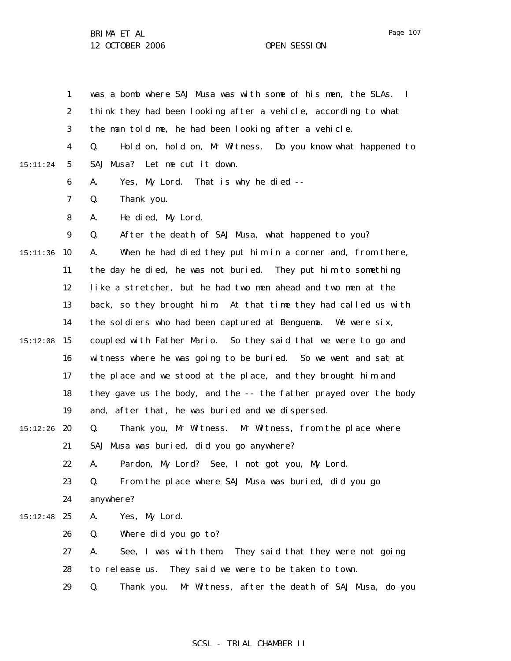1 2 3 4 5 6 7 8 9 15:11:36 10 11 12 13 14 15 15:12:08 16 17 18 19  $15:12:26$  20 21 22 23 24  $15:12:48$  25 26 27 28 29 15:11:24 was a bomb where SAJ Musa was with some of his men, the SLAs. I think they had been looking after a vehicle, according to what the man told me, he had been looking after a vehicle. Q. Hold on, hold on, Mr Witness. Do you know what happened to SAJ Musa? Let me cut it down. A. Yes, My Lord. That is why he died -- Q. Thank you. A. He died, My Lord. Q. After the death of SAJ Musa, what happened to you? A. When he had died they put him in a corner and, from there, the day he died, he was not buried. They put him to something like a stretcher, but he had two men ahead and two men at the back, so they brought him. At that time they had called us with the soldiers who had been captured at Benguema. We were six, coupled with Father Mario. So they said that we were to go and witness where he was going to be buried. So we went and sat at the place and we stood at the place, and they brought him and they gave us the body, and the -- the father prayed over the body and, after that, he was buried and we dispersed. Q. Thank you, Mr Witness. Mr Witness, from the place where SAJ Musa was buried, did you go anywhere? A. Pardon, My Lord? See, I not got you, My Lord. Q. From the place where SAJ Musa was buried, did you go anywhere? A. Yes, My Lord. Q. Where did you go to? A. See, I was with them. They said that they were not going to release us. They said we were to be taken to town. Q. Thank you. Mr Witness, after the death of SAJ Musa, do you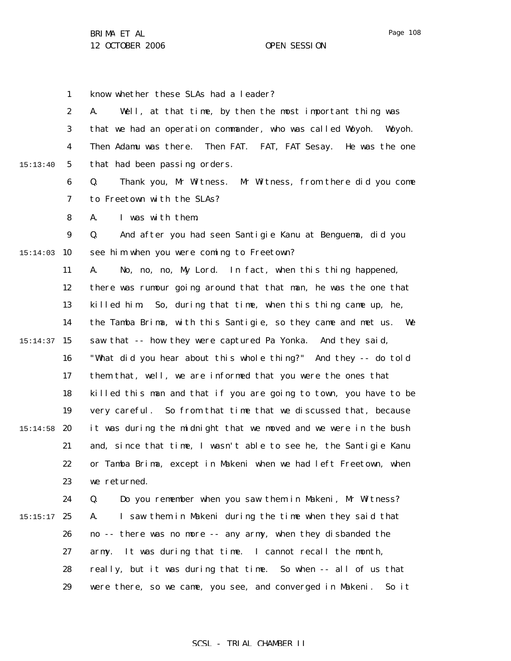1

2 3 4 5 6 7 8 9  $15:14:03$  10 11 12 13 14 15 15:14:37 16 15:13:40 A. Well, at that time, by then the most important thing was that we had an operation commander, who was called Woyoh. Woyoh. Then Adamu was there. Then FAT. FAT, FAT Sesay. He was the one that had been passing orders. Q. Thank you, Mr Witness. Mr Witness, from there did you come to Freetown with the SLAs? A. I was with them. Q. And after you had seen Santigie Kanu at Benguema, did you see him when you were coming to Freetown? A. No, no, no, My Lord. In fact, when this thing happened, there was rumour going around that that man, he was the one that killed him. So, during that time, when this thing came up, he, the Tamba Brima, with this Santigie, so they came and met us. We saw that -- how they were captured Pa Yonka. And they said, "What did you hear about this whole thing?" And they -- do told

know whether these SLAs had a leader?

17 18 19  $15:14:58$  20 21 22 23 them that, well, we are informed that you were the ones that killed this man and that if you are going to town, you have to be very careful. So from that time that we discussed that, because it was during the midnight that we moved and we were in the bush and, since that time, I wasn't able to see he, the Santigie Kanu or Tamba Brima, except in Makeni when we had left Freetown, when we returned.

24  $15:15:17$  25 26 27 28 29 Q. Do you remember when you saw them in Makeni, Mr Witness? A. I saw them in Makeni during the time when they said that no -- there was no more -- any army, when they disbanded the army. It was during that time. I cannot recall the month, really, but it was during that time. So when -- all of us that were there, so we came, you see, and converged in Makeni. So it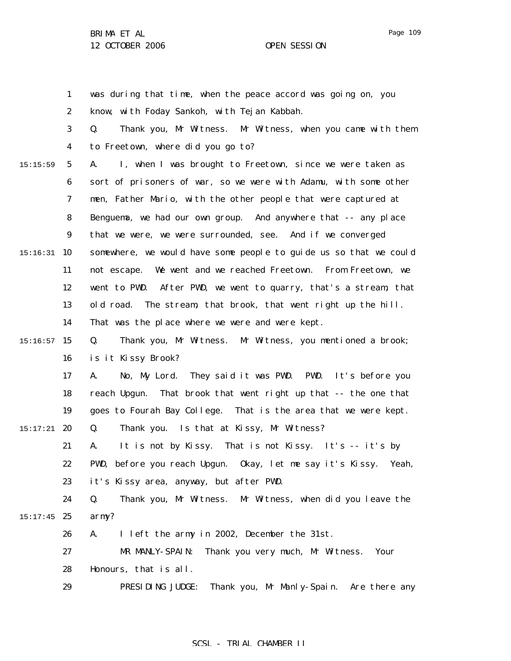1 2 3 4 5 6 7 8 9 15:16:31 10 11 12 13 14  $15:16:57$  15 16 17 18 19  $15:17:21$  20 21 22 23 24  $15:17:45$  25 26 27 28 29 15:15:59 was during that time, when the peace accord was going on, you know, with Foday Sankoh, with Tejan Kabbah. Q. Thank you, Mr Witness. Mr Witness, when you came with them to Freetown, where did you go to? A. I, when I was brought to Freetown, since we were taken as sort of prisoners of war, so we were with Adamu, with some other men, Father Mario, with the other people that were captured at Benguema, we had our own group. And anywhere that -- any place that we were, we were surrounded, see. And if we converged somewhere, we would have some people to guide us so that we could not escape. We went and we reached Freetown. From Freetown, we went to PWD. After PWD, we went to quarry, that's a stream, that old road. The stream, that brook, that went right up the hill. That was the place where we were and were kept. Q. Thank you, Mr Witness. Mr Witness, you mentioned a brook; is it Kissy Brook? A. No, My Lord. They said it was PWD. PWD. It's before you reach Upgun. That brook that went right up that -- the one that goes to Fourah Bay College. That is the area that we were kept. Q. Thank you. Is that at Kissy, Mr Witness? A. It is not by Kissy. That is not Kissy. It's -- it's by PWD, before you reach Upgun. Okay, let me say it's Kissy. Yeah, it's Kissy area, anyway, but after PWD. Q. Thank you, Mr Witness. Mr Witness, when did you leave the army? A. I left the army in 2002, December the 31st. MR MANLY-SPAIN: Thank you very much, Mr Witness. Your Honours, that is all. PRESIDING JUDGE: Thank you, Mr Manly-Spain. Are there any

#### SCSL - TRIAL CHAMBER II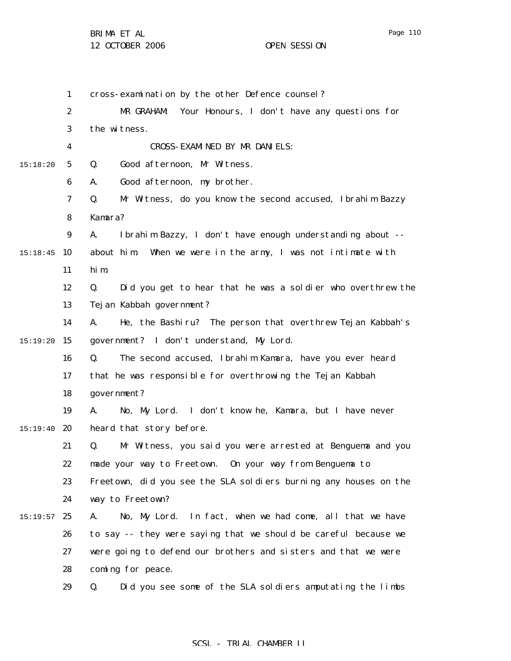1 cross-examination by the other Defence counsel?  $\alpha$ MR GRAHAM: Your Honours, I don't have any questions for

|          | 2                | MR GRAHAM: Your Honours, I don't have any questions for           |
|----------|------------------|-------------------------------------------------------------------|
|          | 3                | the witness.                                                      |
|          | 4                | CROSS-EXAMINED BY MR DANIELS:                                     |
| 15:18:20 | $\mathbf{5}$     | Good afternoon, Mr Witness.<br>Q.                                 |
|          | $\boldsymbol{6}$ | Good afternoon, my brother.<br>A.                                 |
|          | 7                | Q.<br>Mr Witness, do you know the second accused, Ibrahim Bazzy   |
|          | 8                | Kamara?                                                           |
|          | $\boldsymbol{9}$ | Ibrahim Bazzy, I don't have enough understanding about --<br>A.   |
| 15:18:45 | 10               | about him.<br>When we were in the army, I was not intimate with   |
|          | 11               | hi m                                                              |
|          | 12               | Did you get to hear that he was a soldier who overthrew the<br>Q. |
|          | 13               | Tej an Kabbah government?                                         |
|          | 14               | He, the Bashiru? The person that overthrew Tejan Kabbah's<br>A.   |
| 15:19:20 | 15               | government? I don't understand, My Lord.                          |
|          | 16               | Q.<br>The second accused, Ibrahim Kamara, have you ever heard     |
|          | 17               | that he was responsible for overthrowing the Tejan Kabbah         |
|          | 18               | government?                                                       |
|          | 19               | No, My Lord. I don't know he, Kamara, but I have never<br>A.      |
| 15:19:40 | 20               | heard that story before.                                          |
|          | 21               | Mr Witness, you said you were arrested at Benguema and you<br>Q.  |
|          | 22               | made your way to Freetown. On your way from Benguema to           |
|          | 23               | Freetown, did you see the SLA soldiers burning any houses on the  |
|          | 24               | way to Freetown?                                                  |
| 15:19:57 | 25               | No, My Lord. In fact, when we had come, all that we have<br>A.    |
|          | 26               | to say -- they were saying that we should be careful because we   |
|          | 27               | were going to defend our brothers and sisters and that we were    |
|          | 28               | coming for peace.                                                 |
|          | 29               | Did you see some of the SLA soldiers amputating the limbs<br>Q.   |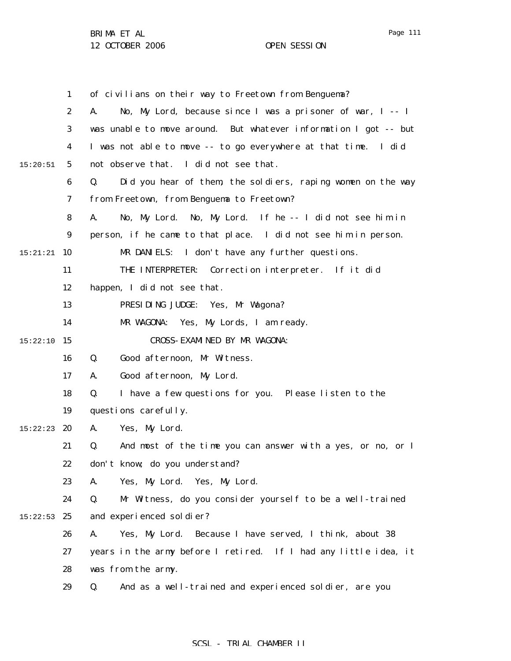1 2 3 4 5 6 7 8 9 15:21:21 **10** 11 12 13 14 15 15:22:10 16 17 18 19 15:22:23 **20** 21 22 23 24  $15:22:53$  25 26 27 28 29 15:20:51 of civilians on their way to Freetown from Benguema? A. No, My Lord, because since I was a prisoner of war, I -- I was unable to move around. But whatever information I got -- but I was not able to move -- to go everywhere at that time. I did not observe that. I did not see that. Q. Did you hear of them, the soldiers, raping women on the way from Freetown, from Benguema to Freetown? A. No, My Lord. No, My Lord. If he -- I did not see him in person, if he came to that place. I did not see him in person. MR DANIELS: I don't have any further questions. THE INTERPRETER: Correction interpreter. If it did happen, I did not see that. PRESIDING JUDGE: Yes, Mr Wagona? MR WAGONA: Yes, My Lords, I am ready. CROSS-EXAMINED BY MR WAGONA: Q. Good afternoon, Mr Witness. A. Good afternoon, My Lord. Q. I have a few questions for you. Please listen to the questions carefully. A. Yes, My Lord. Q. And most of the time you can answer with a yes, or no, or I don't know; do you understand? A. Yes, My Lord. Yes, My Lord. Q. Mr Witness, do you consider yourself to be a well-trained and experienced soldier? A. Yes, My Lord. Because I have served, I think, about 38 years in the army before I retired. If I had any little idea, it was from the army. Q. And as a well-trained and experienced soldier, are you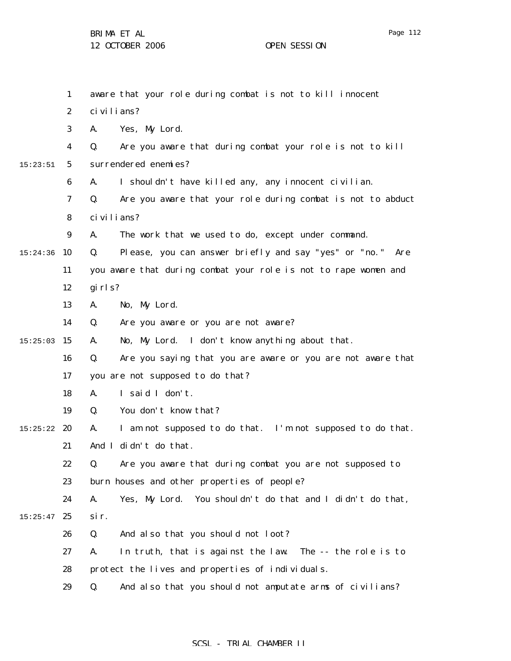1 2 3 4 5 6 7 8 9  $15:24:36$  10 11 12 13 14  $15:25:03$  15 16 17 18 19  $15:25:22$  20 21 22 23 24  $15:25:47$  25 26 27 28 29 15:23:51 aware that your role during combat is not to kill innocent civilians? A. Yes, My Lord. Q. Are you aware that during combat your role is not to kill surrendered enemies? A. I shouldn't have killed any, any innocent civilian. Q. Are you aware that your role during combat is not to abduct civilians? A. The work that we used to do, except under command. Q. Please, you can answer briefly and say "yes" or "no." Are you aware that during combat your role is not to rape women and girls? A. No, My Lord. Q. Are you aware or you are not aware? A. No, My Lord. I don't know anything about that. Q. Are you saying that you are aware or you are not aware that you are not supposed to do that? A. I said I don't. Q. You don't know that? A. I am not supposed to do that. I'm not supposed to do that. And I didn't do that. Q. Are you aware that during combat you are not supposed to burn houses and other properties of people? A. Yes, My Lord. You shouldn't do that and I didn't do that, sir. Q. And also that you should not loot? A. In truth, that is against the law. The -- the role is to protect the lives and properties of individuals. Q. And also that you should not amputate arms of civilians?

## SCSL - TRIAL CHAMBER II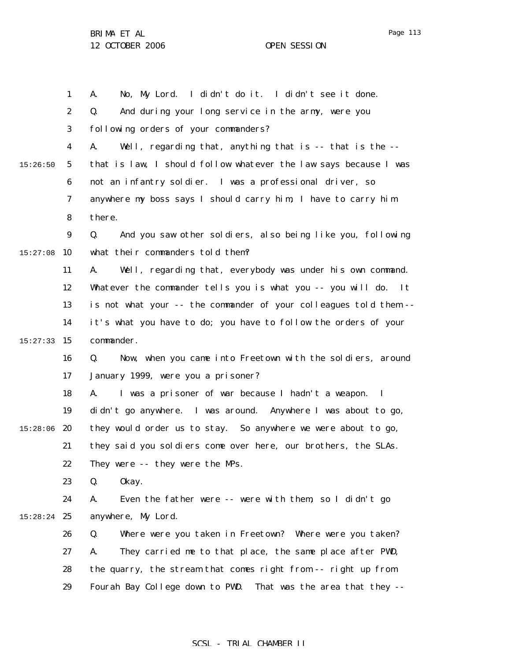1 2 3 4 5 6 7 8 9  $15:27:08$  10 11 12 13 14 15 15:27:33 16 17 18 19 15:28:06 20 21 22 23 24 15:28:24 25 26 27 28 29 15:26:50 A. No, My Lord. I didn't do it. I didn't see it done. Q. And during your long service in the army, were you following orders of your commanders? A. Well, regarding that, anything that is -- that is the - that is law, I should follow whatever the law says because I was not an infantry soldier. I was a professional driver, so anywhere my boss says I should carry him, I have to carry him there. Q. And you saw other soldiers, also being like you, following what their commanders told them? A. Well, regarding that, everybody was under his own command. Whatever the commander tells you is what you -- you will do. It is not what your -- the commander of your colleagues told them - it's what you have to do; you have to follow the orders of your commander. Q. Now, when you came into Freetown with the soldiers, around January 1999, were you a prisoner? A. I was a prisoner of war because I hadn't a weapon. I didn't go anywhere. I was around. Anywhere I was about to go, they would order us to stay. So anywhere we were about to go, they said you soldiers come over here, our brothers, the SLAs. They were -- they were the MPs. Q. Okay. A. Even the father were -- were with them, so I didn't go anywhere, My Lord. Q. Where were you taken in Freetown? Where were you taken? A. They carried me to that place, the same place after PWD, the quarry, the stream that comes right from -- right up from Fourah Bay College down to PWD. That was the area that they --

#### SCSL - TRIAL CHAMBER II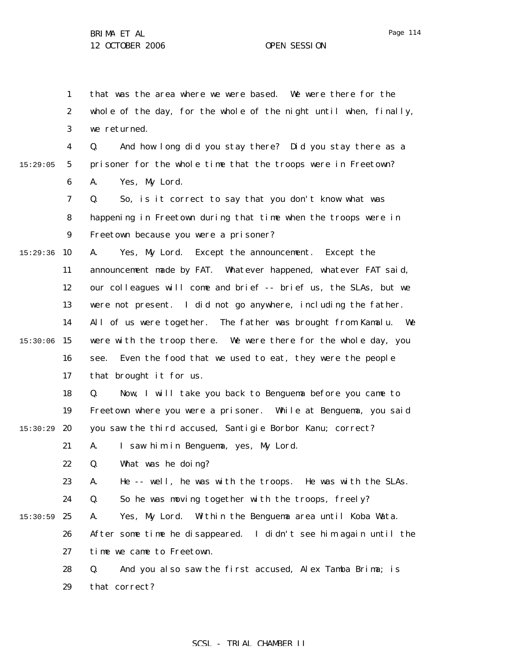1 2 3 4 5 6 7 8 9  $15:29:36$  10 11 12 13 14 15:30:06 15 16 17 18 19  $15:30:29$  20 21 22 23 24  $15:30:59$  25 26 27 28 29 15:29:05 that was the area where we were based. We were there for the whole of the day, for the whole of the night until when, finally, we returned. Q. And how long did you stay there? Did you stay there as a prisoner for the whole time that the troops were in Freetown? A. Yes, My Lord. Q. So, is it correct to say that you don't know what was happening in Freetown during that time when the troops were in Freetown because you were a prisoner? A. Yes, My Lord. Except the announcement. Except the announcement made by FAT. Whatever happened, whatever FAT said, our colleagues will come and brief -- brief us, the SLAs, but we were not present. I did not go anywhere, including the father. All of us were together. The father was brought from Kamalu. We were with the troop there. We were there for the whole day, you see. Even the food that we used to eat, they were the people that brought it for us. Q. Now, I will take you back to Benguema before you came to Freetown where you were a prisoner. While at Benguema, you said you saw the third accused, Santigie Borbor Kanu; correct? A. I saw him in Benguema, yes, My Lord. Q. What was he doing? A. He -- well, he was with the troops. He was with the SLAs. Q. So he was moving together with the troops, freely? A. Yes, My Lord. Within the Benguema area until Koba Wata. After some time he disappeared. I didn't see him again until the time we came to Freetown. Q. And you also saw the first accused, Alex Tamba Brima; is that correct?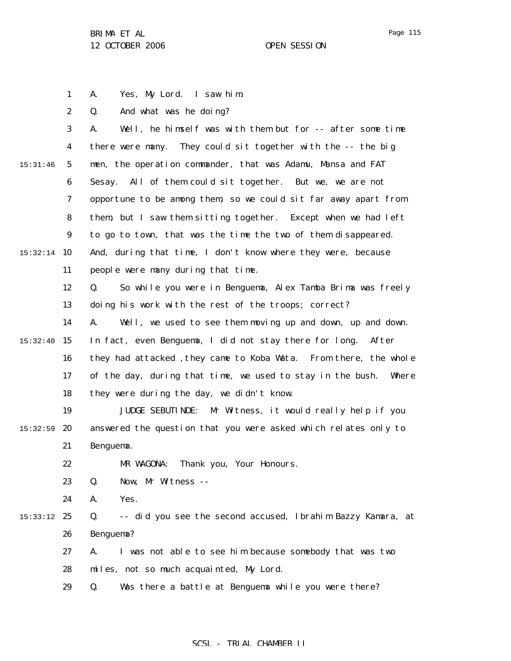A. Yes, My Lord. I saw him.

Q. And what was he doing?

1

2

Page 115

3 4 5 6 7 8 9  $15:32:14$  10 11 12 13 14 15:32:40 15 16 17 18 19  $15:32:59$  20 21 22 23 24 15:33:12 25 26 27 28 29 15:31:46 A. Well, he himself was with them but for -- after some time there were many. They could sit together with the -- the big men, the operation commander, that was Adamu, Mansa and FAT Sesay. All of them could sit together. But we, we are not opportune to be among them, so we could sit far away apart from them, but I saw them sitting together. Except when we had left to go to town, that was the time the two of them disappeared. And, during that time, I don't know where they were, because people were many during that time. Q. So while you were in Benguema, Alex Tamba Brima was freely doing his work with the rest of the troops; correct? A. Well, we used to see them moving up and down, up and down. In fact, even Benguema, I did not stay there for long. After they had attacked, they came to Koba Wata. From there, the whole of the day, during that time, we used to stay in the bush. Where they were during the day, we didn't know. JUDGE SEBUTINDE: Mr Witness, it would really help if you answered the question that you were asked which relates only to Benguema. MR WAGONA: Thank you, Your Honours. Q. Now, Mr Witness -- A. Yes. Q. -- did you see the second accused, Ibrahim Bazzy Kamara, at Benguema? A. I was not able to see him because somebody that was two miles, not so much acquainted, My Lord. Q. Was there a battle at Benguema while you were there?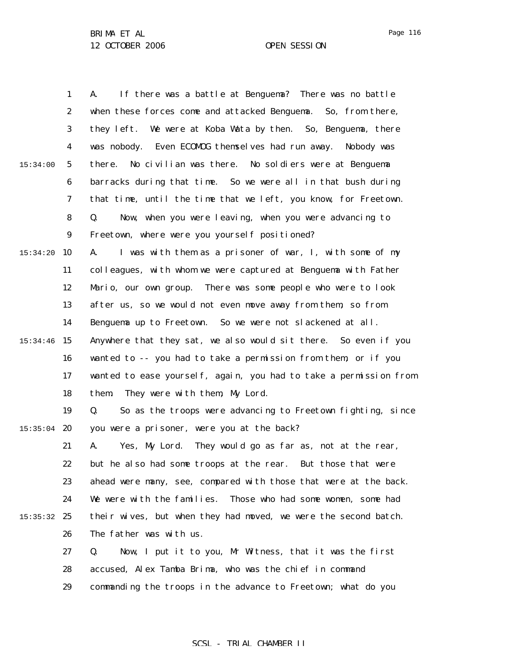|          | $\mathbf{1}$     | If there was a battle at Benguema? There was no battle<br>A.      |
|----------|------------------|-------------------------------------------------------------------|
|          | $\boldsymbol{2}$ | when these forces come and attacked Benguema. So, from there,     |
|          | 3                | they left. We were at Koba Wata by then. So, Benguema, there      |
|          | $\boldsymbol{4}$ | was nobody. Even ECOMOG themselves had run away. Nobody was       |
| 15:34:00 | $\sqrt{5}$       | No civilian was there. No soldiers were at Benguema<br>there.     |
|          | $\boldsymbol{6}$ | barracks during that time. So we were all in that bush during     |
|          | 7                | that time, until the time that we left, you know, for Freetown.   |
|          | 8                | Now, when you were leaving, when you were advancing to<br>Q.      |
|          | $\boldsymbol{9}$ | Freetown, where were you yourself positioned?                     |
| 15:34:20 | 10               | I was with them as a prisoner of war, I, with some of my<br>A.    |
|          | 11               | colleagues, with whom we were captured at Benguema with Father    |
|          | 12               | There was some people who were to look<br>Mario, our own group.   |
|          | 13               | after us, so we would not even move away from them, so from       |
|          | 14               | Benguema up to Freetown. So we were not slackened at all.         |
| 15:34:46 | 15               | Anywhere that they sat, we also would sit there. So even if you   |
|          | 16               | wanted to -- you had to take a permission from them, or if you    |
|          | 17               | wanted to ease yourself, again, you had to take a permission from |
|          | 18               | They were with them, My Lord.<br>them.                            |
|          | 19               | So as the troops were advancing to Freetown fighting, since<br>Q. |
| 15:35:04 | 20               | you were a prisoner, were you at the back?                        |
|          | 21               | A.<br>Yes, My Lord. They would go as far as, not at the rear,     |
|          | 22               | but he also had some troops at the rear. But those that were      |
|          | 23               | ahead were many, see, compared with those that were at the back.  |
|          | 24               | We were with the families. Those who had some women, some had     |
| 15:35:32 | 25               | their wives, but when they had moved, we were the second batch.   |
|          | 26               | The father was with us.                                           |
|          | 27               | Q.<br>Now, I put it to you, Mr Witness, that it was the first     |
|          | 28               | accused, Alex Tamba Brima, who was the chief in command           |
|          | 29               | commanding the troops in the advance to Freetown; what do you     |

## SCSL - TRIAL CHAMBER II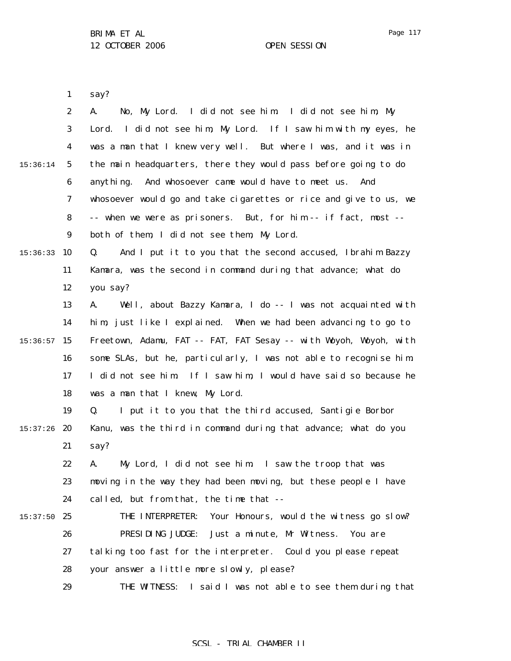Page 117

1 say?

|          | $\boldsymbol{2}$ | No, My Lord. I did not see him. I did not see him, My<br>A.       |
|----------|------------------|-------------------------------------------------------------------|
|          | 3                | Lord. I did not see him, My Lord. If I saw him with my eyes, he   |
|          | $\boldsymbol{4}$ | was a man that I knew very well. But where I was, and it was in   |
| 15:36:14 | $\mathbf{5}$     | the main headquarters, there they would pass before going to do   |
|          | 6                | And whosoever came would have to meet us.<br>anything.<br>And     |
|          | 7                | whosoever would go and take cigarettes or rice and give to us, we |
|          | 8                | -- when we were as prisoners. But, for him -- if fact, most --    |
|          | $\boldsymbol{9}$ | both of them, I did not see them, My Lord.                        |
| 15:36:33 | 10               | And I put it to you that the second accused, Ibrahim Bazzy<br>Q.  |
|          | 11               | Kamara, was the second in command during that advance; what do    |
|          | 12               | you say?                                                          |
|          | 13               | Well, about Bazzy Kamara, I do -- I was not acquainted with<br>A. |
|          | 14               | him, just like I explained. When we had been advancing to go to   |
| 15:36:57 | 15               | Freetown, Adamu, FAT -- FAT, FAT Sesay -- with Woyoh, Woyoh, with |
|          | 16               | some SLAs, but he, particularly, I was not able to recognise him. |
|          | 17               | I did not see him If I saw him, I would have said so because he   |
|          | 18               | was a man that I knew, My Lord.                                   |
|          | 19               | I put it to you that the third accused, Santigie Borbor<br>Q.     |
| 15:37:26 | 20               | Kanu, was the third in command during that advance; what do you   |
|          | 21               | say?                                                              |
|          | 22               | My Lord, I did not see him. I saw the troop that was<br>A.        |
|          | 23               | moving in the way they had been moving, but these people I have   |
|          | 24               | called, but from that, the time that --                           |
| 15:37:50 | 25               | THE INTERPRETER:<br>Your Honours, would the witness go slow?      |
|          | 26               | PRESIDING JUDGE:<br>Just a minute, Mr Witness.<br>You are         |
|          | 27               | talking too fast for the interpreter. Could you please repeat     |
|          | 28               | your answer a little more slowly, please?                         |
|          | 29               | THE WITNESS: I said I was not able to see them during that        |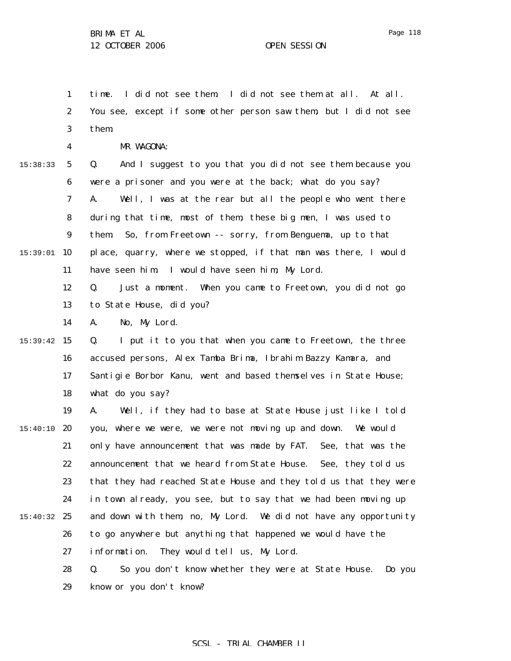1 2 3 4 5 6 7 8 9  $15:39:01$  10 11 12 13 14 15:39:42 15 16 17 18 19  $15:40:10$  20 21 22 23 24 15:40:32 25 26 27 28 15:38:33 time. I did not see them. I did not see them at all. At all. You see, except if some other person saw them, but I did not see them. MR WAGONA: Q. And I suggest to you that you did not see them because you were a prisoner and you were at the back; what do you say? A. Well, I was at the rear but all the people who went there during that time, most of them, these big men, I was used to them. So, from Freetown -- sorry, from Benguema, up to that place, quarry, where we stopped, if that man was there, I would have seen him. I would have seen him, My Lord. Q. Just a moment. When you came to Freetown, you did not go to State House, did you? A. No, My Lord. Q. I put it to you that when you came to Freetown, the three accused persons, Alex Tamba Brima, Ibrahim Bazzy Kamara, and Santigie Borbor Kanu, went and based themselves in State House; what do you say? A. Well, if they had to base at State House just like I told you, where we were, we were not moving up and down. We would only have announcement that was made by FAT. See, that was the announcement that we heard from State House. See, they told us that they had reached State House and they told us that they were in town already, you see, but to say that we had been moving up and down with them, no, My Lord. We did not have any opportunity to go anywhere but anything that happened we would have the information. They would tell us, My Lord. Q. So you don't know whether they were at State House. Do you

> 29 know or you don't know?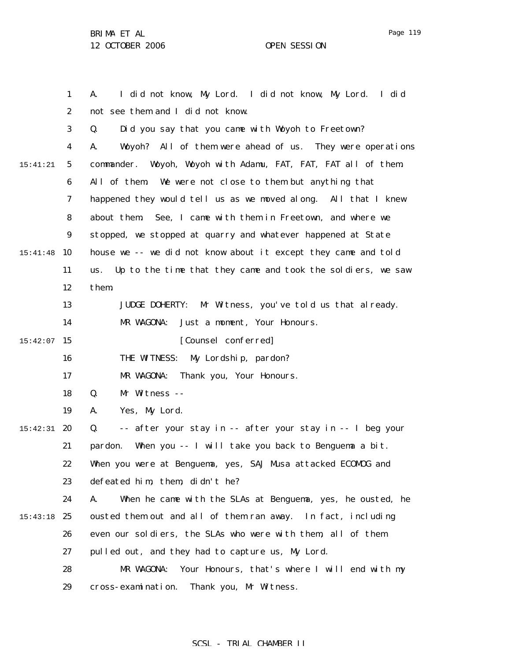1 2 3 4 5 6 7 8 9 15:41:48 10 11 12 13 14  $15:42:07$  15 16 17 18 19 15:42:31 **20** 21 22 23 24 15:43:18 25 26 27 28 29 15:41:21 A. I did not know, My Lord. I did not know, My Lord. I did not see them and I did not know. Q. Did you say that you came with Woyoh to Freetown? A. Woyoh? All of them were ahead of us. They were operations commander. Woyoh, Woyoh with Adamu, FAT, FAT, FAT all of them. All of them. We were not close to them but anything that happened they would tell us as we moved along. All that I knew about them. See, I came with them in Freetown, and where we stopped, we stopped at quarry and whatever happened at State house we -- we did not know about it except they came and told us. Up to the time that they came and took the soldiers, we saw them. JUDGE DOHERTY: Mr Witness, you've told us that already. MR WAGONA: Just a moment, Your Honours. [Counsel conferred] THE WITNESS: My Lordship, pardon? MR WAGONA: Thank you, Your Honours. Q. Mr Witness -- A. Yes, My Lord. Q. -- after your stay in -- after your stay in -- I beg your pardon. When you -- I will take you back to Benguema a bit. When you were at Benguema, yes, SAJ Musa attacked ECOMOG and defeated him, them, didn't he? A. When he came with the SLAs at Benguema, yes, he ousted, he ousted them out and all of them ran away. In fact, including even our soldiers, the SLAs who were with them, all of them pulled out, and they had to capture us, My Lord. MR WAGONA: Your Honours, that's where I will end with my cross-examination. Thank you, Mr Witness.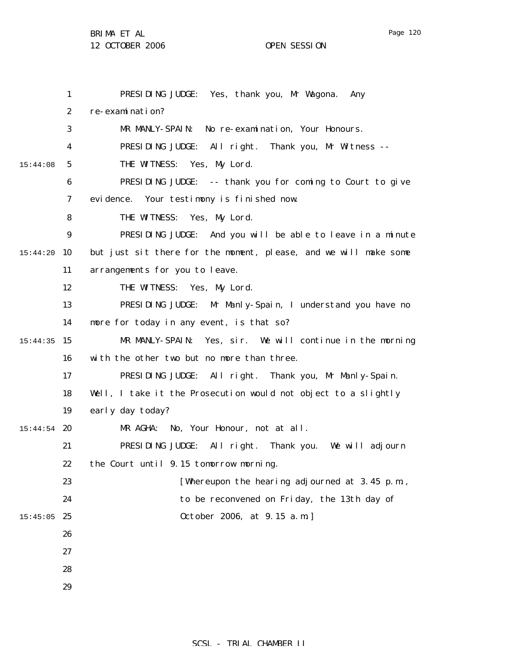BRIMA ET AL

12 OCTOBER 2006 OPEN SESSION

|          | $\mathbf{1}$     | PRESIDING JUDGE: Yes, thank you, Mr Wagona. Any                  |
|----------|------------------|------------------------------------------------------------------|
|          | $\boldsymbol{2}$ | re-examination?                                                  |
|          | 3                | MR MANLY-SPAIN: No re-examination, Your Honours.                 |
|          | 4                | PRESIDING JUDGE: All right. Thank you, Mr Witness --             |
| 15:44:08 | $5\phantom{.0}$  | THE WITNESS: Yes, My Lord.                                       |
|          | 6                | PRESIDING JUDGE: -- thank you for coming to Court to give        |
|          | 7                | evidence. Your testimony is finished now.                        |
|          | 8                | THE WITNESS: Yes, My Lord.                                       |
|          | $\boldsymbol{9}$ | PRESIDING JUDGE: And you will be able to leave in a minute       |
| 15:44:20 | 10               | but just sit there for the moment, please, and we will make some |
|          | 11               | arrangements for you to leave.                                   |
|          | 12               | THE WITNESS: Yes, My Lord.                                       |
|          | 13               | PRESIDING JUDGE: Mr Manly-Spain, I understand you have no        |
|          | 14               | more for today in any event, is that so?                         |
| 15:44:35 | 15               | MR MANLY-SPAIN: Yes, sir. We will continue in the morning        |
|          | 16               | with the other two but no more than three.                       |
|          | 17               | PRESIDING JUDGE: All right. Thank you, Mr Manly-Spain.           |
|          | 18               | Well, I take it the Prosecution would not object to a slightly   |
|          | 19               | early day today?                                                 |
| 15:44:54 | 20               | MR AGHA: No, Your Honour, not at all.                            |
|          | 21               | PRESIDING JUDGE: All right. Thank you. We will adjourn           |
|          | 22               | the Court until 9.15 tomorrow morning.                           |
|          | 23               | [Whereupon the hearing adjourned at 3.45 p.m.,                   |
|          | 24               | to be reconvened on Friday, the 13th day of                      |
| 15:45:05 | 25               | 0ctober 2006, at 9.15 a.m.                                       |
|          | 26               |                                                                  |
|          | 27               |                                                                  |
|          | 28               |                                                                  |
|          | 29               |                                                                  |
|          |                  |                                                                  |